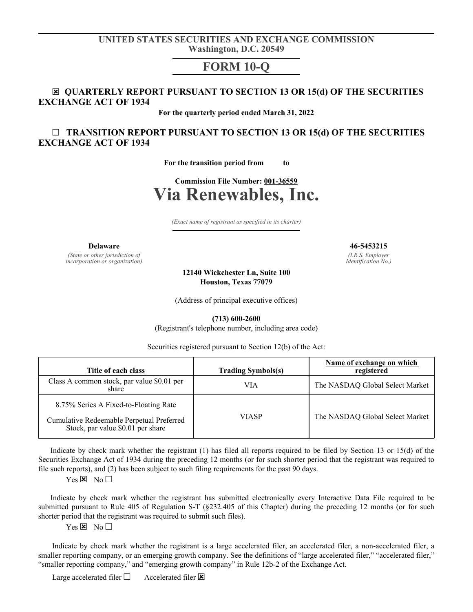#### **UNITED STATES SECURITIES AND EXCHANGE COMMISSION Washington, D.C. 20549**

# **FORM 10-Q**

#### ☒ **QUARTERLY REPORT PURSUANT TO SECTION 13 OR 15(d) OF THE SECURITIES EXCHANGE ACT OF 1934**

**For the quarterly period ended March 31, 2022**

### ☐ **TRANSITION REPORT PURSUANT TO SECTION 13 OR 15(d) OF THE SECURITIES EXCHANGE ACT OF 1934**

**For the transition period from to** 

# **Commission File Number: 001-36559 Via Renewables, Inc.**

*(Exact name of registrant as specified in its charter)*

*(State or other jurisdiction of incorporation or organization)*

**Delaware 46-5453215** *(I.R.S. Employer*

*Identification No.)*

**12140 Wickchester Ln, Suite 100 Houston, Texas 77079**

(Address of principal executive offices)

**(713) 600-2600**

(Registrant's telephone number, including area code)

Securities registered pursuant to Section 12(b) of the Act:

| Title of each class                                                                                                     | <b>Trading Symbols(s)</b> | Name of exchange on which<br>registered |
|-------------------------------------------------------------------------------------------------------------------------|---------------------------|-----------------------------------------|
| Class A common stock, par value \$0.01 per<br>share                                                                     | VIA                       | The NASDAQ Global Select Market         |
| 8.75% Series A Fixed-to-Floating Rate<br>Cumulative Redeemable Perpetual Preferred<br>Stock, par value \$0.01 per share | <b>VIASP</b>              | The NASDAQ Global Select Market         |

Indicate by check mark whether the registrant (1) has filed all reports required to be filed by Section 13 or 15(d) of the Securities Exchange Act of 1934 during the preceding 12 months (or for such shorter period that the registrant was required to file such reports), and (2) has been subject to such filing requirements for the past 90 days.

 $Yes \times No \square$ 

Indicate by check mark whether the registrant has submitted electronically every Interactive Data File required to be submitted pursuant to Rule 405 of Regulation S-T (§232.405 of this Chapter) during the preceding 12 months (or for such shorter period that the registrant was required to submit such files).

 $Yes \times No \square$ 

Indicate by check mark whether the registrant is a large accelerated filer, an accelerated filer, a non-accelerated filer, a smaller reporting company, or an emerging growth company. See the definitions of "large accelerated filer," "accelerated filer," "smaller reporting company," and "emerging growth company" in Rule 12b-2 of the Exchange Act.

Large accelerated filer  $\Box$  Accelerated filer  $\boxtimes$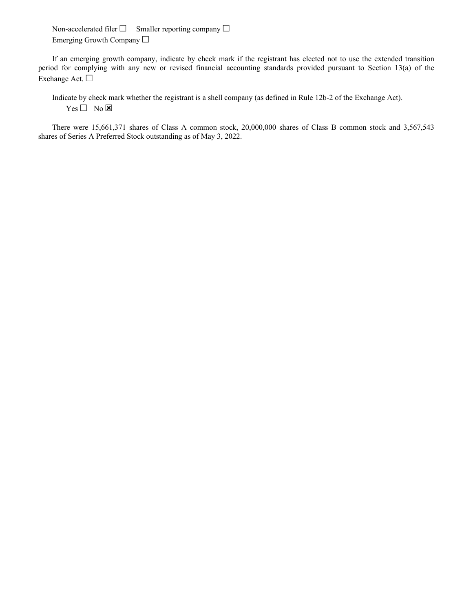Non-accelerated filer  $\Box$  Smaller reporting company  $\Box$ Emerging Growth Company  $\Box$ 

If an emerging growth company, indicate by check mark if the registrant has elected not to use the extended transition period for complying with any new or revised financial accounting standards provided pursuant to Section 13(a) of the Exchange Act. □

 Indicate by check mark whether the registrant is a shell company (as defined in Rule 12b-2 of the Exchange Act).  $Yes \Box No$ 

There were 15,661,371 shares of Class A common stock, 20,000,000 shares of Class B common stock and 3,567,543 shares of Series A Preferred Stock outstanding as of May 3, 2022.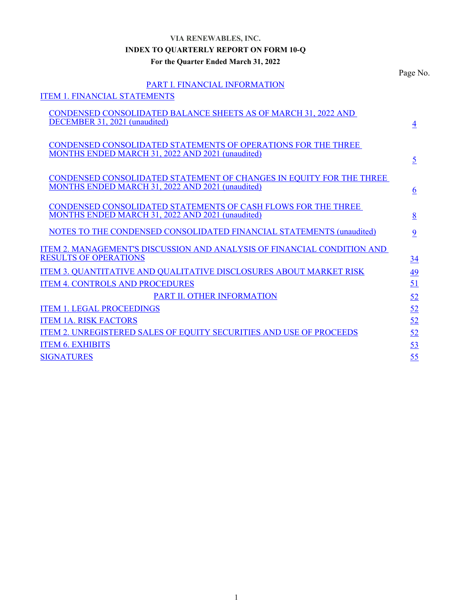#### **VIA RENEWABLES, INC.**

### **INDEX TO QUARTERLY REPORT ON FORM 10-Q**

#### **For the Quarter Ended March 31, 2022**

Page No.

### PART I. FINANCIAL INFORMATION

| <b>ITEM 1. FINANCIAL STATEMENTS</b>                                                                                            |                 |
|--------------------------------------------------------------------------------------------------------------------------------|-----------------|
| <b>CONDENSED CONSOLIDATED BALANCE SHEETS AS OF MARCH 31, 2022 AND</b><br>DECEMBER 31, 2021 (unaudited)                         | $\overline{4}$  |
| <b>CONDENSED CONSOLIDATED STATEMENTS OF OPERATIONS FOR THE THREE</b><br>MONTHS ENDED MARCH 31, 2022 AND 2021 (unaudited)       | $\overline{2}$  |
| <b>CONDENSED CONSOLIDATED STATEMENT OF CHANGES IN EQUITY FOR THE THREE</b><br>MONTHS ENDED MARCH 31, 2022 AND 2021 (unaudited) | $6\overline{6}$ |
| <b>CONDENSED CONSOLIDATED STATEMENTS OF CASH FLOWS FOR THE THREE</b><br>MONTHS ENDED MARCH 31, 2022 AND 2021 (unaudited)       | 8               |
| NOTES TO THE CONDENSED CONSOLIDATED FINANCIAL STATEMENTS (unaudited)                                                           | $\overline{9}$  |
| ITEM 2. MANAGEMENT'S DISCUSSION AND ANALYSIS OF FINANCIAL CONDITION AND<br><b>RESULTS OF OPERATIONS</b>                        | 34              |
| <b>ITEM 3. QUANTITATIVE AND QUALITATIVE DISCLOSURES ABOUT MARKET RISK</b>                                                      | 49              |
| <b>ITEM 4. CONTROLS AND PROCEDURES</b>                                                                                         | 51              |
| PART II. OTHER INFORMATION                                                                                                     | 52              |
| <b>ITEM 1. LEGAL PROCEEDINGS</b>                                                                                               | 52              |
| <b>ITEM 1A. RISK FACTORS</b>                                                                                                   | 52              |
| <b>ITEM 2. UNREGISTERED SALES OF EQUITY SECURITIES AND USE OF PROCEEDS</b>                                                     | 52              |
| <b>ITEM 6. EXHIBITS</b>                                                                                                        | 53              |
| <b>SIGNATURES</b>                                                                                                              | 55              |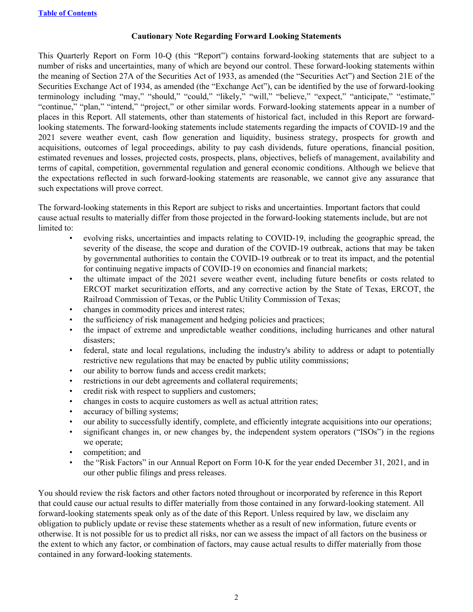### **Cautionary Note Regarding Forward Looking Statements**

This Quarterly Report on Form 10-Q (this "Report") contains forward-looking statements that are subject to a number of risks and uncertainties, many of which are beyond our control. These forward-looking statements within the meaning of Section 27A of the Securities Act of 1933, as amended (the "Securities Act") and Section 21E of the Securities Exchange Act of 1934, as amended (the "Exchange Act"), can be identified by the use of forward-looking terminology including "may," "should," "could," "likely," "will," "believe," "expect," "anticipate," "estimate," "continue," "plan," "intend," "project," or other similar words. Forward-looking statements appear in a number of places in this Report. All statements, other than statements of historical fact, included in this Report are forwardlooking statements. The forward-looking statements include statements regarding the impacts of COVID-19 and the 2021 severe weather event, cash flow generation and liquidity, business strategy, prospects for growth and acquisitions, outcomes of legal proceedings, ability to pay cash dividends, future operations, financial position, estimated revenues and losses, projected costs, prospects, plans, objectives, beliefs of management, availability and terms of capital, competition, governmental regulation and general economic conditions. Although we believe that the expectations reflected in such forward-looking statements are reasonable, we cannot give any assurance that such expectations will prove correct.

The forward-looking statements in this Report are subject to risks and uncertainties. Important factors that could cause actual results to materially differ from those projected in the forward-looking statements include, but are not limited to:

- evolving risks, uncertainties and impacts relating to COVID-19, including the geographic spread, the severity of the disease, the scope and duration of the COVID-19 outbreak, actions that may be taken by governmental authorities to contain the COVID-19 outbreak or to treat its impact, and the potential for continuing negative impacts of COVID-19 on economies and financial markets;
- the ultimate impact of the 2021 severe weather event, including future benefits or costs related to ERCOT market securitization efforts, and any corrective action by the State of Texas, ERCOT, the Railroad Commission of Texas, or the Public Utility Commission of Texas;
- changes in commodity prices and interest rates;
- the sufficiency of risk management and hedging policies and practices;
- the impact of extreme and unpredictable weather conditions, including hurricanes and other natural disasters;
- federal, state and local regulations, including the industry's ability to address or adapt to potentially restrictive new regulations that may be enacted by public utility commissions;
- our ability to borrow funds and access credit markets:
- restrictions in our debt agreements and collateral requirements;
- credit risk with respect to suppliers and customers;
- changes in costs to acquire customers as well as actual attrition rates;
- accuracy of billing systems;
- our ability to successfully identify, complete, and efficiently integrate acquisitions into our operations;
- significant changes in, or new changes by, the independent system operators ("ISOs") in the regions we operate;
- competition; and
- the "Risk Factors" in our Annual Report on Form 10-K for the year ended December 31, 2021, and in our other public filings and press releases.

You should review the risk factors and other factors noted throughout or incorporated by reference in this Report that could cause our actual results to differ materially from those contained in any forward-looking statement. All forward-looking statements speak only as of the date of this Report. Unless required by law, we disclaim any obligation to publicly update or revise these statements whether as a result of new information, future events or otherwise. It is not possible for us to predict all risks, nor can we assess the impact of all factors on the business or the extent to which any factor, or combination of factors, may cause actual results to differ materially from those contained in any forward-looking statements.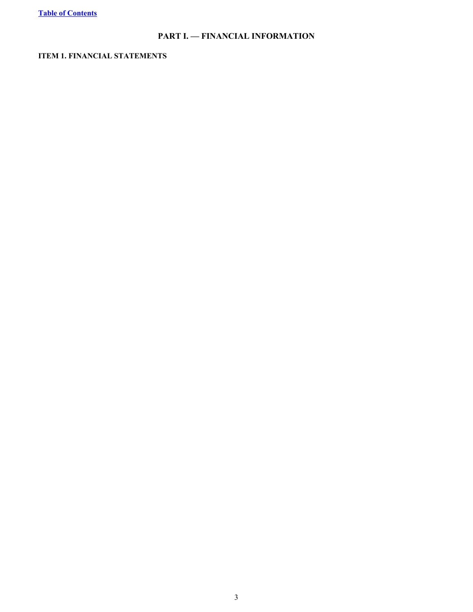# **PART I. — FINANCIAL INFORMATION**

### **ITEM 1. FINANCIAL STATEMENTS**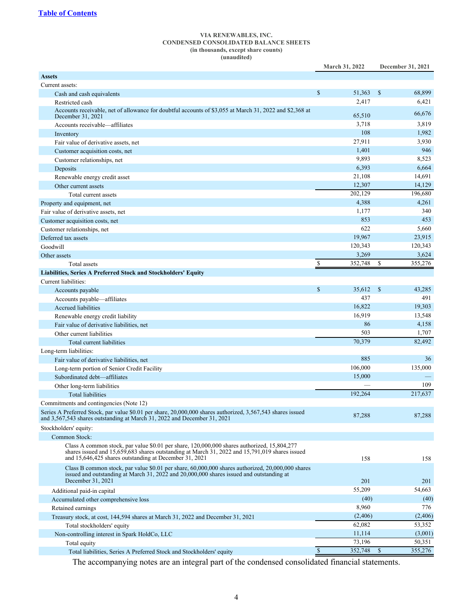#### **VIA RENEWABLES, INC. CONDENSED CONSOLIDATED BALANCE SHEETS (in thousands, except share counts) (unaudited)**

|                                                                                                                                                                                                                                                         |              | <b>March 31, 2022</b> |               | December 31, 2021 |
|---------------------------------------------------------------------------------------------------------------------------------------------------------------------------------------------------------------------------------------------------------|--------------|-----------------------|---------------|-------------------|
| <b>Assets</b>                                                                                                                                                                                                                                           |              |                       |               |                   |
| Current assets:                                                                                                                                                                                                                                         |              |                       |               |                   |
| Cash and cash equivalents                                                                                                                                                                                                                               | \$           | 51,363                | <sup>\$</sup> | 68,899            |
| Restricted cash                                                                                                                                                                                                                                         |              | 2,417                 |               | 6,421             |
| Accounts receivable, net of allowance for doubtful accounts of \$3,055 at March 31, 2022 and \$2,368 at<br>December 31, 2021                                                                                                                            |              | 65,510                |               | 66,676            |
| Accounts receivable—affiliates                                                                                                                                                                                                                          |              | 3,718                 |               | 3,819             |
| Inventory                                                                                                                                                                                                                                               |              | 108                   |               | 1,982             |
| Fair value of derivative assets, net                                                                                                                                                                                                                    |              | 27,911                |               | 3,930             |
| Customer acquisition costs, net                                                                                                                                                                                                                         |              | 1,401                 |               | 946               |
| Customer relationships, net                                                                                                                                                                                                                             |              | 9,893                 |               | 8,523             |
| Deposits                                                                                                                                                                                                                                                |              | 6,393                 |               | 6,664             |
| Renewable energy credit asset                                                                                                                                                                                                                           |              | 21,108                |               | 14,691            |
| Other current assets                                                                                                                                                                                                                                    |              | 12,307                |               | 14,129            |
| Total current assets                                                                                                                                                                                                                                    |              | 202,129               |               | 196,680           |
| Property and equipment, net                                                                                                                                                                                                                             |              | 4,388                 |               | 4,261             |
| Fair value of derivative assets, net                                                                                                                                                                                                                    |              | 1,177                 |               | 340               |
| Customer acquisition costs, net                                                                                                                                                                                                                         |              | 853                   |               | 453               |
| Customer relationships, net                                                                                                                                                                                                                             |              | 622                   |               | 5,660             |
| Deferred tax assets                                                                                                                                                                                                                                     |              | 19,967                |               | 23,915            |
| Goodwill                                                                                                                                                                                                                                                |              | 120,343               |               | 120,343           |
| Other assets                                                                                                                                                                                                                                            |              | 3,269                 |               | 3,624             |
| Total assets                                                                                                                                                                                                                                            | S            | 352,748               | \$            | 355,276           |
| Liabilities, Series A Preferred Stock and Stockholders' Equity                                                                                                                                                                                          |              |                       |               |                   |
| Current liabilities:                                                                                                                                                                                                                                    |              |                       |               |                   |
| Accounts payable                                                                                                                                                                                                                                        | $\mathbb{S}$ | 35,612                | $\mathbb{S}$  | 43,285            |
| Accounts payable—affiliates                                                                                                                                                                                                                             |              | 437                   |               | 491               |
| <b>Accrued liabilities</b>                                                                                                                                                                                                                              |              | 16,822                |               | 19,303            |
| Renewable energy credit liability                                                                                                                                                                                                                       |              | 16,919                |               | 13,548            |
| Fair value of derivative liabilities, net                                                                                                                                                                                                               |              | 86                    |               | 4,158             |
| Other current liabilities                                                                                                                                                                                                                               |              | 503                   |               | 1,707             |
| Total current liabilities                                                                                                                                                                                                                               |              | 70,379                |               | 82,492            |
| Long-term liabilities:                                                                                                                                                                                                                                  |              |                       |               |                   |
| Fair value of derivative liabilities, net                                                                                                                                                                                                               |              | 885                   |               | 36                |
| Long-term portion of Senior Credit Facility                                                                                                                                                                                                             |              | 106,000               |               | 135,000           |
| Subordinated debt—affiliates                                                                                                                                                                                                                            |              | 15,000                |               |                   |
| Other long-term liabilities                                                                                                                                                                                                                             |              |                       |               | 109               |
| <b>Total liabilities</b>                                                                                                                                                                                                                                |              | 192,264               |               | 217,637           |
| Commitments and contingencies (Note 12)                                                                                                                                                                                                                 |              |                       |               |                   |
| Series A Preferred Stock, par value \$0.01 per share, 20,000,000 shares authorized, 3,567,543 shares issued<br>and 3,567,543 shares outstanding at March 31, 2022 and December 31, 2021                                                                 |              | 87,288                |               | 87,288            |
| Stockholders' equity:                                                                                                                                                                                                                                   |              |                       |               |                   |
| Common Stock:                                                                                                                                                                                                                                           |              |                       |               |                   |
| Class A common stock, par value \$0.01 per share, 120,000,000 shares authorized, 15,804,277<br>shares issued and 15,659,683 shares outstanding at March 31, 2022 and 15,791,019 shares issued<br>and 15,646,425 shares outstanding at December 31, 2021 |              | 158                   |               | 158               |
| Class B common stock, par value \$0.01 per share, 60,000,000 shares authorized, 20,000,000 shares<br>issued and outstanding at March 31, 2022 and 20,000,000 shares issued and outstanding at                                                           |              |                       |               |                   |
| December 31, 2021                                                                                                                                                                                                                                       |              | 201                   |               | 201               |
| Additional paid-in capital                                                                                                                                                                                                                              |              | 55,209                |               | 54,663            |
| Accumulated other comprehensive loss                                                                                                                                                                                                                    |              | (40)                  |               | (40)              |
| Retained earnings                                                                                                                                                                                                                                       |              | 8,960                 |               | 776               |
| Treasury stock, at cost, 144,594 shares at March 31, 2022 and December 31, 2021                                                                                                                                                                         |              | (2, 406)              |               | (2,406)           |
| Total stockholders' equity                                                                                                                                                                                                                              |              | 62,082                |               | 53,352            |
| Non-controlling interest in Spark HoldCo, LLC                                                                                                                                                                                                           |              | 11,114                |               | (3,001)           |
| Total equity                                                                                                                                                                                                                                            |              | 73,196                |               | 50,351            |
| Total liabilities, Series A Preferred Stock and Stockholders' equity                                                                                                                                                                                    | $\mathbb{S}$ | 352,748               | \$            | 355,276           |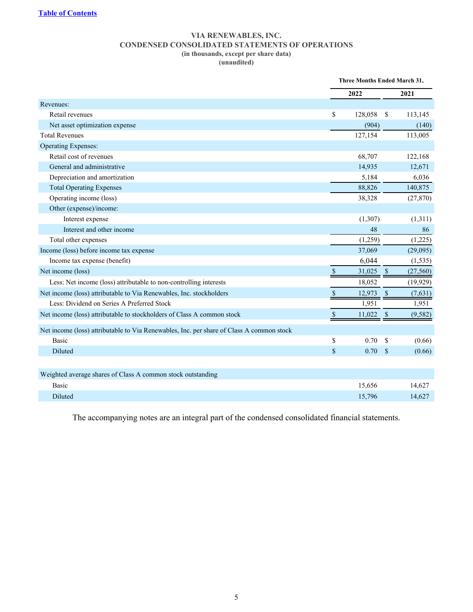#### **VIA RENEWABLES, INC. CONDENSED CONSOLIDATED STATEMENTS OF OPERATIONS (in thousands, except per share data) (unaudited)**

|                                                                                          |               | <b>Three Months Ended March 31,</b> |               |           |
|------------------------------------------------------------------------------------------|---------------|-------------------------------------|---------------|-----------|
|                                                                                          |               | 2022                                |               | 2021      |
| Revenues:                                                                                |               |                                     |               |           |
| Retail revenues                                                                          | \$            | 128,058                             | -S            | 113,145   |
| Net asset optimization expense                                                           |               | (904)                               |               | (140)     |
| <b>Total Revenues</b>                                                                    |               | 127,154                             |               | 113,005   |
| Operating Expenses:                                                                      |               |                                     |               |           |
| Retail cost of revenues                                                                  |               | 68,707                              |               | 122,168   |
| General and administrative                                                               |               | 14,935                              |               | 12,671    |
| Depreciation and amortization                                                            |               | 5,184                               |               | 6,036     |
| <b>Total Operating Expenses</b>                                                          |               | 88,826                              |               | 140,875   |
| Operating income (loss)                                                                  |               | 38,328                              |               | (27, 870) |
| Other (expense)/income:                                                                  |               |                                     |               |           |
| Interest expense                                                                         |               | (1,307)                             |               | (1,311)   |
| Interest and other income                                                                |               | 48                                  |               | 86        |
| Total other expenses                                                                     |               | (1,259)                             |               | (1,225)   |
| Income (loss) before income tax expense                                                  |               | 37,069                              |               | (29,095)  |
| Income tax expense (benefit)                                                             |               | 6,044                               |               | (1, 535)  |
| Net income (loss)                                                                        | $\mathcal{S}$ | 31,025                              | $\mathcal{S}$ | (27, 560) |
| Less: Net income (loss) attributable to non-controlling interests                        |               | 18,052                              |               | (19, 929) |
| Net income (loss) attributable to Via Renewables, Inc. stockholders                      | \$            | 12,973                              | $\sqrt{3}$    | (7,631)   |
| Less: Dividend on Series A Preferred Stock                                               |               | 1,951                               |               | 1,951     |
| Net income (loss) attributable to stockholders of Class A common stock                   | $\$$          | 11,022                              | $\mathcal{S}$ | (9, 582)  |
| Net income (loss) attributable to Via Renewables, Inc. per share of Class A common stock |               |                                     |               |           |
| <b>Basic</b>                                                                             | \$            | 0.70                                | <sup>S</sup>  | (0.66)    |
| Diluted                                                                                  | \$            | 0.70                                | - \$          | (0.66)    |
|                                                                                          |               |                                     |               |           |
| Weighted average shares of Class A common stock outstanding                              |               |                                     |               |           |
| <b>Basic</b>                                                                             |               | 15,656                              |               | 14,627    |
| Diluted                                                                                  |               | 15,796                              |               | 14,627    |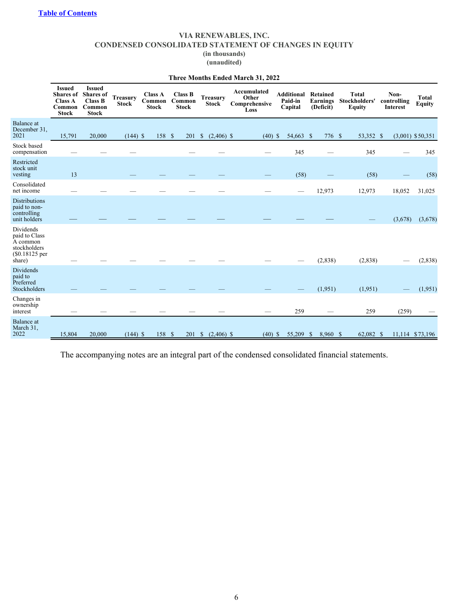#### **VIA RENEWABLES, INC. CONDENSED CONSOLIDATED STATEMENT OF CHANGES IN EQUITY (in thousands)**

**(unaudited)**

|                                                                                    | <b>Issued</b><br><b>Shares of</b><br><b>Class A</b><br>Common<br><b>Stock</b> | <b>Issued</b><br><b>Shares</b> of<br><b>Class B</b><br>Common<br><b>Stock</b> | <b>Treasury</b><br><b>Stock</b> | <b>Class A</b><br>Common<br><b>Stock</b> | <b>Class B</b><br>Common<br><b>Stock</b> |              | <b>Treasury</b><br><b>Stock</b> | Accumulated<br>Other<br>Comprehensive<br>Loss | Additional<br>Paid-in<br>Capital | <b>Retained</b><br>Earnings<br>(Deficit) |        | <b>Total</b><br>Stockholders'<br>Equity | Non-<br>controlling<br>Interest | <b>Total</b><br><b>Equity</b> |
|------------------------------------------------------------------------------------|-------------------------------------------------------------------------------|-------------------------------------------------------------------------------|---------------------------------|------------------------------------------|------------------------------------------|--------------|---------------------------------|-----------------------------------------------|----------------------------------|------------------------------------------|--------|-----------------------------------------|---------------------------------|-------------------------------|
| Balance at<br>December 31.<br>2021                                                 | 15,791                                                                        | 20,000                                                                        | $(144)$ \$                      | 158 \$                                   | 201                                      | \$           | $(2,406)$ \$                    | $(40)$ \$                                     | 54,663 \$                        |                                          | 776 \$ | 53,352 \$                               |                                 | $(3,001)$ \$50,351            |
| Stock based<br>compensation                                                        |                                                                               |                                                                               |                                 |                                          |                                          |              |                                 |                                               | 345                              |                                          |        | 345                                     |                                 | 345                           |
| Restricted<br>stock unit<br>vesting                                                | 13                                                                            |                                                                               |                                 |                                          |                                          |              |                                 |                                               | (58)                             |                                          |        | (58)                                    |                                 | (58)                          |
| Consolidated<br>net income                                                         |                                                                               |                                                                               |                                 |                                          |                                          |              |                                 |                                               |                                  | 12,973                                   |        | 12,973                                  | 18,052                          | 31,025                        |
| <b>Distributions</b><br>paid to non-<br>controlling<br>unit holders                |                                                                               |                                                                               |                                 |                                          |                                          |              |                                 |                                               |                                  |                                          |        |                                         | (3,678)                         | (3,678)                       |
| Dividends<br>paid to Class<br>A common<br>stockholders<br>(\$0.18125 per<br>share) |                                                                               |                                                                               |                                 |                                          |                                          |              |                                 |                                               |                                  | (2,838)                                  |        | (2,838)                                 |                                 | (2,838)                       |
| Dividends<br>paid to<br>Preferred<br>Stockholders                                  |                                                                               |                                                                               |                                 |                                          |                                          |              |                                 |                                               |                                  | (1,951)                                  |        | (1,951)                                 |                                 | (1,951)                       |
| Changes in<br>ownership<br>interest                                                |                                                                               |                                                                               |                                 |                                          |                                          |              |                                 |                                               | 259                              |                                          |        | 259                                     | (259)                           |                               |
| Balance at<br>March 31,<br>2022                                                    | 15,804                                                                        | 20.000                                                                        | $(144)$ \$                      | 158                                      | $\mathbb{S}$<br>201                      | $\mathbb{S}$ | $(2,406)$ \$                    | $(40)$ \$                                     | 55,209                           | 8,960 \$<br><sup>\$</sup>                |        | 62,082 \$                               |                                 | 11,114 \$73,196               |

#### **Three Months Ended March 31, 2022**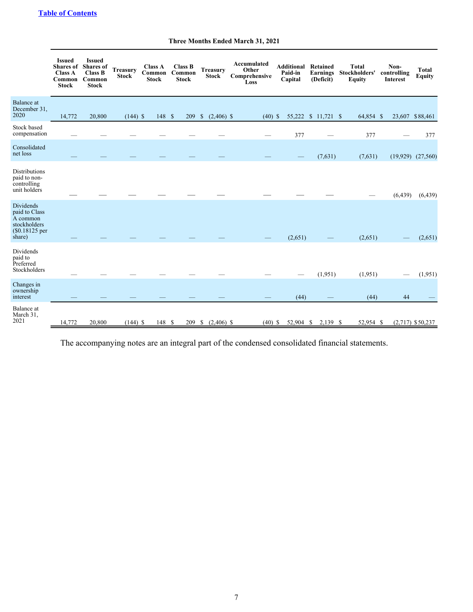|                                                                                     | <b>Issued</b><br><b>Shares</b> of<br><b>Class A</b><br>Common<br><b>Stock</b> | <b>Issued</b><br><b>Shares</b> of<br><b>Class B</b><br>Common<br><b>Stock</b> | <b>Treasury</b><br><b>Stock</b> | <b>Class A</b><br>Common<br><b>Stock</b> | <b>Class B</b><br>Common<br><b>Stock</b> | <b>Treasury</b><br><b>Stock</b> | Accumulated<br>Other<br>Comprehensive<br>Loss | <b>Additional</b><br>Paid-in<br>Capital | Retained<br><b>Earnings</b><br>(Deficit) | <b>Total</b><br>Stockholders'<br>Equity | Non-<br>controlling<br>Interest | <b>Total</b><br><b>Equity</b> |
|-------------------------------------------------------------------------------------|-------------------------------------------------------------------------------|-------------------------------------------------------------------------------|---------------------------------|------------------------------------------|------------------------------------------|---------------------------------|-----------------------------------------------|-----------------------------------------|------------------------------------------|-----------------------------------------|---------------------------------|-------------------------------|
| Balance at<br>December 31,<br>2020                                                  | 14,772                                                                        | 20,800                                                                        | $(144)$ \$                      | 148 \$                                   | 209                                      | $\mathbb{S}$<br>$(2,406)$ \$    | $(40)$ \$                                     | 55,222                                  | $$11,721$ \$                             | 64,854 \$                               | 23,607                          | \$88,461                      |
| Stock based<br>compensation                                                         |                                                                               |                                                                               |                                 |                                          |                                          |                                 |                                               | 377                                     |                                          | 377                                     |                                 | 377                           |
| Consolidated<br>net loss                                                            |                                                                               |                                                                               |                                 |                                          |                                          |                                 |                                               |                                         | (7,631)                                  | (7,631)                                 |                                 | $(19.929)$ $(27.560)$         |
| Distributions<br>paid to non-<br>controlling<br>unit holders                        |                                                                               |                                                                               |                                 |                                          |                                          |                                 |                                               |                                         |                                          |                                         | (6, 439)                        | (6, 439)                      |
| Dividends<br>paid to Class<br>A common<br>stockholders<br>$($0.18125$ per<br>share) |                                                                               |                                                                               |                                 |                                          |                                          |                                 |                                               | (2,651)                                 |                                          | (2,651)                                 |                                 | (2,651)                       |
| Dividends<br>paid to<br>Preferred<br>Stockholders                                   |                                                                               |                                                                               |                                 |                                          |                                          |                                 |                                               |                                         | (1,951)                                  | (1,951)                                 |                                 | (1,951)                       |
| Changes in<br>ownership<br>interest                                                 |                                                                               |                                                                               |                                 |                                          |                                          |                                 |                                               | (44)                                    |                                          | (44)                                    | 44                              |                               |
| Balance at<br>March 31,<br>2021                                                     | 14,772                                                                        | 20,800                                                                        | $(144)$ \$                      | 148S                                     | 209                                      | <sup>S</sup><br>$(2,406)$ \$    | $(40)$ \$                                     | 52,904 \$                               | 2,139 \$                                 | 52,954 \$                               |                                 | $(2,717)$ \$50,237            |

**Three Months Ended March 31, 2021**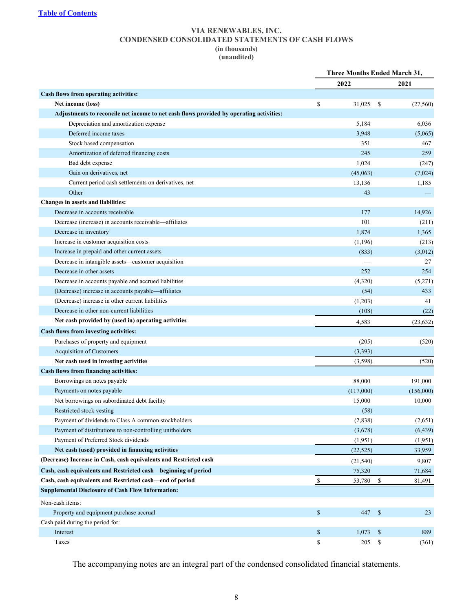#### **VIA RENEWABLES, INC. CONDENSED CONSOLIDATED STATEMENTS OF CASH FLOWS (in thousands)**

#### **(unaudited)**

|                                                                                         | Three Months Ended March 31, |    |           |
|-----------------------------------------------------------------------------------------|------------------------------|----|-----------|
|                                                                                         | 2022                         |    | 2021      |
| Cash flows from operating activities:                                                   |                              |    |           |
| Net income (loss)                                                                       | \$<br>31,025                 | -S | (27, 560) |
| Adjustments to reconcile net income to net cash flows provided by operating activities: |                              |    |           |
| Depreciation and amortization expense                                                   | 5,184                        |    | 6,036     |
| Deferred income taxes                                                                   | 3,948                        |    | (5,065)   |
| Stock based compensation                                                                | 351                          |    | 467       |
| Amortization of deferred financing costs                                                | 245                          |    | 259       |
| Bad debt expense                                                                        | 1,024                        |    | (247)     |
| Gain on derivatives, net                                                                | (45,063)                     |    | (7,024)   |
| Current period cash settlements on derivatives, net                                     | 13,136                       |    | 1,185     |
| Other                                                                                   | 43                           |    |           |
| Changes in assets and liabilities:                                                      |                              |    |           |
| Decrease in accounts receivable                                                         | 177                          |    | 14,926    |
| Decrease (increase) in accounts receivable—affiliates                                   | 101                          |    | (211)     |
| Decrease in inventory                                                                   | 1,874                        |    | 1,365     |
| Increase in customer acquisition costs                                                  | (1,196)                      |    | (213)     |
| Increase in prepaid and other current assets                                            | (833)                        |    | (3,012)   |
| Decrease in intangible assets—customer acquisition                                      |                              |    | 27        |
| Decrease in other assets                                                                | 252                          |    | 254       |
| Decrease in accounts payable and accrued liabilities                                    | (4,320)                      |    | (5,271)   |
| (Decrease) increase in accounts payable—affiliates                                      | (54)                         |    | 433       |
| (Decrease) increase in other current liabilities                                        | (1,203)                      |    | 41        |
| Decrease in other non-current liabilities                                               | (108)                        |    | (22)      |
| Net cash provided by (used in) operating activities                                     | 4,583                        |    | (23, 632) |
| Cash flows from investing activities:                                                   |                              |    |           |
| Purchases of property and equipment                                                     | (205)                        |    | (520)     |
| <b>Acquisition of Customers</b>                                                         | (3,393)                      |    |           |
| Net cash used in investing activities                                                   | (3,598)                      |    | (520)     |
| Cash flows from financing activities:                                                   |                              |    |           |
| Borrowings on notes payable                                                             | 88,000                       |    | 191,000   |
| Payments on notes payable                                                               | (117,000)                    |    | (156,000) |
| Net borrowings on subordinated debt facility                                            | 15,000                       |    | 10,000    |
| Restricted stock vesting                                                                | (58)                         |    |           |
| Payment of dividends to Class A common stockholders                                     | (2,838)                      |    | (2,651)   |
| Payment of distributions to non-controlling unitholders                                 | (3,678)                      |    | (6, 439)  |
| Payment of Preferred Stock dividends                                                    | (1,951)                      |    | (1,951)   |
| Net cash (used) provided in financing activities                                        | (22, 525)                    |    | 33,959    |
| (Decrease) Increase in Cash, cash equivalents and Restricted cash                       | (21, 540)                    |    | 9,807     |
| Cash, cash equivalents and Restricted cash—beginning of period                          | 75,320                       |    | 71,684    |
| Cash, cash equivalents and Restricted cash—end of period                                | \$<br>53,780                 | \$ | 81,491    |
| <b>Supplemental Disclosure of Cash Flow Information:</b>                                |                              |    |           |
|                                                                                         |                              |    |           |
| Non-cash items:                                                                         |                              |    |           |
| Property and equipment purchase accrual                                                 | \$<br>447 \$                 |    | 23        |
| Cash paid during the period for:                                                        |                              |    |           |
| Interest                                                                                | \$<br>1,073                  | \$ | 889       |
| Taxes                                                                                   | \$<br>205                    | \$ | (361)     |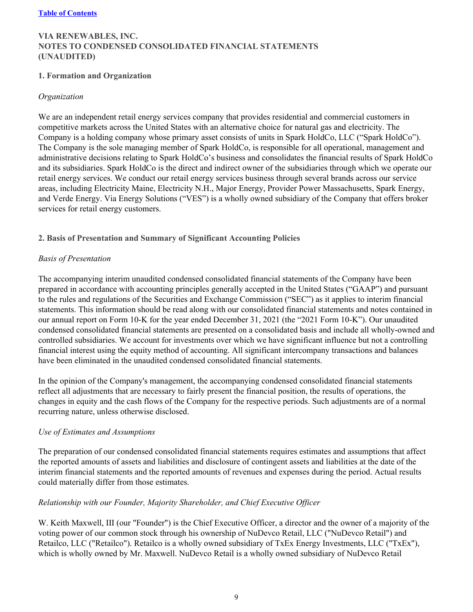#### **VIA RENEWABLES, INC. NOTES TO CONDENSED CONSOLIDATED FINANCIAL STATEMENTS (UNAUDITED)**

#### **1. Formation and Organization**

#### *Organization*

We are an independent retail energy services company that provides residential and commercial customers in competitive markets across the United States with an alternative choice for natural gas and electricity. The Company is a holding company whose primary asset consists of units in Spark HoldCo, LLC ("Spark HoldCo"). The Company is the sole managing member of Spark HoldCo, is responsible for all operational, management and administrative decisions relating to Spark HoldCo's business and consolidates the financial results of Spark HoldCo and its subsidiaries. Spark HoldCo is the direct and indirect owner of the subsidiaries through which we operate our retail energy services. We conduct our retail energy services business through several brands across our service areas, including Electricity Maine, Electricity N.H., Major Energy, Provider Power Massachusetts, Spark Energy, and Verde Energy. Via Energy Solutions ("VES") is a wholly owned subsidiary of the Company that offers broker services for retail energy customers.

### **2. Basis of Presentation and Summary of Significant Accounting Policies**

### *Basis of Presentation*

The accompanying interim unaudited condensed consolidated financial statements of the Company have been prepared in accordance with accounting principles generally accepted in the United States ("GAAP") and pursuant to the rules and regulations of the Securities and Exchange Commission ("SEC") as it applies to interim financial statements. This information should be read along with our consolidated financial statements and notes contained in our annual report on Form 10-K for the year ended December 31, 2021 (the "2021 Form 10-K"). Our unaudited condensed consolidated financial statements are presented on a consolidated basis and include all wholly-owned and controlled subsidiaries. We account for investments over which we have significant influence but not a controlling financial interest using the equity method of accounting. All significant intercompany transactions and balances have been eliminated in the unaudited condensed consolidated financial statements.

In the opinion of the Company's management, the accompanying condensed consolidated financial statements reflect all adjustments that are necessary to fairly present the financial position, the results of operations, the changes in equity and the cash flows of the Company for the respective periods. Such adjustments are of a normal recurring nature, unless otherwise disclosed.

### *Use of Estimates and Assumptions*

The preparation of our condensed consolidated financial statements requires estimates and assumptions that affect the reported amounts of assets and liabilities and disclosure of contingent assets and liabilities at the date of the interim financial statements and the reported amounts of revenues and expenses during the period. Actual results could materially differ from those estimates.

### *Relationship with our Founder, Majority Shareholder, and Chief Executive Officer*

W. Keith Maxwell, III (our "Founder") is the Chief Executive Officer, a director and the owner of a majority of the voting power of our common stock through his ownership of NuDevco Retail, LLC ("NuDevco Retail") and Retailco, LLC ("Retailco"). Retailco is a wholly owned subsidiary of TxEx Energy Investments, LLC ("TxEx"), which is wholly owned by Mr. Maxwell. NuDevco Retail is a wholly owned subsidiary of NuDevco Retail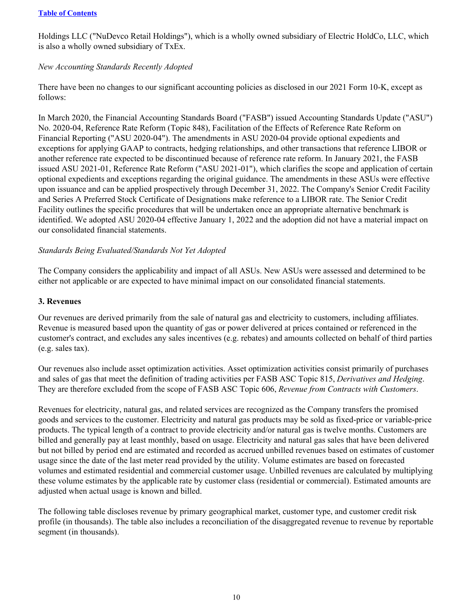Holdings LLC ("NuDevco Retail Holdings"), which is a wholly owned subsidiary of Electric HoldCo, LLC, which is also a wholly owned subsidiary of TxEx.

#### *New Accounting Standards Recently Adopted*

There have been no changes to our significant accounting policies as disclosed in our 2021 Form 10-K, except as follows:

In March 2020, the Financial Accounting Standards Board ("FASB") issued Accounting Standards Update ("ASU") No. 2020-04, Reference Rate Reform (Topic 848), Facilitation of the Effects of Reference Rate Reform on Financial Reporting ("ASU 2020-04"). The amendments in ASU 2020-04 provide optional expedients and exceptions for applying GAAP to contracts, hedging relationships, and other transactions that reference LIBOR or another reference rate expected to be discontinued because of reference rate reform. In January 2021, the FASB issued ASU 2021-01, Reference Rate Reform ("ASU 2021-01"), which clarifies the scope and application of certain optional expedients and exceptions regarding the original guidance. The amendments in these ASUs were effective upon issuance and can be applied prospectively through December 31, 2022. The Company's Senior Credit Facility and Series A Preferred Stock Certificate of Designations make reference to a LIBOR rate. The Senior Credit Facility outlines the specific procedures that will be undertaken once an appropriate alternative benchmark is identified. We adopted ASU 2020-04 effective January 1, 2022 and the adoption did not have a material impact on our consolidated financial statements.

### *Standards Being Evaluated/Standards Not Yet Adopted*

The Company considers the applicability and impact of all ASUs. New ASUs were assessed and determined to be either not applicable or are expected to have minimal impact on our consolidated financial statements.

#### **3. Revenues**

Our revenues are derived primarily from the sale of natural gas and electricity to customers, including affiliates. Revenue is measured based upon the quantity of gas or power delivered at prices contained or referenced in the customer's contract, and excludes any sales incentives (e.g. rebates) and amounts collected on behalf of third parties (e.g. sales tax).

Our revenues also include asset optimization activities. Asset optimization activities consist primarily of purchases and sales of gas that meet the definition of trading activities per FASB ASC Topic 815, *Derivatives and Hedging*. They are therefore excluded from the scope of FASB ASC Topic 606, *Revenue from Contracts with Customers*.

Revenues for electricity, natural gas, and related services are recognized as the Company transfers the promised goods and services to the customer. Electricity and natural gas products may be sold as fixed-price or variable-price products. The typical length of a contract to provide electricity and/or natural gas is twelve months. Customers are billed and generally pay at least monthly, based on usage. Electricity and natural gas sales that have been delivered but not billed by period end are estimated and recorded as accrued unbilled revenues based on estimates of customer usage since the date of the last meter read provided by the utility. Volume estimates are based on forecasted volumes and estimated residential and commercial customer usage. Unbilled revenues are calculated by multiplying these volume estimates by the applicable rate by customer class (residential or commercial). Estimated amounts are adjusted when actual usage is known and billed.

The following table discloses revenue by primary geographical market, customer type, and customer credit risk profile (in thousands). The table also includes a reconciliation of the disaggregated revenue to revenue by reportable segment (in thousands).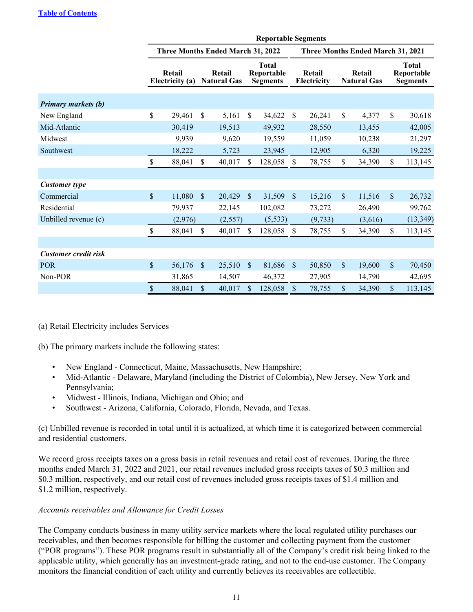|                             |                           |                                   |              |                              |               | <b>Reportable Segments</b>                    |               |                       |                    |                                   |               |                                               |  |  |
|-----------------------------|---------------------------|-----------------------------------|--------------|------------------------------|---------------|-----------------------------------------------|---------------|-----------------------|--------------------|-----------------------------------|---------------|-----------------------------------------------|--|--|
|                             |                           | Three Months Ended March 31, 2022 |              |                              |               |                                               |               |                       |                    | Three Months Ended March 31, 2021 |               |                                               |  |  |
|                             |                           | Retail<br>Electricity (a)         |              | Retail<br><b>Natural Gas</b> |               | <b>Total</b><br>Reportable<br><b>Segments</b> |               | Retail<br>Electricity |                    | Retail<br><b>Natural Gas</b>      |               | <b>Total</b><br>Reportable<br><b>Segments</b> |  |  |
| <b>Primary markets (b)</b>  |                           |                                   |              |                              |               |                                               |               |                       |                    |                                   |               |                                               |  |  |
| New England                 | \$                        | 29,461                            | \$           | 5,161                        | \$            | 34,622                                        | \$            | 26,241                | \$                 | 4,377                             | \$            | 30,618                                        |  |  |
| Mid-Atlantic                |                           | 30,419                            |              | 19,513                       |               | 49,932                                        |               | 28,550                |                    | 13,455                            |               | 42,005                                        |  |  |
| Midwest                     |                           | 9,939                             |              | 9,620                        |               | 19,559                                        |               | 11,059                |                    | 10,238                            |               | 21,297                                        |  |  |
| Southwest                   |                           | 18,222                            |              | 5,723                        |               | 23,945                                        |               | 12,905                |                    | 6,320                             |               | 19,225                                        |  |  |
|                             | \$                        | 88,041                            | \$           | 40,017                       | \$.           | 128,058                                       | <sup>\$</sup> | 78,755                | \$                 | 34,390                            | $\mathbb{S}$  | 113,145                                       |  |  |
|                             |                           |                                   |              |                              |               |                                               |               |                       |                    |                                   |               |                                               |  |  |
| <b>Customer</b> type        |                           |                                   |              |                              |               |                                               |               |                       |                    |                                   |               |                                               |  |  |
| Commercial                  | $\mathcal{S}$             | 11,080                            | $\mathbb{S}$ | 20,429                       | $\mathbb{S}$  | 31,509                                        | $\mathcal{S}$ | 15,216                | \$                 | 11,516                            | $\mathbb{S}$  | 26,732                                        |  |  |
| Residential                 |                           | 79,937                            |              | 22,145                       |               | 102,082                                       |               | 73,272                |                    | 26,490                            |               | 99,762                                        |  |  |
| Unbilled revenue (c)        |                           | (2,976)                           |              | (2,557)                      |               | (5, 533)                                      |               | (9, 733)              |                    | (3,616)                           |               | (13, 349)                                     |  |  |
|                             | \$                        | 88,041                            | \$           | 40,017                       | \$            | 128,058                                       | <sup>\$</sup> | 78,755                | \$                 | 34,390                            | $\mathsf{\$}$ | 113,145                                       |  |  |
|                             |                           |                                   |              |                              |               |                                               |               |                       |                    |                                   |               |                                               |  |  |
| <b>Customer</b> credit risk |                           |                                   |              |                              |               |                                               |               |                       |                    |                                   |               |                                               |  |  |
| POR                         | \$                        | 56,176                            | $\mathbb{S}$ | 25,510                       | $\mathcal{S}$ | 81,686                                        | $\mathbb{S}$  | 50,850                | $\mathbf{\hat{S}}$ | 19,600                            | $\mathbb{S}$  | 70,450                                        |  |  |
| Non-POR                     |                           | 31,865                            |              | 14,507                       |               | 46,372                                        |               | 27,905                |                    | 14,790                            |               | 42,695                                        |  |  |
|                             | $\boldsymbol{\mathsf{S}}$ | 88,041                            | \$           | 40,017                       | \$            | 128,058                                       | \$            | 78,755                | \$                 | 34,390                            | \$            | 113,145                                       |  |  |

(a) Retail Electricity includes Services

(b) The primary markets include the following states:

- New England Connecticut, Maine, Massachusetts, New Hampshire;
- Mid-Atlantic Delaware, Maryland (including the District of Colombia), New Jersey, New York and Pennsylvania;
- Midwest Illinois, Indiana, Michigan and Ohio; and
- Southwest Arizona, California, Colorado, Florida, Nevada, and Texas.

(c) Unbilled revenue is recorded in total until it is actualized, at which time it is categorized between commercial and residential customers.

We record gross receipts taxes on a gross basis in retail revenues and retail cost of revenues. During the three months ended March 31, 2022 and 2021, our retail revenues included gross receipts taxes of \$0.3 million and \$0.3 million, respectively, and our retail cost of revenues included gross receipts taxes of \$1.4 million and \$1.2 million, respectively.

#### *Accounts receivables and Allowance for Credit Losses*

The Company conducts business in many utility service markets where the local regulated utility purchases our receivables, and then becomes responsible for billing the customer and collecting payment from the customer ("POR programs"). These POR programs result in substantially all of the Company's credit risk being linked to the applicable utility, which generally has an investment-grade rating, and not to the end-use customer. The Company monitors the financial condition of each utility and currently believes its receivables are collectible.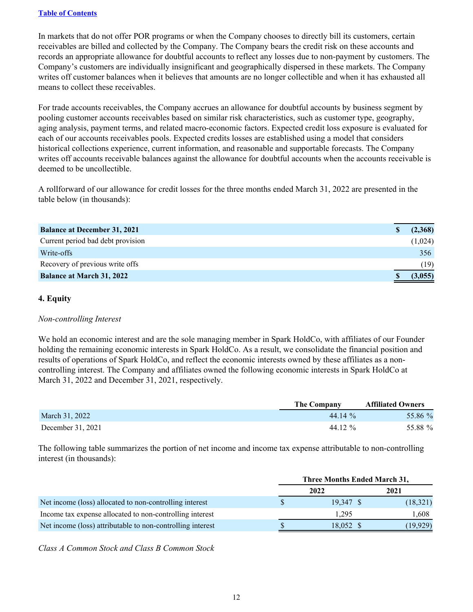In markets that do not offer POR programs or when the Company chooses to directly bill its customers, certain receivables are billed and collected by the Company. The Company bears the credit risk on these accounts and records an appropriate allowance for doubtful accounts to reflect any losses due to non-payment by customers. The Company's customers are individually insignificant and geographically dispersed in these markets. The Company writes off customer balances when it believes that amounts are no longer collectible and when it has exhausted all means to collect these receivables.

For trade accounts receivables, the Company accrues an allowance for doubtful accounts by business segment by pooling customer accounts receivables based on similar risk characteristics, such as customer type, geography, aging analysis, payment terms, and related macro-economic factors. Expected credit loss exposure is evaluated for each of our accounts receivables pools. Expected credits losses are established using a model that considers historical collections experience, current information, and reasonable and supportable forecasts. The Company writes off accounts receivable balances against the allowance for doubtful accounts when the accounts receivable is deemed to be uncollectible.

A rollforward of our allowance for credit losses for the three months ended March 31, 2022 are presented in the table below (in thousands):

| <b>Balance at December 31, 2021</b> | (2,368) |
|-------------------------------------|---------|
| Current period bad debt provision   | (1,024) |
| Write-offs                          | 356     |
| Recovery of previous write offs     | (19     |
| <b>Balance at March 31, 2022</b>    | (3,055) |

#### **4. Equity**

#### *Non-controlling Interest*

We hold an economic interest and are the sole managing member in Spark HoldCo, with affiliates of our Founder holding the remaining economic interests in Spark HoldCo. As a result, we consolidate the financial position and results of operations of Spark HoldCo, and reflect the economic interests owned by these affiliates as a noncontrolling interest. The Company and affiliates owned the following economic interests in Spark HoldCo at March 31, 2022 and December 31, 2021, respectively.

|                   | The Company | <b>Affiliated Owners</b> |
|-------------------|-------------|--------------------------|
| March 31, 2022    | 44 14 $\%$  | 55.86 %                  |
| December 31, 2021 | 44 12 %     | 55.88 %                  |

The following table summarizes the portion of net income and income tax expense attributable to non-controlling interest (in thousands):

|                                                            | Three Months Ended March 31, |           |
|------------------------------------------------------------|------------------------------|-----------|
|                                                            | 2022                         | 2021      |
| Net income (loss) allocated to non-controlling interest    | 19.347 S                     | (18,321)  |
| Income tax expense allocated to non-controlling interest   | 1.295                        | !.608     |
| Net income (loss) attributable to non-controlling interest | 18,052 \$                    | (19, 929) |

*Class A Common Stock and Class B Common Stock*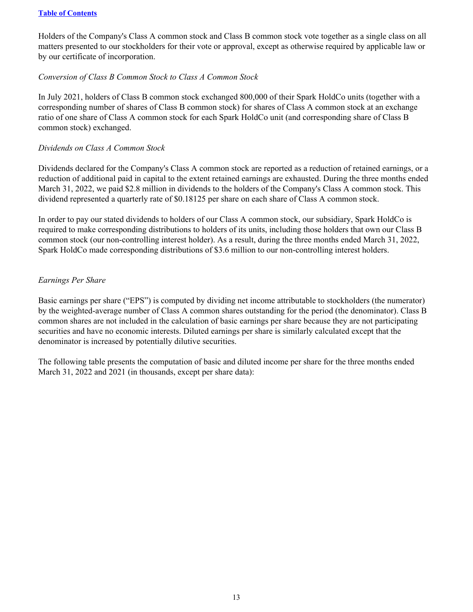Holders of the Company's Class A common stock and Class B common stock vote together as a single class on all matters presented to our stockholders for their vote or approval, except as otherwise required by applicable law or by our certificate of incorporation.

#### *Conversion of Class B Common Stock to Class A Common Stock*

In July 2021, holders of Class B common stock exchanged 800,000 of their Spark HoldCo units (together with a corresponding number of shares of Class B common stock) for shares of Class A common stock at an exchange ratio of one share of Class A common stock for each Spark HoldCo unit (and corresponding share of Class B common stock) exchanged.

#### *Dividends on Class A Common Stock*

Dividends declared for the Company's Class A common stock are reported as a reduction of retained earnings, or a reduction of additional paid in capital to the extent retained earnings are exhausted. During the three months ended March 31, 2022, we paid \$2.8 million in dividends to the holders of the Company's Class A common stock. This dividend represented a quarterly rate of \$0.18125 per share on each share of Class A common stock.

In order to pay our stated dividends to holders of our Class A common stock, our subsidiary, Spark HoldCo is required to make corresponding distributions to holders of its units, including those holders that own our Class B common stock (our non-controlling interest holder). As a result, during the three months ended March 31, 2022, Spark HoldCo made corresponding distributions of \$3.6 million to our non-controlling interest holders.

#### *Earnings Per Share*

Basic earnings per share ("EPS") is computed by dividing net income attributable to stockholders (the numerator) by the weighted-average number of Class A common shares outstanding for the period (the denominator). Class B common shares are not included in the calculation of basic earnings per share because they are not participating securities and have no economic interests. Diluted earnings per share is similarly calculated except that the denominator is increased by potentially dilutive securities.

The following table presents the computation of basic and diluted income per share for the three months ended March 31, 2022 and 2021 (in thousands, except per share data):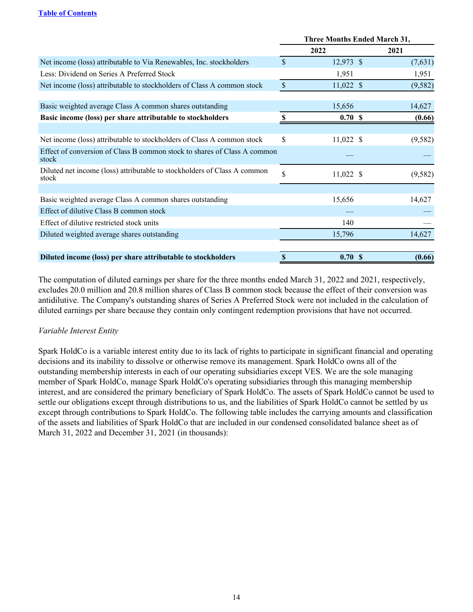|                                                                                   |               | <b>Three Months Ended March 31,</b> |          |
|-----------------------------------------------------------------------------------|---------------|-------------------------------------|----------|
|                                                                                   |               | 2022                                | 2021     |
| Net income (loss) attributable to Via Renewables, Inc. stockholders               | $\mathcal{S}$ | 12,973 \$                           | (7,631)  |
| Less: Dividend on Series A Preferred Stock                                        |               | 1,951                               | 1,951    |
| Net income (loss) attributable to stockholders of Class A common stock            | $\mathbb{S}$  | $11,022$ \$                         | (9, 582) |
|                                                                                   |               |                                     |          |
| Basic weighted average Class A common shares outstanding                          |               | 15,656                              | 14,627   |
| Basic income (loss) per share attributable to stockholders                        | \$.           | 0.70S                               | (0.66)   |
|                                                                                   |               |                                     |          |
| Net income (loss) attributable to stockholders of Class A common stock            | \$            | 11,022 \$                           | (9, 582) |
| Effect of conversion of Class B common stock to shares of Class A common<br>stock |               |                                     |          |
| Diluted net income (loss) attributable to stockholders of Class A common<br>stock | \$            | $11,022$ \$                         | (9, 582) |
|                                                                                   |               |                                     |          |
| Basic weighted average Class A common shares outstanding                          |               | 15,656                              | 14,627   |
| Effect of dilutive Class B common stock                                           |               |                                     |          |
| Effect of dilutive restricted stock units                                         |               | 140                                 |          |
| Diluted weighted average shares outstanding                                       |               | 15,796                              | 14,627   |
|                                                                                   |               |                                     |          |
| Diluted income (loss) per share attributable to stockholders                      |               | 0.70S                               | (0.66)   |

The computation of diluted earnings per share for the three months ended March 31, 2022 and 2021, respectively, excludes 20.0 million and 20.8 million shares of Class B common stock because the effect of their conversion was antidilutive. The Company's outstanding shares of Series A Preferred Stock were not included in the calculation of diluted earnings per share because they contain only contingent redemption provisions that have not occurred.

### *Variable Interest Entity*

Spark HoldCo is a variable interest entity due to its lack of rights to participate in significant financial and operating decisions and its inability to dissolve or otherwise remove its management. Spark HoldCo owns all of the outstanding membership interests in each of our operating subsidiaries except VES. We are the sole managing member of Spark HoldCo, manage Spark HoldCo's operating subsidiaries through this managing membership interest, and are considered the primary beneficiary of Spark HoldCo. The assets of Spark HoldCo cannot be used to settle our obligations except through distributions to us, and the liabilities of Spark HoldCo cannot be settled by us except through contributions to Spark HoldCo. The following table includes the carrying amounts and classification of the assets and liabilities of Spark HoldCo that are included in our condensed consolidated balance sheet as of March 31, 2022 and December 31, 2021 (in thousands):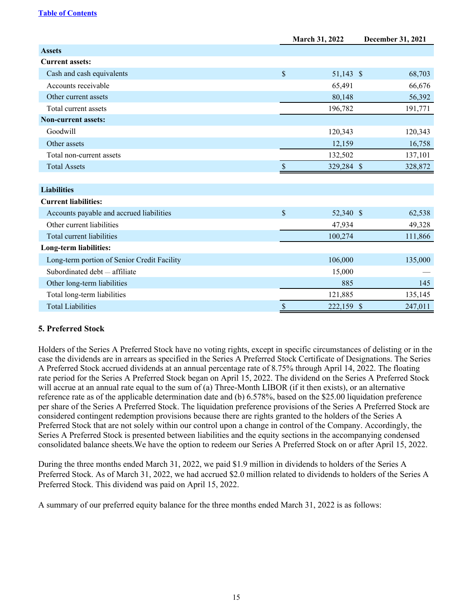|                                             |                           | March 31, 2022 | December 31, 2021 |         |  |
|---------------------------------------------|---------------------------|----------------|-------------------|---------|--|
| <b>Assets</b>                               |                           |                |                   |         |  |
| <b>Current assets:</b>                      |                           |                |                   |         |  |
| Cash and cash equivalents                   | \$                        | 51,143 \$      |                   | 68,703  |  |
| Accounts receivable                         |                           | 65,491         |                   | 66,676  |  |
| Other current assets                        |                           | 80,148         |                   | 56,392  |  |
| Total current assets                        |                           | 196,782        |                   | 191,771 |  |
| <b>Non-current assets:</b>                  |                           |                |                   |         |  |
| Goodwill                                    |                           | 120,343        |                   | 120,343 |  |
| Other assets                                |                           | 12,159         |                   | 16,758  |  |
| Total non-current assets                    |                           | 132,502        |                   | 137,101 |  |
| <b>Total Assets</b>                         | $\boldsymbol{\mathsf{S}}$ | 329,284 \$     |                   | 328,872 |  |
|                                             |                           |                |                   |         |  |
| <b>Liabilities</b>                          |                           |                |                   |         |  |
| <b>Current liabilities:</b>                 |                           |                |                   |         |  |
| Accounts payable and accrued liabilities    | \$                        | 52,340 \$      |                   | 62,538  |  |
| Other current liabilities                   |                           | 47,934         |                   | 49,328  |  |
| Total current liabilities                   |                           | 100,274        |                   | 111,866 |  |
| Long-term liabilities:                      |                           |                |                   |         |  |
| Long-term portion of Senior Credit Facility |                           | 106,000        |                   | 135,000 |  |
| Subordinated debt - affiliate               |                           | 15,000         |                   |         |  |
| Other long-term liabilities                 |                           | 885            |                   | 145     |  |
| Total long-term liabilities                 |                           | 121,885        |                   | 135,145 |  |
| <b>Total Liabilities</b>                    | $\boldsymbol{\mathsf{S}}$ | 222,159 \$     |                   | 247,011 |  |

#### **5. Preferred Stock**

Holders of the Series A Preferred Stock have no voting rights, except in specific circumstances of delisting or in the case the dividends are in arrears as specified in the Series A Preferred Stock Certificate of Designations. The Series A Preferred Stock accrued dividends at an annual percentage rate of 8.75% through April 14, 2022. The floating rate period for the Series A Preferred Stock began on April 15, 2022. The dividend on the Series A Preferred Stock will accrue at an annual rate equal to the sum of (a) Three-Month LIBOR (if it then exists), or an alternative reference rate as of the applicable determination date and (b) 6.578%, based on the \$25.00 liquidation preference per share of the Series A Preferred Stock. The liquidation preference provisions of the Series A Preferred Stock are considered contingent redemption provisions because there are rights granted to the holders of the Series A Preferred Stock that are not solely within our control upon a change in control of the Company. Accordingly, the Series A Preferred Stock is presented between liabilities and the equity sections in the accompanying condensed consolidated balance sheets.We have the option to redeem our Series A Preferred Stock on or after April 15, 2022.

During the three months ended March 31, 2022, we paid \$1.9 million in dividends to holders of the Series A Preferred Stock. As of March 31, 2022, we had accrued \$2.0 million related to dividends to holders of the Series A Preferred Stock. This dividend was paid on April 15, 2022.

A summary of our preferred equity balance for the three months ended March 31, 2022 is as follows: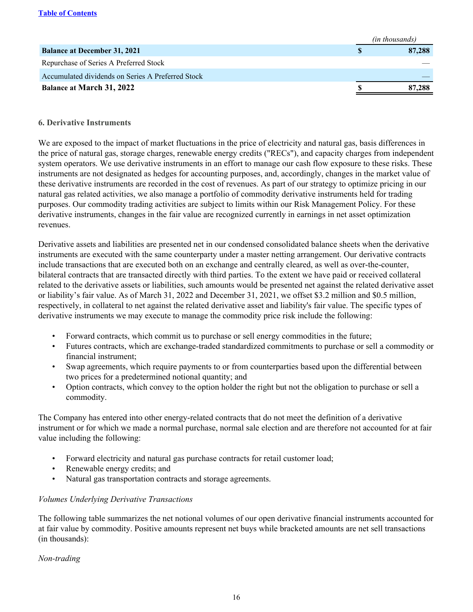|                                                   | <i>(in thousands)</i> |
|---------------------------------------------------|-----------------------|
| <b>Balance at December 31, 2021</b>               | 87,288                |
| Repurchase of Series A Preferred Stock            |                       |
| Accumulated dividends on Series A Preferred Stock |                       |
| <b>Balance at March 31, 2022</b>                  | 87,288                |
|                                                   |                       |

#### **6. Derivative Instruments**

We are exposed to the impact of market fluctuations in the price of electricity and natural gas, basis differences in the price of natural gas, storage charges, renewable energy credits ("RECs"), and capacity charges from independent system operators. We use derivative instruments in an effort to manage our cash flow exposure to these risks. These instruments are not designated as hedges for accounting purposes, and, accordingly, changes in the market value of these derivative instruments are recorded in the cost of revenues. As part of our strategy to optimize pricing in our natural gas related activities, we also manage a portfolio of commodity derivative instruments held for trading purposes. Our commodity trading activities are subject to limits within our Risk Management Policy. For these derivative instruments, changes in the fair value are recognized currently in earnings in net asset optimization revenues.

Derivative assets and liabilities are presented net in our condensed consolidated balance sheets when the derivative instruments are executed with the same counterparty under a master netting arrangement. Our derivative contracts include transactions that are executed both on an exchange and centrally cleared, as well as over-the-counter, bilateral contracts that are transacted directly with third parties. To the extent we have paid or received collateral related to the derivative assets or liabilities, such amounts would be presented net against the related derivative asset or liability's fair value. As of March 31, 2022 and December 31, 2021, we offset \$3.2 million and \$0.5 million, respectively, in collateral to net against the related derivative asset and liability's fair value. The specific types of derivative instruments we may execute to manage the commodity price risk include the following:

- Forward contracts, which commit us to purchase or sell energy commodities in the future;
- Futures contracts, which are exchange-traded standardized commitments to purchase or sell a commodity or financial instrument;
- Swap agreements, which require payments to or from counterparties based upon the differential between two prices for a predetermined notional quantity; and
- Option contracts, which convey to the option holder the right but not the obligation to purchase or sell a commodity.

The Company has entered into other energy-related contracts that do not meet the definition of a derivative instrument or for which we made a normal purchase, normal sale election and are therefore not accounted for at fair value including the following:

- Forward electricity and natural gas purchase contracts for retail customer load;
- Renewable energy credits; and
- Natural gas transportation contracts and storage agreements.

#### *Volumes Underlying Derivative Transactions*

The following table summarizes the net notional volumes of our open derivative financial instruments accounted for at fair value by commodity. Positive amounts represent net buys while bracketed amounts are net sell transactions (in thousands):

#### *Non-trading*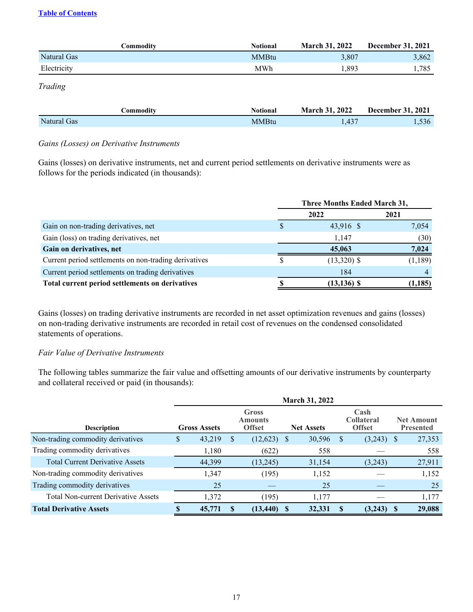|             | Commodity | <b>Notional</b> | <b>March 31, 2022</b> | December 31, 2021 |
|-------------|-----------|-----------------|-----------------------|-------------------|
| Natural Gas |           | <b>MMBtu</b>    | 3,807                 | 3,862             |
| Electricity |           | MWh             | 1,893                 | 1,785             |
| Trading     |           |                 |                       |                   |
|             | Commodity | <b>Notional</b> | <b>March 31, 2022</b> | December 31, 2021 |
| Natural Gas |           | <b>MMBtu</b>    | 1,437                 | 1,536             |
|             |           |                 |                       |                   |

#### *Gains (Losses) on Derivative Instruments*

Gains (losses) on derivative instruments, net and current period settlements on derivative instruments were as follows for the periods indicated (in thousands):

|                                                       | <b>Three Months Ended March 31,</b> |                |          |  |  |  |
|-------------------------------------------------------|-------------------------------------|----------------|----------|--|--|--|
|                                                       |                                     | 2022           | 2021     |  |  |  |
| Gain on non-trading derivatives, net                  | S                                   | 43,916 \$      | 7,054    |  |  |  |
| Gain (loss) on trading derivatives, net               |                                     | 1.147          | (30)     |  |  |  |
| Gain on derivatives, net                              |                                     | 45,063         | 7,024    |  |  |  |
| Current period settlements on non-trading derivatives | S                                   | $(13,320)$ \$  | (1,189)  |  |  |  |
| Current period settlements on trading derivatives     |                                     | 184            |          |  |  |  |
| Total current period settlements on derivatives       |                                     | $(13, 136)$ \$ | (1, 185) |  |  |  |

Gains (losses) on trading derivative instruments are recorded in net asset optimization revenues and gains (losses) on non-trading derivative instruments are recorded in retail cost of revenues on the condensed consolidated statements of operations.

#### *Fair Value of Derivative Instruments*

The following tables summarize the fair value and offsetting amounts of our derivative instruments by counterparty and collateral received or paid (in thousands):

|                                            | <b>March 31, 2022</b> |                     |   |                                          |    |                   |    |                                            |    |                                       |  |
|--------------------------------------------|-----------------------|---------------------|---|------------------------------------------|----|-------------------|----|--------------------------------------------|----|---------------------------------------|--|
| <b>Description</b>                         |                       | <b>Gross Assets</b> |   | Gross<br><b>Amounts</b><br><b>Offset</b> |    | <b>Net Assets</b> |    | Cash<br><b>Collateral</b><br><b>Offset</b> |    | <b>Net Amount</b><br><b>Presented</b> |  |
| Non-trading commodity derivatives          | \$                    | 43,219              | S | (12,623)                                 | -S | 30,596            | -S | (3,243)                                    | -S | 27,353                                |  |
| Trading commodity derivatives              |                       | 1,180               |   | (622)                                    |    | 558               |    |                                            |    | 558                                   |  |
| <b>Total Current Derivative Assets</b>     |                       | 44,399              |   | (13,245)                                 |    | 31,154            |    | (3,243)                                    |    | 27,911                                |  |
| Non-trading commodity derivatives          |                       | 1,347               |   | (195)                                    |    | 1,152             |    |                                            |    | 1,152                                 |  |
| Trading commodity derivatives              |                       | 25                  |   |                                          |    | 25                |    |                                            |    | 25                                    |  |
| <b>Total Non-current Derivative Assets</b> |                       | 1.372               |   | (195)                                    |    | 1,177             |    |                                            |    | 1,177                                 |  |
| <b>Total Derivative Assets</b>             |                       | 45,771              | S | (13, 440)                                | -S | 32,331            | S  | (3,243)                                    |    | 29,088                                |  |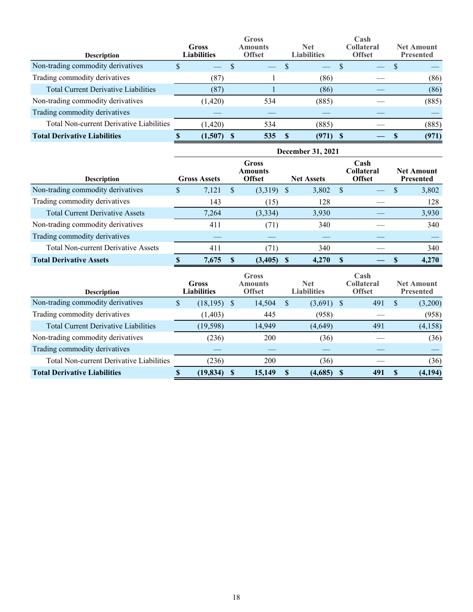| <b>Description</b>                              | Gross<br><b>Liabilities</b> |         | <b>Gross</b><br><b>Amounts</b><br><b>Offset</b> | <b>Net</b><br><b>Liabilities</b> | $\mathbf{Cash}$<br><b>Collateral</b><br><b>Offset</b> | <b>Net Amount</b><br><b>Presented</b> |
|-------------------------------------------------|-----------------------------|---------|-------------------------------------------------|----------------------------------|-------------------------------------------------------|---------------------------------------|
| Non-trading commodity derivatives               |                             |         |                                                 |                                  |                                                       |                                       |
| Trading commodity derivatives                   |                             | (87)    |                                                 | (86)                             |                                                       | (86)                                  |
| <b>Total Current Derivative Liabilities</b>     |                             | (87)    |                                                 | (86)                             |                                                       | (86)                                  |
| Non-trading commodity derivatives               |                             | (1,420) | 534                                             | (885)                            |                                                       | (885)                                 |
| Trading commodity derivatives                   |                             |         |                                                 |                                  |                                                       |                                       |
| <b>Total Non-current Derivative Liabilities</b> |                             | (1,420) | 534                                             | (885)                            |                                                       | (885)                                 |
| <b>Total Derivative Liabilities</b>             |                             | (1,507) | 535                                             | (971)                            |                                                       | (971)                                 |

|                                            | <b>December 31, 2021</b> |                     |    |                                                 |    |                   |              |                                            |   |                                       |  |
|--------------------------------------------|--------------------------|---------------------|----|-------------------------------------------------|----|-------------------|--------------|--------------------------------------------|---|---------------------------------------|--|
| <b>Description</b>                         |                          | <b>Gross Assets</b> |    | <b>Gross</b><br><b>Amounts</b><br><b>Offset</b> |    | <b>Net Assets</b> |              | Cash<br><b>Collateral</b><br><b>Offset</b> |   | <b>Net Amount</b><br><b>Presented</b> |  |
| Non-trading commodity derivatives          | S                        | 7,121               | -S | $(3,319)$ \$                                    |    | 3,802             | <sup>S</sup> |                                            | S | 3,802                                 |  |
| Trading commodity derivatives              |                          | 143                 |    | (15)                                            |    | 128               |              |                                            |   | 128                                   |  |
| <b>Total Current Derivative Assets</b>     |                          | 7,264               |    | (3, 334)                                        |    | 3,930             |              |                                            |   | 3,930                                 |  |
| Non-trading commodity derivatives          |                          | 411                 |    | (71)                                            |    | 340               |              |                                            |   | 340                                   |  |
| Trading commodity derivatives              |                          |                     |    |                                                 |    |                   |              |                                            |   |                                       |  |
| <b>Total Non-current Derivative Assets</b> |                          | 411                 |    | (71)                                            |    | 340               |              |                                            |   | 340                                   |  |
| <b>Total Derivative Assets</b>             |                          | 7,675               |    | (3, 405)                                        | -S | 4,270             | <b>S</b>     |                                            |   | 4,270                                 |  |

| <b>Description</b>                              | Gross<br><b>Liabilities</b> | <b>Gross</b><br><b>Amounts</b><br><b>Offset</b> |   | <b>Net</b><br><b>Liabilities</b> |      | $\mathbf{Cash}$<br><b>Collateral</b><br><b>Offset</b> |   | <b>Net Amount</b><br><b>Presented</b> |
|-------------------------------------------------|-----------------------------|-------------------------------------------------|---|----------------------------------|------|-------------------------------------------------------|---|---------------------------------------|
| Non-trading commodity derivatives               | \$<br>(18, 195)             | 14,504                                          | S | (3,691)                          | - \$ | 491                                                   | S | (3,200)                               |
| Trading commodity derivatives                   | (1,403)                     | 445                                             |   | (958)                            |      |                                                       |   | (958)                                 |
| <b>Total Current Derivative Liabilities</b>     | (19, 598)                   | 14,949                                          |   | (4,649)                          |      | 491                                                   |   | (4, 158)                              |
| Non-trading commodity derivatives               | (236)                       | 200                                             |   | (36)                             |      |                                                       |   | (36)                                  |
| Trading commodity derivatives                   |                             |                                                 |   |                                  |      |                                                       |   |                                       |
| <b>Total Non-current Derivative Liabilities</b> | (236)                       | <b>200</b>                                      |   | 36)                              |      |                                                       |   | (36)                                  |
| <b>Total Derivative Liabilities</b>             | (19, 834)                   | 15,149                                          |   | (4,685)                          |      | 491                                                   |   | (4, 194)                              |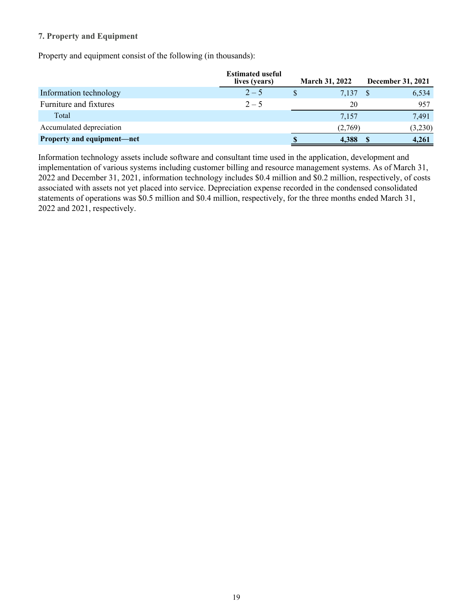### **7. Property and Equipment**

Property and equipment consist of the following (in thousands):

|                            | <b>Estimated useful</b><br>lives (years) |   | <b>March 31, 2022</b> | <b>December 31, 2021</b> |
|----------------------------|------------------------------------------|---|-----------------------|--------------------------|
| Information technology     | $2 - 5$                                  | S | $7,137$ \$            | 6,534                    |
| Furniture and fixtures     | $2 - 5$                                  |   | 20                    | 957                      |
| Total                      |                                          |   | 7,157                 | 7,491                    |
| Accumulated depreciation   |                                          |   | (2,769)               | (3,230)                  |
| Property and equipment—net |                                          |   | 4,388                 | 4,261                    |

Information technology assets include software and consultant time used in the application, development and implementation of various systems including customer billing and resource management systems. As of March 31, 2022 and December 31, 2021, information technology includes \$0.4 million and \$0.2 million, respectively, of costs associated with assets not yet placed into service. Depreciation expense recorded in the condensed consolidated statements of operations was \$0.5 million and \$0.4 million, respectively, for the three months ended March 31, 2022 and 2021, respectively.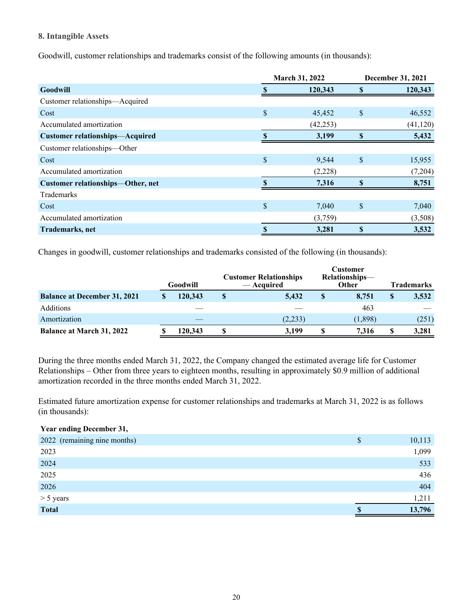#### **8. Intangible Assets**

Goodwill, customer relationships and trademarks consist of the following amounts (in thousands):

|                                        |              | March 31, 2022 |               | December 31, 2021 |
|----------------------------------------|--------------|----------------|---------------|-------------------|
| <b>Goodwill</b>                        |              | 120,343        |               | 120,343           |
| Customer relationships-Acquired        |              |                |               |                   |
| Cost                                   | \$           | 45,452         | \$            | 46,552            |
| Accumulated amortization               |              | (42, 253)      |               | (41, 120)         |
| <b>Customer relationships—Acquired</b> |              | 3,199          |               | 5,432             |
| Customer relationships—Other           |              |                |               |                   |
| Cost                                   | $\mathbb{S}$ | 9,544          | $\mathbb{S}$  | 15,955            |
| Accumulated amortization               |              | (2,228)        |               | (7,204)           |
| Customer relationships-Other, net      | $\mathbf{S}$ | 7,316          | $\mathbf{\$}$ | 8,751             |
| Trademarks                             |              |                |               |                   |
| Cost                                   | \$           | 7,040          | \$            | 7,040             |
| Accumulated amortization               |              | (3,759)        |               | (3,508)           |
| Trademarks, net                        | S            | 3,281          | <sup>\$</sup> | 3,532             |

Changes in goodwill, customer relationships and trademarks consisted of the following (in thousands):

|                                     | Goodwill | <b>Customer Relationships</b><br>— Acquired |   | <b>Customer</b><br>Relationships-<br><b>Other</b> | <b>Trademarks</b> |       |  |
|-------------------------------------|----------|---------------------------------------------|---|---------------------------------------------------|-------------------|-------|--|
| <b>Balance at December 31, 2021</b> | 120.343  | 5,432                                       | S | 8.751                                             | S                 | 3,532 |  |
| <b>Additions</b>                    |          |                                             |   | 463                                               |                   |       |  |
| Amortization                        |          | (2,233)                                     |   | (1,898)                                           |                   | (251) |  |
| <b>Balance at March 31, 2022</b>    | 120.343  | 3,199                                       |   | 7.316                                             | D                 | 3,281 |  |

During the three months ended March 31, 2022, the Company changed the estimated average life for Customer Relationships – Other from three years to eighteen months, resulting in approximately \$0.9 million of additional amortization recorded in the three months ended March 31, 2022.

Estimated future amortization expense for customer relationships and trademarks at March 31, 2022 is as follows (in thousands):

#### **Year ending December 31,**

| 2022 (remaining nine months) | Φ | 10,113 |
|------------------------------|---|--------|
| 2023                         |   | 1,099  |
| 2024                         |   | 533    |
| 2025                         |   | 436    |
| 2026                         |   | 404    |
| $> 5$ years                  |   | 1,211  |
| <b>Total</b>                 |   | 13,796 |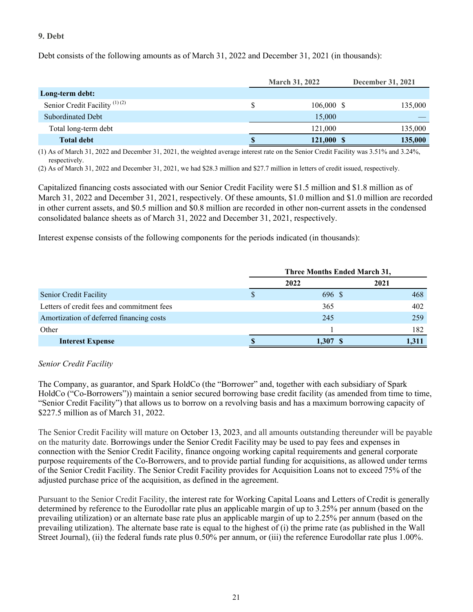### **9. Debt**

Debt consists of the following amounts as of March 31, 2022 and December 31, 2021 (in thousands):

|                                          | <b>March 31, 2022</b> | <b>December 31, 2021</b> |  |  |
|------------------------------------------|-----------------------|--------------------------|--|--|
| Long-term debt:                          |                       |                          |  |  |
| Senior Credit Facility <sup>(1)(2)</sup> | $106,000 \text{ S}$   | 135,000                  |  |  |
| <b>Subordinated Debt</b>                 | 15,000                |                          |  |  |
| Total long-term debt                     | 121,000               | 135,000                  |  |  |
| <b>Total debt</b>                        | 121,000               | 135,000                  |  |  |

(1) As of March 31, 2022 and December 31, 2021, the weighted average interest rate on the Senior Credit Facility was 3.51% and 3.24%, respectively.

(2) As of March 31, 2022 and December 31, 2021, we had \$28.3 million and \$27.7 million in letters of credit issued, respectively.

Capitalized financing costs associated with our Senior Credit Facility were \$1.5 million and \$1.8 million as of March 31, 2022 and December 31, 2021, respectively. Of these amounts, \$1.0 million and \$1.0 million are recorded in other current assets, and \$0.5 million and \$0.8 million are recorded in other non-current assets in the condensed consolidated balance sheets as of March 31, 2022 and December 31, 2021, respectively.

Interest expense consists of the following components for the periods indicated (in thousands):

|                                            | Three Months Ended March 31, |         |       |  |  |
|--------------------------------------------|------------------------------|---------|-------|--|--|
|                                            |                              | 2022    | 2021  |  |  |
| Senior Credit Facility                     |                              | 696 \$  | 468   |  |  |
| Letters of credit fees and commitment fees |                              | 365     | 402   |  |  |
| Amortization of deferred financing costs   |                              | 245     | 259   |  |  |
| Other                                      |                              |         | 182   |  |  |
| <b>Interest Expense</b>                    |                              | 1.307 S | 1.311 |  |  |

#### *Senior Credit Facility*

The Company, as guarantor, and Spark HoldCo (the "Borrower" and, together with each subsidiary of Spark HoldCo ("Co-Borrowers")) maintain a senior secured borrowing base credit facility (as amended from time to time, "Senior Credit Facility") that allows us to borrow on a revolving basis and has a maximum borrowing capacity of \$227.5 million as of March 31, 2022.

The Senior Credit Facility will mature on October 13, 2023, and all amounts outstanding thereunder will be payable on the maturity date. Borrowings under the Senior Credit Facility may be used to pay fees and expenses in connection with the Senior Credit Facility, finance ongoing working capital requirements and general corporate purpose requirements of the Co-Borrowers, and to provide partial funding for acquisitions, as allowed under terms of the Senior Credit Facility. The Senior Credit Facility provides for Acquisition Loans not to exceed 75% of the adjusted purchase price of the acquisition, as defined in the agreement.

Pursuant to the Senior Credit Facility, the interest rate for Working Capital Loans and Letters of Credit is generally determined by reference to the Eurodollar rate plus an applicable margin of up to 3.25% per annum (based on the prevailing utilization) or an alternate base rate plus an applicable margin of up to 2.25% per annum (based on the prevailing utilization). The alternate base rate is equal to the highest of (i) the prime rate (as published in the Wall Street Journal), (ii) the federal funds rate plus 0.50% per annum, or (iii) the reference Eurodollar rate plus 1.00%.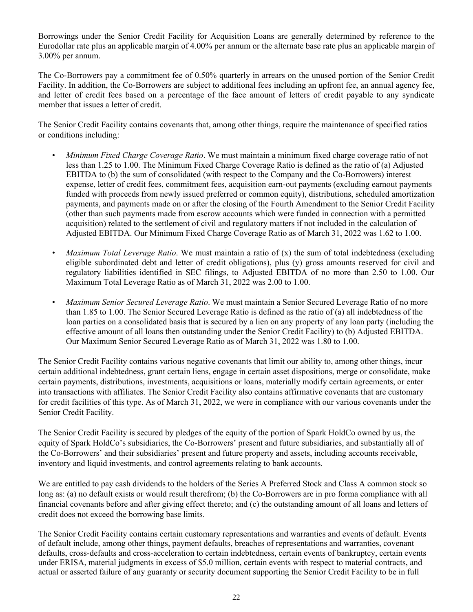Borrowings under the Senior Credit Facility for Acquisition Loans are generally determined by reference to the Eurodollar rate plus an applicable margin of 4.00% per annum or the alternate base rate plus an applicable margin of 3.00% per annum.

The Co-Borrowers pay a commitment fee of 0.50% quarterly in arrears on the unused portion of the Senior Credit Facility. In addition, the Co-Borrowers are subject to additional fees including an upfront fee, an annual agency fee, and letter of credit fees based on a percentage of the face amount of letters of credit payable to any syndicate member that issues a letter of credit.

The Senior Credit Facility contains covenants that, among other things, require the maintenance of specified ratios or conditions including:

- *Minimum Fixed Charge Coverage Ratio*. We must maintain a minimum fixed charge coverage ratio of not less than 1.25 to 1.00. The Minimum Fixed Charge Coverage Ratio is defined as the ratio of (a) Adjusted EBITDA to (b) the sum of consolidated (with respect to the Company and the Co-Borrowers) interest expense, letter of credit fees, commitment fees, acquisition earn-out payments (excluding earnout payments funded with proceeds from newly issued preferred or common equity), distributions, scheduled amortization payments, and payments made on or after the closing of the Fourth Amendment to the Senior Credit Facility (other than such payments made from escrow accounts which were funded in connection with a permitted acquisition) related to the settlement of civil and regulatory matters if not included in the calculation of Adjusted EBITDA. Our Minimum Fixed Charge Coverage Ratio as of March 31, 2022 was 1.62 to 1.00.
- *Maximum Total Leverage Ratio*. We must maintain a ratio of (x) the sum of total indebtedness (excluding eligible subordinated debt and letter of credit obligations), plus (y) gross amounts reserved for civil and regulatory liabilities identified in SEC filings, to Adjusted EBITDA of no more than 2.50 to 1.00. Our Maximum Total Leverage Ratio as of March 31, 2022 was 2.00 to 1.00.
- *Maximum Senior Secured Leverage Ratio*. We must maintain a Senior Secured Leverage Ratio of no more than 1.85 to 1.00. The Senior Secured Leverage Ratio is defined as the ratio of (a) all indebtedness of the loan parties on a consolidated basis that is secured by a lien on any property of any loan party (including the effective amount of all loans then outstanding under the Senior Credit Facility) to (b) Adjusted EBITDA. Our Maximum Senior Secured Leverage Ratio as of March 31, 2022 was 1.80 to 1.00.

The Senior Credit Facility contains various negative covenants that limit our ability to, among other things, incur certain additional indebtedness, grant certain liens, engage in certain asset dispositions, merge or consolidate, make certain payments, distributions, investments, acquisitions or loans, materially modify certain agreements, or enter into transactions with affiliates. The Senior Credit Facility also contains affirmative covenants that are customary for credit facilities of this type. As of March 31, 2022, we were in compliance with our various covenants under the Senior Credit Facility.

The Senior Credit Facility is secured by pledges of the equity of the portion of Spark HoldCo owned by us, the equity of Spark HoldCo's subsidiaries, the Co-Borrowers' present and future subsidiaries, and substantially all of the Co-Borrowers' and their subsidiaries' present and future property and assets, including accounts receivable, inventory and liquid investments, and control agreements relating to bank accounts.

We are entitled to pay cash dividends to the holders of the Series A Preferred Stock and Class A common stock so long as: (a) no default exists or would result therefrom; (b) the Co-Borrowers are in pro forma compliance with all financial covenants before and after giving effect thereto; and (c) the outstanding amount of all loans and letters of credit does not exceed the borrowing base limits.

The Senior Credit Facility contains certain customary representations and warranties and events of default. Events of default include, among other things, payment defaults, breaches of representations and warranties, covenant defaults, cross-defaults and cross-acceleration to certain indebtedness, certain events of bankruptcy, certain events under ERISA, material judgments in excess of \$5.0 million, certain events with respect to material contracts, and actual or asserted failure of any guaranty or security document supporting the Senior Credit Facility to be in full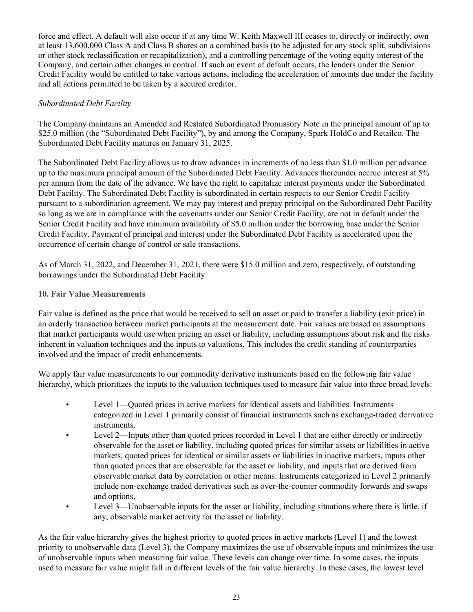force and effect. A default will also occur if at any time W. Keith Maxwell III ceases to, directly or indirectly, own at least 13,600,000 Class A and Class B shares on a combined basis (to be adjusted for any stock split, subdivisions or other stock reclassification or recapitalization), and a controlling percentage of the voting equity interest of the Company, and certain other changes in control. If such an event of default occurs, the lenders under the Senior Credit Facility would be entitled to take various actions, including the acceleration of amounts due under the facility and all actions permitted to be taken by a secured creditor.

### *Subordinated Debt Facility*

The Company maintains an Amended and Restated Subordinated Promissory Note in the principal amount of up to \$25.0 million (the "Subordinated Debt Facility"), by and among the Company, Spark HoldCo and Retailco. The Subordinated Debt Facility matures on January 31, 2025.

The Subordinated Debt Facility allows us to draw advances in increments of no less than \$1.0 million per advance up to the maximum principal amount of the Subordinated Debt Facility. Advances thereunder accrue interest at 5% per annum from the date of the advance. We have the right to capitalize interest payments under the Subordinated Debt Facility. The Subordinated Debt Facility is subordinated in certain respects to our Senior Credit Facility pursuant to a subordination agreement. We may pay interest and prepay principal on the Subordinated Debt Facility so long as we are in compliance with the covenants under our Senior Credit Facility, are not in default under the Senior Credit Facility and have minimum availability of \$5.0 million under the borrowing base under the Senior Credit Facility. Payment of principal and interest under the Subordinated Debt Facility is accelerated upon the occurrence of certain change of control or sale transactions.

As of March 31, 2022, and December 31, 2021, there were \$15.0 million and zero, respectively, of outstanding borrowings under the Subordinated Debt Facility.

#### **10. Fair Value Measurements**

Fair value is defined as the price that would be received to sell an asset or paid to transfer a liability (exit price) in an orderly transaction between market participants at the measurement date. Fair values are based on assumptions that market participants would use when pricing an asset or liability, including assumptions about risk and the risks inherent in valuation techniques and the inputs to valuations. This includes the credit standing of counterparties involved and the impact of credit enhancements.

We apply fair value measurements to our commodity derivative instruments based on the following fair value hierarchy, which prioritizes the inputs to the valuation techniques used to measure fair value into three broad levels:

- Level 1—Quoted prices in active markets for identical assets and liabilities. Instruments categorized in Level 1 primarily consist of financial instruments such as exchange-traded derivative instruments.
- Level 2—Inputs other than quoted prices recorded in Level 1 that are either directly or indirectly observable for the asset or liability, including quoted prices for similar assets or liabilities in active markets, quoted prices for identical or similar assets or liabilities in inactive markets, inputs other than quoted prices that are observable for the asset or liability, and inputs that are derived from observable market data by correlation or other means. Instruments categorized in Level 2 primarily include non-exchange traded derivatives such as over-the-counter commodity forwards and swaps and options.
- Level 3—Unobservable inputs for the asset or liability, including situations where there is little, if any, observable market activity for the asset or liability.

As the fair value hierarchy gives the highest priority to quoted prices in active markets (Level 1) and the lowest priority to unobservable data (Level 3), the Company maximizes the use of observable inputs and minimizes the use of unobservable inputs when measuring fair value. These levels can change over time. In some cases, the inputs used to measure fair value might fall in different levels of the fair value hierarchy. In these cases, the lowest level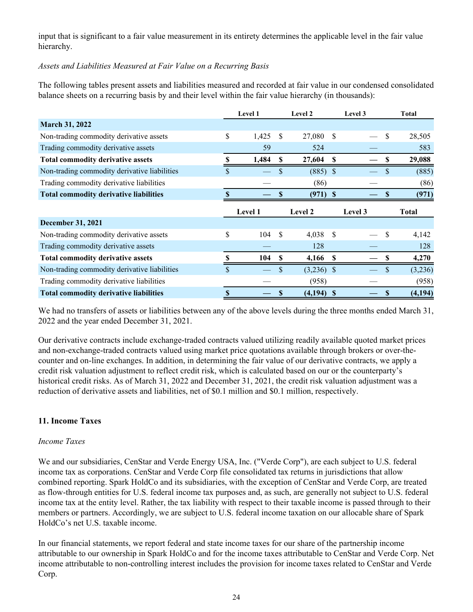input that is significant to a fair value measurement in its entirety determines the applicable level in the fair value hierarchy.

### *Assets and Liabilities Measured at Fair Value on a Recurring Basis*

The following tables present assets and liabilities measured and recorded at fair value in our condensed consolidated balance sheets on a recurring basis by and their level within the fair value hierarchy (in thousands):

|                                               |                    | Level 1 |     | Level 2      |     | Level 3 |                           | <b>Total</b> |
|-----------------------------------------------|--------------------|---------|-----|--------------|-----|---------|---------------------------|--------------|
| <b>March 31, 2022</b>                         |                    |         |     |              |     |         |                           |              |
| Non-trading commodity derivative assets       | \$                 | 1,425   | \$  | 27,080       | S   |         | \$                        | 28,505       |
| Trading commodity derivative assets           |                    | 59      |     | 524          |     |         |                           | 583          |
| <b>Total commodity derivative assets</b>      |                    | 1,484   | S   | 27,604       | S   |         |                           | 29,088       |
| Non-trading commodity derivative liabilities  | $\mathbf{\hat{s}}$ |         | \$  | $(885)$ \$   |     |         | <sup>\$</sup>             | (885)        |
| Trading commodity derivative liabilities      |                    |         |     | (86)         |     |         |                           | (86)         |
| <b>Total commodity derivative liabilities</b> |                    |         | \$  | $(971)$ \$   |     |         | $\boldsymbol{\mathsf{s}}$ | (971)        |
|                                               |                    |         |     |              |     |         |                           |              |
|                                               |                    | Level 1 |     | Level 2      |     | Level 3 |                           | <b>Total</b> |
| <b>December 31, 2021</b>                      |                    |         |     |              |     |         |                           |              |
| Non-trading commodity derivative assets       | \$                 | 104     | -\$ | 4,038        | -\$ |         | S                         | 4,142        |
| Trading commodity derivative assets           |                    |         |     | 128          |     |         |                           | 128          |
| <b>Total commodity derivative assets</b>      | \$                 | 104     | S   | 4,166        | S   |         | S                         | 4,270        |
| Non-trading commodity derivative liabilities  | $\mathbf{s}$       |         | \$  | $(3,236)$ \$ |     |         | \$                        | (3,236)      |
| Trading commodity derivative liabilities      |                    |         |     | (958)        |     |         |                           | (958)        |

We had no transfers of assets or liabilities between any of the above levels during the three months ended March 31, 2022 and the year ended December 31, 2021.

Our derivative contracts include exchange-traded contracts valued utilizing readily available quoted market prices and non-exchange-traded contracts valued using market price quotations available through brokers or over-thecounter and on-line exchanges. In addition, in determining the fair value of our derivative contracts, we apply a credit risk valuation adjustment to reflect credit risk, which is calculated based on our or the counterparty's historical credit risks. As of March 31, 2022 and December 31, 2021, the credit risk valuation adjustment was a reduction of derivative assets and liabilities, net of \$0.1 million and \$0.1 million, respectively.

## **11. Income Taxes**

### *Income Taxes*

We and our subsidiaries, CenStar and Verde Energy USA, Inc. ("Verde Corp"), are each subject to U.S. federal income tax as corporations. CenStar and Verde Corp file consolidated tax returns in jurisdictions that allow combined reporting. Spark HoldCo and its subsidiaries, with the exception of CenStar and Verde Corp, are treated as flow-through entities for U.S. federal income tax purposes and, as such, are generally not subject to U.S. federal income tax at the entity level. Rather, the tax liability with respect to their taxable income is passed through to their members or partners. Accordingly, we are subject to U.S. federal income taxation on our allocable share of Spark HoldCo's net U.S. taxable income.

In our financial statements, we report federal and state income taxes for our share of the partnership income attributable to our ownership in Spark HoldCo and for the income taxes attributable to CenStar and Verde Corp. Net income attributable to non-controlling interest includes the provision for income taxes related to CenStar and Verde Corp.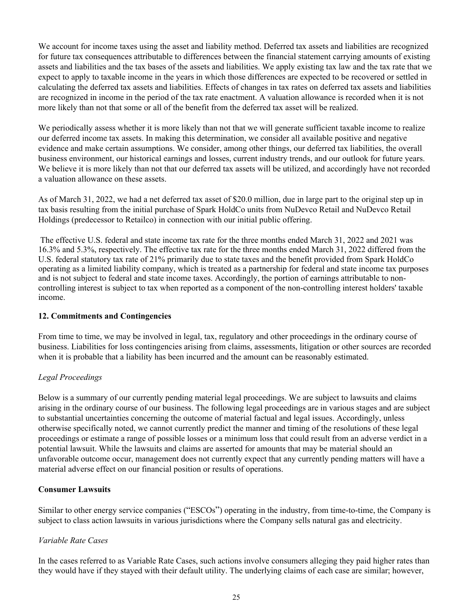We account for income taxes using the asset and liability method. Deferred tax assets and liabilities are recognized for future tax consequences attributable to differences between the financial statement carrying amounts of existing assets and liabilities and the tax bases of the assets and liabilities. We apply existing tax law and the tax rate that we expect to apply to taxable income in the years in which those differences are expected to be recovered or settled in calculating the deferred tax assets and liabilities. Effects of changes in tax rates on deferred tax assets and liabilities are recognized in income in the period of the tax rate enactment. A valuation allowance is recorded when it is not more likely than not that some or all of the benefit from the deferred tax asset will be realized.

We periodically assess whether it is more likely than not that we will generate sufficient taxable income to realize our deferred income tax assets. In making this determination, we consider all available positive and negative evidence and make certain assumptions. We consider, among other things, our deferred tax liabilities, the overall business environment, our historical earnings and losses, current industry trends, and our outlook for future years. We believe it is more likely than not that our deferred tax assets will be utilized, and accordingly have not recorded a valuation allowance on these assets.

As of March 31, 2022, we had a net deferred tax asset of \$20.0 million, due in large part to the original step up in tax basis resulting from the initial purchase of Spark HoldCo units from NuDevco Retail and NuDevco Retail Holdings (predecessor to Retailco) in connection with our initial public offering.

 The effective U.S. federal and state income tax rate for the three months ended March 31, 2022 and 2021 was 16.3% and 5.3%, respectively. The effective tax rate for the three months ended March 31, 2022 differed from the U.S. federal statutory tax rate of 21% primarily due to state taxes and the benefit provided from Spark HoldCo operating as a limited liability company, which is treated as a partnership for federal and state income tax purposes and is not subject to federal and state income taxes. Accordingly, the portion of earnings attributable to noncontrolling interest is subject to tax when reported as a component of the non-controlling interest holders' taxable income.

### **12. Commitments and Contingencies**

From time to time, we may be involved in legal, tax, regulatory and other proceedings in the ordinary course of business. Liabilities for loss contingencies arising from claims, assessments, litigation or other sources are recorded when it is probable that a liability has been incurred and the amount can be reasonably estimated.

### *Legal Proceedings*

Below is a summary of our currently pending material legal proceedings. We are subject to lawsuits and claims arising in the ordinary course of our business. The following legal proceedings are in various stages and are subject to substantial uncertainties concerning the outcome of material factual and legal issues. Accordingly, unless otherwise specifically noted, we cannot currently predict the manner and timing of the resolutions of these legal proceedings or estimate a range of possible losses or a minimum loss that could result from an adverse verdict in a potential lawsuit. While the lawsuits and claims are asserted for amounts that may be material should an unfavorable outcome occur, management does not currently expect that any currently pending matters will have a material adverse effect on our financial position or results of operations.

#### **Consumer Lawsuits**

Similar to other energy service companies ("ESCOs") operating in the industry, from time-to-time, the Company is subject to class action lawsuits in various jurisdictions where the Company sells natural gas and electricity.

### *Variable Rate Cases*

In the cases referred to as Variable Rate Cases, such actions involve consumers alleging they paid higher rates than they would have if they stayed with their default utility. The underlying claims of each case are similar; however,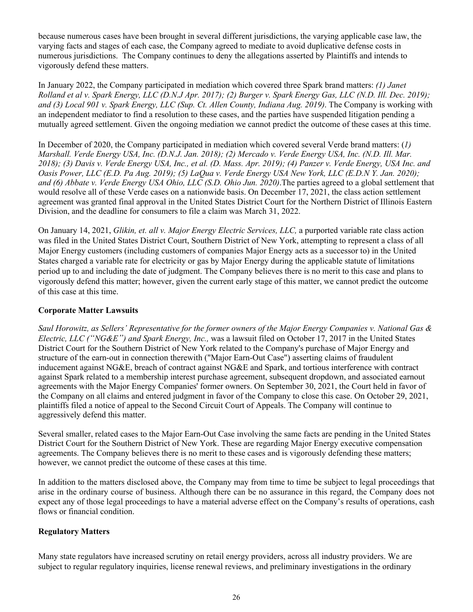because numerous cases have been brought in several different jurisdictions, the varying applicable case law, the varying facts and stages of each case, the Company agreed to mediate to avoid duplicative defense costs in numerous jurisdictions. The Company continues to deny the allegations asserted by Plaintiffs and intends to vigorously defend these matters.

In January 2022, the Company participated in mediation which covered three Spark brand matters: *(1) Janet Rolland et al v. Spark Energy, LLC (D.N.J Apr. 2017); (2) Burger v. Spark Energy Gas, LLC (N.D. Ill. Dec. 2019); and (3) Local 901 v. Spark Energy, LLC (Sup. Ct. Allen County, Indiana Aug. 2019)*. The Company is working with an independent mediator to find a resolution to these cases, and the parties have suspended litigation pending a mutually agreed settlement. Given the ongoing mediation we cannot predict the outcome of these cases at this time.

In December of 2020, the Company participated in mediation which covered several Verde brand matters: (*1) Marshall. Verde Energy USA, Inc. (D.N.J. Jan. 2018); (2) Mercado v. Verde Energy USA, Inc. (N.D. Ill. Mar. 2018); (3) Davis v. Verde Energy USA, Inc., et al. (D. Mass. Apr. 2019); (4) Panzer v. Verde Energy, USA Inc. and Oasis Power, LLC (E.D. Pa Aug. 2019); (5) LaQua v. Verde Energy USA New York, LLC (E.D.N Y. Jan. 2020); and (6) Abbate v. Verde Energy USA Ohio, LLC (S.D. Ohio Jun. 2020)*.The parties agreed to a global settlement that would resolve all of these Verde cases on a nationwide basis. On December 17, 2021, the class action settlement agreement was granted final approval in the United States District Court for the Northern District of Illinois Eastern Division, and the deadline for consumers to file a claim was March 31, 2022.

On January 14, 2021, *Glikin, et. all v. Major Energy Electric Services, LLC,* a purported variable rate class action was filed in the United States District Court, Southern District of New York, attempting to represent a class of all Major Energy customers (including customers of companies Major Energy acts as a successor to) in the United States charged a variable rate for electricity or gas by Major Energy during the applicable statute of limitations period up to and including the date of judgment. The Company believes there is no merit to this case and plans to vigorously defend this matter; however, given the current early stage of this matter, we cannot predict the outcome of this case at this time.

### **Corporate Matter Lawsuits**

*Saul Horowitz, as Sellers' Representative for the former owners of the Major Energy Companies v. National Gas & Electric, LLC ("NG&E") and Spark Energy, Inc.,* was a lawsuit filed on October 17, 2017 in the United States District Court for the Southern District of New York related to the Company's purchase of Major Energy and structure of the earn-out in connection therewith ("Major Earn-Out Case") asserting claims of fraudulent inducement against NG&E, breach of contract against NG&E and Spark, and tortious interference with contract against Spark related to a membership interest purchase agreement, subsequent dropdown, and associated earnout agreements with the Major Energy Companies' former owners. On September 30, 2021, the Court held in favor of the Company on all claims and entered judgment in favor of the Company to close this case. On October 29, 2021, plaintiffs filed a notice of appeal to the Second Circuit Court of Appeals. The Company will continue to aggressively defend this matter.

Several smaller, related cases to the Major Earn-Out Case involving the same facts are pending in the United States District Court for the Southern District of New York. These are regarding Major Energy executive compensation agreements. The Company believes there is no merit to these cases and is vigorously defending these matters; however, we cannot predict the outcome of these cases at this time.

In addition to the matters disclosed above, the Company may from time to time be subject to legal proceedings that arise in the ordinary course of business. Although there can be no assurance in this regard, the Company does not expect any of those legal proceedings to have a material adverse effect on the Company's results of operations, cash flows or financial condition.

### **Regulatory Matters**

Many state regulators have increased scrutiny on retail energy providers, across all industry providers. We are subject to regular regulatory inquiries, license renewal reviews, and preliminary investigations in the ordinary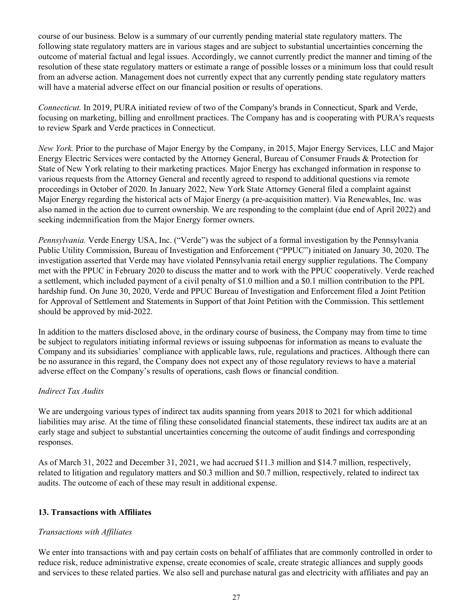course of our business. Below is a summary of our currently pending material state regulatory matters. The following state regulatory matters are in various stages and are subject to substantial uncertainties concerning the outcome of material factual and legal issues. Accordingly, we cannot currently predict the manner and timing of the resolution of these state regulatory matters or estimate a range of possible losses or a minimum loss that could result from an adverse action. Management does not currently expect that any currently pending state regulatory matters will have a material adverse effect on our financial position or results of operations.

*Connecticut.* In 2019, PURA initiated review of two of the Company's brands in Connecticut, Spark and Verde, focusing on marketing, billing and enrollment practices. The Company has and is cooperating with PURA's requests to review Spark and Verde practices in Connecticut.

*New York.* Prior to the purchase of Major Energy by the Company, in 2015, Major Energy Services, LLC and Major Energy Electric Services were contacted by the Attorney General, Bureau of Consumer Frauds & Protection for State of New York relating to their marketing practices. Major Energy has exchanged information in response to various requests from the Attorney General and recently agreed to respond to additional questions via remote proceedings in October of 2020. In January 2022, New York State Attorney General filed a complaint against Major Energy regarding the historical acts of Major Energy (a pre-acquisition matter). Via Renewables, Inc. was also named in the action due to current ownership. We are responding to the complaint (due end of April 2022) and seeking indemnification from the Major Energy former owners.

*Pennsylvania.* Verde Energy USA, Inc. ("Verde") was the subject of a formal investigation by the Pennsylvania Public Utility Commission, Bureau of Investigation and Enforcement ("PPUC") initiated on January 30, 2020. The investigation asserted that Verde may have violated Pennsylvania retail energy supplier regulations. The Company met with the PPUC in February 2020 to discuss the matter and to work with the PPUC cooperatively. Verde reached a settlement, which included payment of a civil penalty of \$1.0 million and a \$0.1 million contribution to the PPL hardship fund. On June 30, 2020, Verde and PPUC Bureau of Investigation and Enforcement filed a Joint Petition for Approval of Settlement and Statements in Support of that Joint Petition with the Commission. This settlement should be approved by mid-2022.

In addition to the matters disclosed above, in the ordinary course of business, the Company may from time to time be subject to regulators initiating informal reviews or issuing subpoenas for information as means to evaluate the Company and its subsidiaries' compliance with applicable laws, rule, regulations and practices. Although there can be no assurance in this regard, the Company does not expect any of those regulatory reviews to have a material adverse effect on the Company's results of operations, cash flows or financial condition.

### *Indirect Tax Audits*

We are undergoing various types of indirect tax audits spanning from years 2018 to 2021 for which additional liabilities may arise. At the time of filing these consolidated financial statements, these indirect tax audits are at an early stage and subject to substantial uncertainties concerning the outcome of audit findings and corresponding responses.

As of March 31, 2022 and December 31, 2021, we had accrued \$11.3 million and \$14.7 million, respectively, related to litigation and regulatory matters and \$0.3 million and \$0.7 million, respectively, related to indirect tax audits. The outcome of each of these may result in additional expense.

### **13. Transactions with Affiliates**

### *Transactions with Affiliates*

We enter into transactions with and pay certain costs on behalf of affiliates that are commonly controlled in order to reduce risk, reduce administrative expense, create economies of scale, create strategic alliances and supply goods and services to these related parties. We also sell and purchase natural gas and electricity with affiliates and pay an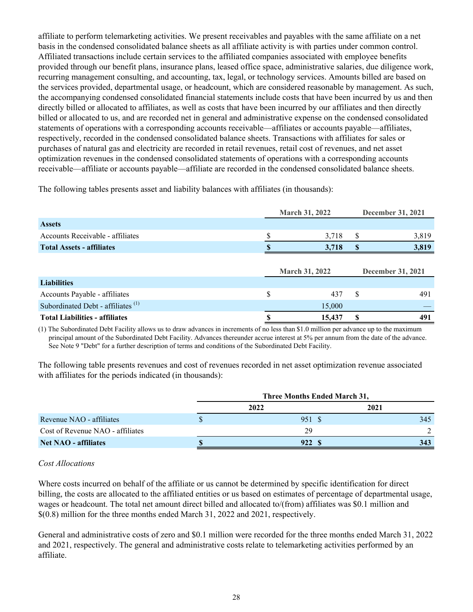affiliate to perform telemarketing activities. We present receivables and payables with the same affiliate on a net basis in the condensed consolidated balance sheets as all affiliate activity is with parties under common control. Affiliated transactions include certain services to the affiliated companies associated with employee benefits provided through our benefit plans, insurance plans, leased office space, administrative salaries, due diligence work, recurring management consulting, and accounting, tax, legal, or technology services. Amounts billed are based on the services provided, departmental usage, or headcount, which are considered reasonable by management. As such, the accompanying condensed consolidated financial statements include costs that have been incurred by us and then directly billed or allocated to affiliates, as well as costs that have been incurred by our affiliates and then directly billed or allocated to us, and are recorded net in general and administrative expense on the condensed consolidated statements of operations with a corresponding accounts receivable—affiliates or accounts payable—affiliates, respectively, recorded in the condensed consolidated balance sheets. Transactions with affiliates for sales or purchases of natural gas and electricity are recorded in retail revenues, retail cost of revenues, and net asset optimization revenues in the condensed consolidated statements of operations with a corresponding accounts receivable—affiliate or accounts payable—affiliate are recorded in the condensed consolidated balance sheets.

The following tables presents asset and liability balances with affiliates (in thousands):

|                                               | <b>March 31, 2022</b> |                       |    | <b>December 31, 2021</b> |
|-----------------------------------------------|-----------------------|-----------------------|----|--------------------------|
| <b>Assets</b>                                 |                       |                       |    |                          |
| Accounts Receivable - affiliates              | \$                    | 3,718                 | \$ | 3,819                    |
| <b>Total Assets - affiliates</b>              |                       | 3,718                 | S  | 3,819                    |
|                                               |                       |                       |    |                          |
|                                               |                       |                       |    |                          |
|                                               |                       | <b>March 31, 2022</b> |    | December 31, 2021        |
| <b>Liabilities</b>                            |                       |                       |    |                          |
| Accounts Payable - affiliates                 | \$                    | 437                   | S  | 491                      |
| Subordinated Debt - affiliates <sup>(1)</sup> |                       | 15,000                |    |                          |

(1) The Subordinated Debt Facility allows us to draw advances in increments of no less than \$1.0 million per advance up to the maximum principal amount of the Subordinated Debt Facility. Advances thereunder accrue interest at 5% per annum from the date of the advance. See Note 9 "Debt" for a further description of terms and conditions of the Subordinated Debt Facility.

The following table presents revenues and cost of revenues recorded in net asset optimization revenue associated with affiliates for the periods indicated (in thousands):

|                                  |   | Three Months Ended March 31, |      |
|----------------------------------|---|------------------------------|------|
|                                  |   | 2022                         | 2021 |
| Revenue NAO - affiliates         | S | 951 \$                       | 345  |
| Cost of Revenue NAO - affiliates |   | 29                           |      |
| <b>Net NAO - affiliates</b>      |   | 922                          | 343  |

#### *Cost Allocations*

Where costs incurred on behalf of the affiliate or us cannot be determined by specific identification for direct billing, the costs are allocated to the affiliated entities or us based on estimates of percentage of departmental usage, wages or headcount. The total net amount direct billed and allocated to/(from) affiliates was \$0.1 million and \$(0.8) million for the three months ended March 31, 2022 and 2021, respectively.

General and administrative costs of zero and \$0.1 million were recorded for the three months ended March 31, 2022 and 2021, respectively. The general and administrative costs relate to telemarketing activities performed by an affiliate.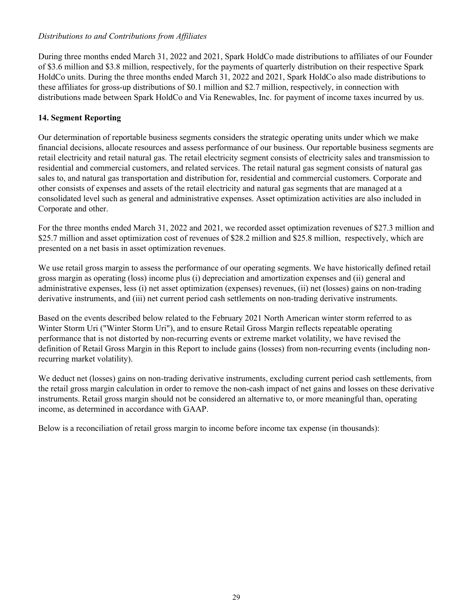### *Distributions to and Contributions from Affiliates*

During three months ended March 31, 2022 and 2021, Spark HoldCo made distributions to affiliates of our Founder of \$3.6 million and \$3.8 million, respectively, for the payments of quarterly distribution on their respective Spark HoldCo units. During the three months ended March 31, 2022 and 2021, Spark HoldCo also made distributions to these affiliates for gross-up distributions of \$0.1 million and \$2.7 million, respectively, in connection with distributions made between Spark HoldCo and Via Renewables, Inc. for payment of income taxes incurred by us.

### **14. Segment Reporting**

Our determination of reportable business segments considers the strategic operating units under which we make financial decisions, allocate resources and assess performance of our business. Our reportable business segments are retail electricity and retail natural gas. The retail electricity segment consists of electricity sales and transmission to residential and commercial customers, and related services. The retail natural gas segment consists of natural gas sales to, and natural gas transportation and distribution for, residential and commercial customers. Corporate and other consists of expenses and assets of the retail electricity and natural gas segments that are managed at a consolidated level such as general and administrative expenses. Asset optimization activities are also included in Corporate and other.

For the three months ended March 31, 2022 and 2021, we recorded asset optimization revenues of \$27.3 million and \$25.7 million and asset optimization cost of revenues of \$28.2 million and \$25.8 million, respectively, which are presented on a net basis in asset optimization revenues.

We use retail gross margin to assess the performance of our operating segments. We have historically defined retail gross margin as operating (loss) income plus (i) depreciation and amortization expenses and (ii) general and administrative expenses, less (i) net asset optimization (expenses) revenues, (ii) net (losses) gains on non-trading derivative instruments, and (iii) net current period cash settlements on non-trading derivative instruments.

Based on the events described below related to the February 2021 North American winter storm referred to as Winter Storm Uri ("Winter Storm Uri"), and to ensure Retail Gross Margin reflects repeatable operating performance that is not distorted by non-recurring events or extreme market volatility, we have revised the definition of Retail Gross Margin in this Report to include gains (losses) from non-recurring events (including nonrecurring market volatility).

We deduct net (losses) gains on non-trading derivative instruments, excluding current period cash settlements, from the retail gross margin calculation in order to remove the non-cash impact of net gains and losses on these derivative instruments. Retail gross margin should not be considered an alternative to, or more meaningful than, operating income, as determined in accordance with GAAP.

Below is a reconciliation of retail gross margin to income before income tax expense (in thousands):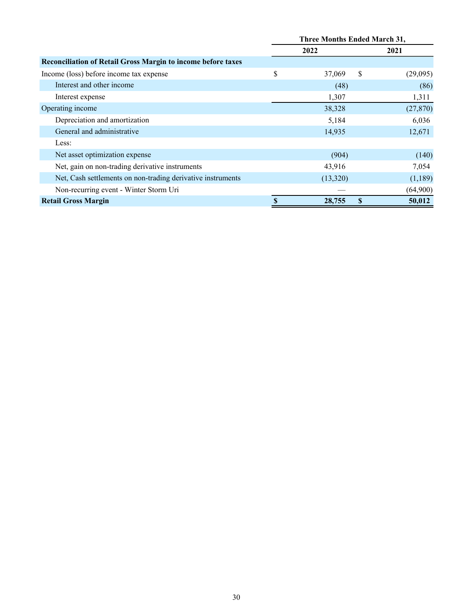|                                                                     | <b>Three Months Ended March 31,</b> |          |          |           |  |  |  |
|---------------------------------------------------------------------|-------------------------------------|----------|----------|-----------|--|--|--|
|                                                                     |                                     | 2022     |          | 2021      |  |  |  |
| <b>Reconciliation of Retail Gross Margin to income before taxes</b> |                                     |          |          |           |  |  |  |
| Income (loss) before income tax expense                             | \$                                  | 37,069   | \$       | (29,095)  |  |  |  |
| Interest and other income                                           |                                     | (48)     |          | (86)      |  |  |  |
| Interest expense                                                    |                                     | 1,307    |          | 1,311     |  |  |  |
| Operating income                                                    |                                     | 38,328   |          | (27, 870) |  |  |  |
| Depreciation and amortization                                       |                                     | 5,184    |          | 6,036     |  |  |  |
| General and administrative                                          |                                     | 14,935   |          | 12,671    |  |  |  |
| Less:                                                               |                                     |          |          |           |  |  |  |
| Net asset optimization expense                                      |                                     | (904)    |          | (140)     |  |  |  |
| Net, gain on non-trading derivative instruments                     |                                     | 43,916   |          | 7,054     |  |  |  |
| Net, Cash settlements on non-trading derivative instruments         |                                     | (13,320) |          | (1,189)   |  |  |  |
| Non-recurring event - Winter Storm Uri                              |                                     |          |          | (64,900)  |  |  |  |
| <b>Retail Gross Margin</b>                                          | \$                                  | 28,755   | <b>S</b> | 50,012    |  |  |  |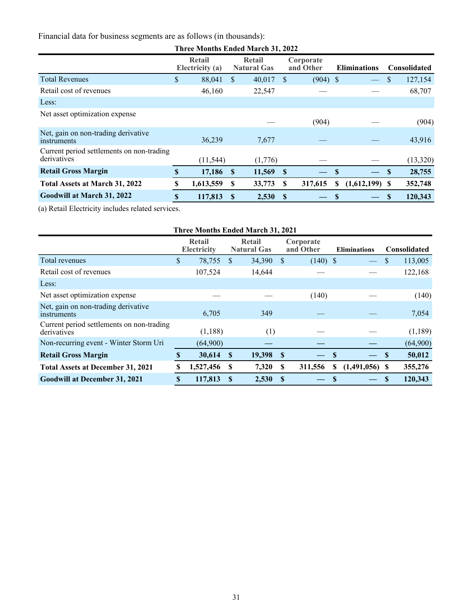Financial data for business segments are as follows (in thousands):

| <b>Three Months Ended March 31, 2022</b>                 |             |                           |              |                              |              |                        |               |                     |    |                     |
|----------------------------------------------------------|-------------|---------------------------|--------------|------------------------------|--------------|------------------------|---------------|---------------------|----|---------------------|
|                                                          |             | Retail<br>Electricity (a) |              | Retail<br><b>Natural Gas</b> |              | Corporate<br>and Other |               | <b>Eliminations</b> |    | <b>Consolidated</b> |
| <b>Total Revenues</b>                                    | \$          | 88,041                    | <sup>S</sup> | 40,017                       | <sup>S</sup> | $(904)$ \$             |               |                     | \$ | 127,154             |
| Retail cost of revenues                                  |             | 46,160                    |              | 22,547                       |              |                        |               |                     |    | 68,707              |
| Less:                                                    |             |                           |              |                              |              |                        |               |                     |    |                     |
| Net asset optimization expense                           |             |                           |              |                              |              | (904)                  |               |                     |    | (904)               |
| Net, gain on non-trading derivative<br>instruments       |             | 36,239                    |              | 7,677                        |              |                        |               |                     |    | 43,916              |
| Current period settlements on non-trading<br>derivatives |             | (11, 544)                 |              | (1,776)                      |              |                        |               |                     |    | (13,320)            |
| <b>Retail Gross Margin</b>                               | $\mathbf S$ | 17,186                    | S            | 11,569                       | <b>S</b>     |                        | <sup>\$</sup> |                     | S  | 28,755              |
| Total Assets at March 31, 2022                           | S           | 1,613,559                 | S            | 33,773                       | S            | 317,615                | S             | $(1,612,199)$ \$    |    | 352,748             |
| Goodwill at March 31, 2022                               | \$          | 117,813                   | S            | 2,530                        | S            |                        | S             |                     | S  | 120,343             |

(a) Retail Electricity includes related services.

| <b>Three Months Ended March 31, 2021</b>                 |    |                              |          |                              |               |                        |               |                     |             |                     |  |
|----------------------------------------------------------|----|------------------------------|----------|------------------------------|---------------|------------------------|---------------|---------------------|-------------|---------------------|--|
|                                                          |    | Retail<br><b>Electricity</b> |          | Retail<br><b>Natural Gas</b> |               | Corporate<br>and Other |               | <b>Eliminations</b> |             | <b>Consolidated</b> |  |
| Total revenues                                           | \$ | 78,755                       | \$       | 34,390                       | <sup>S</sup>  | $(140)$ \$             |               |                     | \$          | 113,005             |  |
| Retail cost of revenues                                  |    | 107,524                      |          | 14,644                       |               |                        |               |                     |             | 122,168             |  |
| Less:                                                    |    |                              |          |                              |               |                        |               |                     |             |                     |  |
| Net asset optimization expense                           |    |                              |          |                              |               | (140)                  |               |                     |             | (140)               |  |
| Net, gain on non-trading derivative<br>instruments       |    | 6,705                        |          | 349                          |               |                        |               |                     |             | 7,054               |  |
| Current period settlements on non-trading<br>derivatives |    | (1,188)                      |          | (1)                          |               |                        |               |                     |             | (1,189)             |  |
| Non-recurring event - Winter Storm Uri                   |    | (64,900)                     |          |                              |               |                        |               |                     |             | (64,900)            |  |
| <b>Retail Gross Margin</b>                               | \$ | 30,614                       | <b>S</b> | 19,398                       | <b>S</b>      |                        | -S            |                     | $\mathbf s$ | 50,012              |  |
| <b>Total Assets at December 31, 2021</b>                 | S  | 1,527,456                    | S        | 7,320                        | S             | 311,556                | S             | $(1,491,056)$ \$    |             | 355,276             |  |
| <b>Goodwill at December 31, 2021</b>                     | \$ | 117,813                      | S        | 2,530                        | $\mathbf{\$}$ |                        | <sup>\$</sup> |                     | S           | 120,343             |  |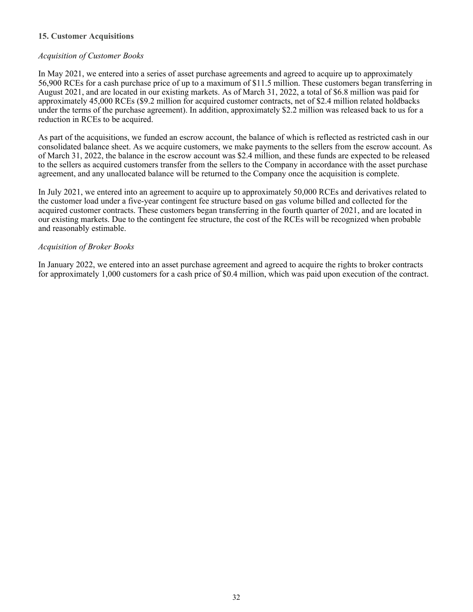#### **15. Customer Acquisitions**

#### *Acquisition of Customer Books*

In May 2021, we entered into a series of asset purchase agreements and agreed to acquire up to approximately 56,900 RCEs for a cash purchase price of up to a maximum of \$11.5 million. These customers began transferring in August 2021, and are located in our existing markets. As of March 31, 2022, a total of \$6.8 million was paid for approximately 45,000 RCEs (\$9.2 million for acquired customer contracts, net of \$2.4 million related holdbacks under the terms of the purchase agreement). In addition, approximately \$2.2 million was released back to us for a reduction in RCEs to be acquired.

As part of the acquisitions, we funded an escrow account, the balance of which is reflected as restricted cash in our consolidated balance sheet. As we acquire customers, we make payments to the sellers from the escrow account. As of March 31, 2022, the balance in the escrow account was \$2.4 million, and these funds are expected to be released to the sellers as acquired customers transfer from the sellers to the Company in accordance with the asset purchase agreement, and any unallocated balance will be returned to the Company once the acquisition is complete.

In July 2021, we entered into an agreement to acquire up to approximately 50,000 RCEs and derivatives related to the customer load under a five-year contingent fee structure based on gas volume billed and collected for the acquired customer contracts. These customers began transferring in the fourth quarter of 2021, and are located in our existing markets. Due to the contingent fee structure, the cost of the RCEs will be recognized when probable and reasonably estimable.

#### *Acquisition of Broker Books*

In January 2022, we entered into an asset purchase agreement and agreed to acquire the rights to broker contracts for approximately 1,000 customers for a cash price of \$0.4 million, which was paid upon execution of the contract.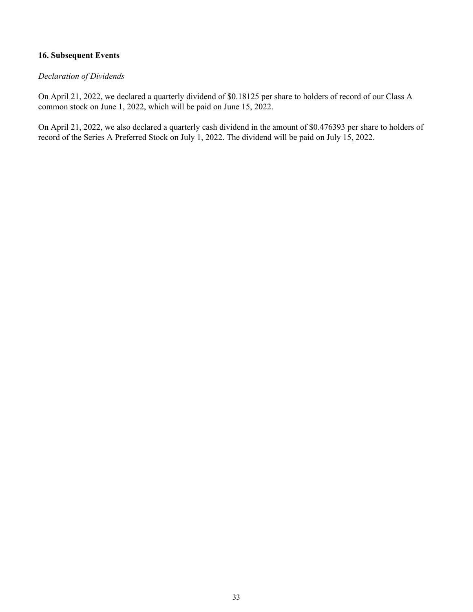### **16. Subsequent Events**

#### *Declaration of Dividends*

On April 21, 2022, we declared a quarterly dividend of \$0.18125 per share to holders of record of our Class A common stock on June 1, 2022, which will be paid on June 15, 2022.

On April 21, 2022, we also declared a quarterly cash dividend in the amount of \$0.476393 per share to holders of record of the Series A Preferred Stock on July 1, 2022. The dividend will be paid on July 15, 2022.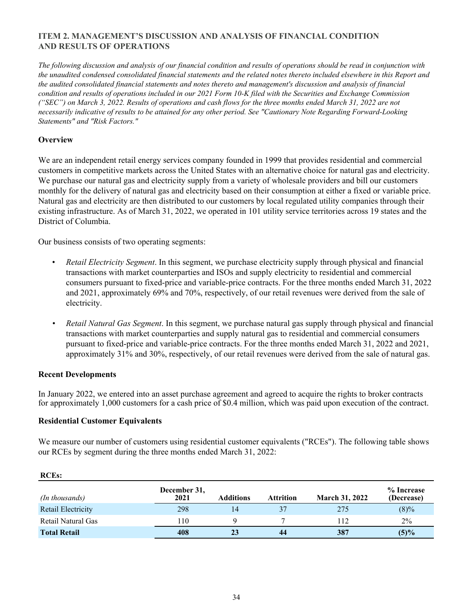### **ITEM 2. MANAGEMENT'S DISCUSSION AND ANALYSIS OF FINANCIAL CONDITION AND RESULTS OF OPERATIONS**

*The following discussion and analysis of our financial condition and results of operations should be read in conjunction with the unaudited condensed consolidated financial statements and the related notes thereto included elsewhere in this Report and the audited consolidated financial statements and notes thereto and management's discussion and analysis of financial condition and results of operations included in our 2021 Form 10-K filed with the Securities and Exchange Commission ("SEC") on March 3, 2022. Results of operations and cash flows for the three months ended March 31, 2022 are not necessarily indicative of results to be attained for any other period. See "Cautionary Note Regarding Forward-Looking Statements" and "Risk Factors."*

### **Overview**

We are an independent retail energy services company founded in 1999 that provides residential and commercial customers in competitive markets across the United States with an alternative choice for natural gas and electricity. We purchase our natural gas and electricity supply from a variety of wholesale providers and bill our customers monthly for the delivery of natural gas and electricity based on their consumption at either a fixed or variable price. Natural gas and electricity are then distributed to our customers by local regulated utility companies through their existing infrastructure. As of March 31, 2022, we operated in 101 utility service territories across 19 states and the District of Columbia.

Our business consists of two operating segments:

- *Retail Electricity Segment*. In this segment, we purchase electricity supply through physical and financial transactions with market counterparties and ISOs and supply electricity to residential and commercial consumers pursuant to fixed-price and variable-price contracts. For the three months ended March 31, 2022 and 2021, approximately 69% and 70%, respectively, of our retail revenues were derived from the sale of electricity.
- *• Retail Natural Gas Segment*. In this segment, we purchase natural gas supply through physical and financial transactions with market counterparties and supply natural gas to residential and commercial consumers pursuant to fixed-price and variable-price contracts. For the three months ended March 31, 2022 and 2021, approximately 31% and 30%, respectively, of our retail revenues were derived from the sale of natural gas.

### **Recent Developments**

In January 2022, we entered into an asset purchase agreement and agreed to acquire the rights to broker contracts for approximately 1,000 customers for a cash price of \$0.4 million, which was paid upon execution of the contract.

#### **Residential Customer Equivalents**

We measure our number of customers using residential customer equivalents ("RCEs"). The following table shows our RCEs by segment during the three months ended March 31, 2022:

| <i>(In thousands)</i> | December 31,<br>2021 | <b>Additions</b> | <b>Attrition</b> | <b>March 31, 2022</b> | % Increase<br>(Decrease) |
|-----------------------|----------------------|------------------|------------------|-----------------------|--------------------------|
| Retail Electricity    | 298                  |                  | 37               | 275                   | $(8)\%$                  |
| Retail Natural Gas    | 10                   |                  |                  | 112                   | 2%                       |
| <b>Total Retail</b>   | 408                  | 23               | 44               | 387                   | $(5)\%$                  |

#### **RCEs:**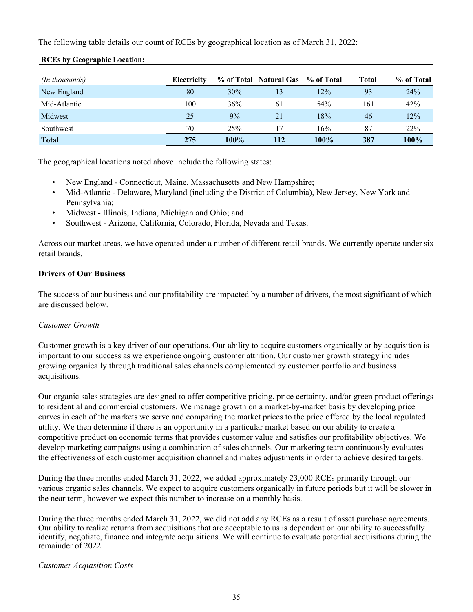The following table details our count of RCEs by geographical location as of March 31, 2022:

| (In thousands) | Electricity |      | % of Total Natural Gas | % of Total | Total | % of Total |
|----------------|-------------|------|------------------------|------------|-------|------------|
| New England    | 80          | 30%  | 13                     | 12%        | 93    | 24%        |
| Mid-Atlantic   | 100         | 36%  | 61                     | 54%        | 161   | 42%        |
| Midwest        | 25          | 9%   | 21                     | 18%        | 46    | 12%        |
| Southwest      | 70          | 25%  | 17                     | 16%        | 87    | 22%        |
| <b>Total</b>   | 275         | 100% | 112                    | 100%       | 387   | 100%       |

#### **RCEs by Geographic Location:**

The geographical locations noted above include the following states:

- New England Connecticut, Maine, Massachusetts and New Hampshire;
- Mid-Atlantic Delaware, Maryland (including the District of Columbia), New Jersey, New York and Pennsylvania;
- Midwest Illinois, Indiana, Michigan and Ohio; and
- Southwest Arizona, California, Colorado, Florida, Nevada and Texas.

Across our market areas, we have operated under a number of different retail brands. We currently operate under six retail brands.

#### **Drivers of Our Business**

The success of our business and our profitability are impacted by a number of drivers, the most significant of which are discussed below.

#### *Customer Growth*

Customer growth is a key driver of our operations. Our ability to acquire customers organically or by acquisition is important to our success as we experience ongoing customer attrition. Our customer growth strategy includes growing organically through traditional sales channels complemented by customer portfolio and business acquisitions.

Our organic sales strategies are designed to offer competitive pricing, price certainty, and/or green product offerings to residential and commercial customers. We manage growth on a market-by-market basis by developing price curves in each of the markets we serve and comparing the market prices to the price offered by the local regulated utility. We then determine if there is an opportunity in a particular market based on our ability to create a competitive product on economic terms that provides customer value and satisfies our profitability objectives. We develop marketing campaigns using a combination of sales channels. Our marketing team continuously evaluates the effectiveness of each customer acquisition channel and makes adjustments in order to achieve desired targets.

During the three months ended March 31, 2022, we added approximately 23,000 RCEs primarily through our various organic sales channels. We expect to acquire customers organically in future periods but it will be slower in the near term, however we expect this number to increase on a monthly basis.

During the three months ended March 31, 2022, we did not add any RCEs as a result of asset purchase agreements. Our ability to realize returns from acquisitions that are acceptable to us is dependent on our ability to successfully identify, negotiate, finance and integrate acquisitions. We will continue to evaluate potential acquisitions during the remainder of 2022.

*Customer Acquisition Costs*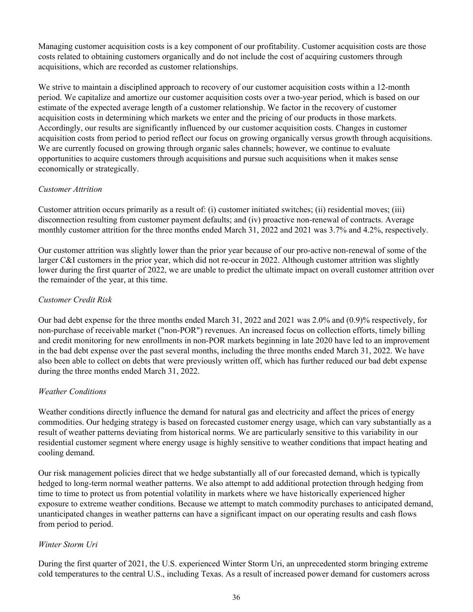Managing customer acquisition costs is a key component of our profitability. Customer acquisition costs are those costs related to obtaining customers organically and do not include the cost of acquiring customers through acquisitions, which are recorded as customer relationships.

We strive to maintain a disciplined approach to recovery of our customer acquisition costs within a 12-month period. We capitalize and amortize our customer acquisition costs over a two-year period, which is based on our estimate of the expected average length of a customer relationship. We factor in the recovery of customer acquisition costs in determining which markets we enter and the pricing of our products in those markets. Accordingly, our results are significantly influenced by our customer acquisition costs. Changes in customer acquisition costs from period to period reflect our focus on growing organically versus growth through acquisitions. We are currently focused on growing through organic sales channels; however, we continue to evaluate opportunities to acquire customers through acquisitions and pursue such acquisitions when it makes sense economically or strategically.

### *Customer Attrition*

Customer attrition occurs primarily as a result of: (i) customer initiated switches; (ii) residential moves; (iii) disconnection resulting from customer payment defaults; and (iv) proactive non-renewal of contracts. Average monthly customer attrition for the three months ended March 31, 2022 and 2021 was 3.7% and 4.2%, respectively.

Our customer attrition was slightly lower than the prior year because of our pro-active non-renewal of some of the larger C&I customers in the prior year, which did not re-occur in 2022. Although customer attrition was slightly lower during the first quarter of 2022, we are unable to predict the ultimate impact on overall customer attrition over the remainder of the year, at this time.

### *Customer Credit Risk*

Our bad debt expense for the three months ended March 31, 2022 and 2021 was 2.0% and (0.9)% respectively, for non-purchase of receivable market ("non-POR") revenues. An increased focus on collection efforts, timely billing and credit monitoring for new enrollments in non-POR markets beginning in late 2020 have led to an improvement in the bad debt expense over the past several months, including the three months ended March 31, 2022. We have also been able to collect on debts that were previously written off, which has further reduced our bad debt expense during the three months ended March 31, 2022.

### *Weather Conditions*

Weather conditions directly influence the demand for natural gas and electricity and affect the prices of energy commodities. Our hedging strategy is based on forecasted customer energy usage, which can vary substantially as a result of weather patterns deviating from historical norms. We are particularly sensitive to this variability in our residential customer segment where energy usage is highly sensitive to weather conditions that impact heating and cooling demand.

Our risk management policies direct that we hedge substantially all of our forecasted demand, which is typically hedged to long-term normal weather patterns. We also attempt to add additional protection through hedging from time to time to protect us from potential volatility in markets where we have historically experienced higher exposure to extreme weather conditions. Because we attempt to match commodity purchases to anticipated demand, unanticipated changes in weather patterns can have a significant impact on our operating results and cash flows from period to period.

#### *Winter Storm Uri*

During the first quarter of 2021, the U.S. experienced Winter Storm Uri, an unprecedented storm bringing extreme cold temperatures to the central U.S., including Texas. As a result of increased power demand for customers across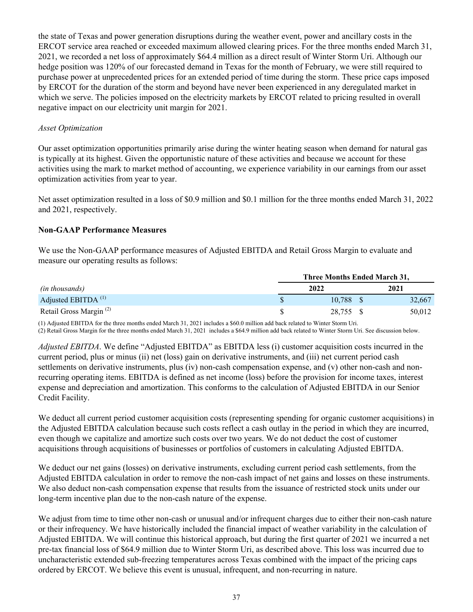the state of Texas and power generation disruptions during the weather event, power and ancillary costs in the ERCOT service area reached or exceeded maximum allowed clearing prices. For the three months ended March 31, 2021, we recorded a net loss of approximately \$64.4 million as a direct result of Winter Storm Uri. Although our hedge position was 120% of our forecasted demand in Texas for the month of February, we were still required to purchase power at unprecedented prices for an extended period of time during the storm. These price caps imposed by ERCOT for the duration of the storm and beyond have never been experienced in any deregulated market in which we serve. The policies imposed on the electricity markets by ERCOT related to pricing resulted in overall negative impact on our electricity unit margin for 2021.

#### *Asset Optimization*

Our asset optimization opportunities primarily arise during the winter heating season when demand for natural gas is typically at its highest. Given the opportunistic nature of these activities and because we account for these activities using the mark to market method of accounting, we experience variability in our earnings from our asset optimization activities from year to year.

Net asset optimization resulted in a loss of \$0.9 million and \$0.1 million for the three months ended March 31, 2022 and 2021, respectively.

#### **Non-GAAP Performance Measures**

We use the Non-GAAP performance measures of Adjusted EBITDA and Retail Gross Margin to evaluate and measure our operating results as follows:

|                                    |           | Three Months Ended March 31, |
|------------------------------------|-----------|------------------------------|
| (in thousands)                     | 2022      | 2021                         |
| Adjusted EBITDA <sup>(1)</sup>     | 10.788 \$ | 32.667                       |
| Retail Gross Margin <sup>(2)</sup> | 28,755 \$ | 50,012                       |

(1) Adjusted EBITDA for the three months ended March 31, 2021 includes a \$60.0 million add back related to Winter Storm Uri. (2) Retail Gross Margin for the three months ended March 31, 2021 includes a \$64.9 million add back related to Winter Storm Uri. See discussion below.

*Adjusted EBITDA*. We define "Adjusted EBITDA" as EBITDA less (i) customer acquisition costs incurred in the current period, plus or minus (ii) net (loss) gain on derivative instruments, and (iii) net current period cash settlements on derivative instruments, plus (iv) non-cash compensation expense, and (v) other non-cash and nonrecurring operating items. EBITDA is defined as net income (loss) before the provision for income taxes, interest expense and depreciation and amortization. This conforms to the calculation of Adjusted EBITDA in our Senior Credit Facility.

We deduct all current period customer acquisition costs (representing spending for organic customer acquisitions) in the Adjusted EBITDA calculation because such costs reflect a cash outlay in the period in which they are incurred, even though we capitalize and amortize such costs over two years. We do not deduct the cost of customer acquisitions through acquisitions of businesses or portfolios of customers in calculating Adjusted EBITDA.

We deduct our net gains (losses) on derivative instruments, excluding current period cash settlements, from the Adjusted EBITDA calculation in order to remove the non-cash impact of net gains and losses on these instruments. We also deduct non-cash compensation expense that results from the issuance of restricted stock units under our long-term incentive plan due to the non-cash nature of the expense.

We adjust from time to time other non-cash or unusual and/or infrequent charges due to either their non-cash nature or their infrequency. We have historically included the financial impact of weather variability in the calculation of Adjusted EBITDA. We will continue this historical approach, but during the first quarter of 2021 we incurred a net pre-tax financial loss of \$64.9 million due to Winter Storm Uri, as described above. This loss was incurred due to uncharacteristic extended sub-freezing temperatures across Texas combined with the impact of the pricing caps ordered by ERCOT. We believe this event is unusual, infrequent, and non-recurring in nature.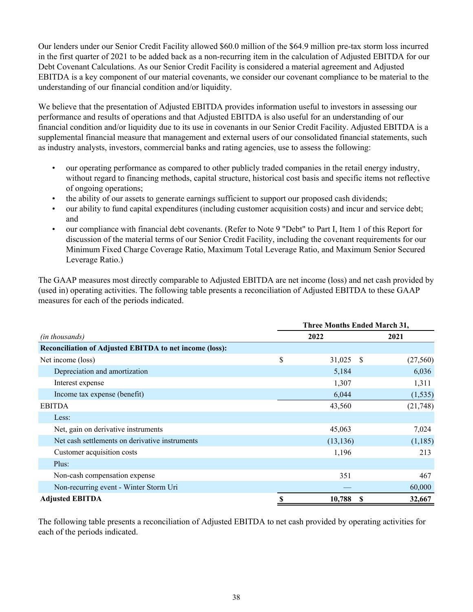Our lenders under our Senior Credit Facility allowed \$60.0 million of the \$64.9 million pre-tax storm loss incurred in the first quarter of 2021 to be added back as a non-recurring item in the calculation of Adjusted EBITDA for our Debt Covenant Calculations. As our Senior Credit Facility is considered a material agreement and Adjusted EBITDA is a key component of our material covenants, we consider our covenant compliance to be material to the understanding of our financial condition and/or liquidity.

We believe that the presentation of Adjusted EBITDA provides information useful to investors in assessing our performance and results of operations and that Adjusted EBITDA is also useful for an understanding of our financial condition and/or liquidity due to its use in covenants in our Senior Credit Facility. Adjusted EBITDA is a supplemental financial measure that management and external users of our consolidated financial statements, such as industry analysts, investors, commercial banks and rating agencies, use to assess the following:

- our operating performance as compared to other publicly traded companies in the retail energy industry, without regard to financing methods, capital structure, historical cost basis and specific items not reflective of ongoing operations;
- the ability of our assets to generate earnings sufficient to support our proposed cash dividends;
- our ability to fund capital expenditures (including customer acquisition costs) and incur and service debt; and
- our compliance with financial debt covenants. (Refer to Note 9 "Debt" to Part I, Item 1 of this Report for discussion of the material terms of our Senior Credit Facility, including the covenant requirements for our Minimum Fixed Charge Coverage Ratio, Maximum Total Leverage Ratio, and Maximum Senior Secured Leverage Ratio.)

The GAAP measures most directly comparable to Adjusted EBITDA are net income (loss) and net cash provided by (used in) operating activities. The following table presents a reconciliation of Adjusted EBITDA to these GAAP measures for each of the periods indicated.

|                                                         | <b>Three Months Ended March 31,</b> |           |              |           |  |  |  |
|---------------------------------------------------------|-------------------------------------|-----------|--------------|-----------|--|--|--|
| (in thousands)                                          |                                     | 2022      |              | 2021      |  |  |  |
| Reconciliation of Adjusted EBITDA to net income (loss): |                                     |           |              |           |  |  |  |
| Net income (loss)                                       | \$                                  | 31,025    | <sup>S</sup> | (27, 560) |  |  |  |
| Depreciation and amortization                           |                                     | 5,184     |              | 6,036     |  |  |  |
| Interest expense                                        |                                     | 1,307     |              | 1,311     |  |  |  |
| Income tax expense (benefit)                            |                                     | 6,044     |              | (1, 535)  |  |  |  |
| <b>EBITDA</b>                                           |                                     | 43,560    |              | (21, 748) |  |  |  |
| Less:                                                   |                                     |           |              |           |  |  |  |
| Net, gain on derivative instruments                     |                                     | 45,063    |              | 7,024     |  |  |  |
| Net cash settlements on derivative instruments          |                                     | (13, 136) |              | (1,185)   |  |  |  |
| Customer acquisition costs                              |                                     | 1,196     |              | 213       |  |  |  |
| Plus:                                                   |                                     |           |              |           |  |  |  |
| Non-cash compensation expense                           |                                     | 351       |              | 467       |  |  |  |
| Non-recurring event - Winter Storm Uri                  |                                     |           |              | 60,000    |  |  |  |
| <b>Adjusted EBITDA</b>                                  | \$                                  | 10,788    | -S           | 32,667    |  |  |  |

The following table presents a reconciliation of Adjusted EBITDA to net cash provided by operating activities for each of the periods indicated.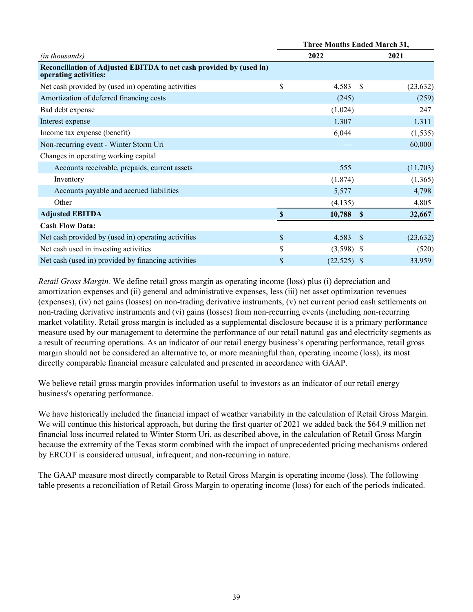|                                                                                              |               | <b>Three Months Ended March 31,</b> |           |  |  |
|----------------------------------------------------------------------------------------------|---------------|-------------------------------------|-----------|--|--|
| <i>(in thousands)</i>                                                                        |               | 2022                                | 2021      |  |  |
| Reconciliation of Adjusted EBITDA to net cash provided by (used in)<br>operating activities: |               |                                     |           |  |  |
| Net cash provided by (used in) operating activities                                          | $\mathsf{\$}$ | 4,583<br><sup>S</sup>               | (23, 632) |  |  |
| Amortization of deferred financing costs                                                     |               | (245)                               | (259)     |  |  |
| Bad debt expense                                                                             |               | (1,024)                             | 247       |  |  |
| Interest expense                                                                             |               | 1,307                               | 1,311     |  |  |
| Income tax expense (benefit)                                                                 |               | 6,044                               | (1, 535)  |  |  |
| Non-recurring event - Winter Storm Uri                                                       |               |                                     | 60,000    |  |  |
| Changes in operating working capital                                                         |               |                                     |           |  |  |
| Accounts receivable, prepaids, current assets                                                |               | 555                                 | (11,703)  |  |  |
| Inventory                                                                                    |               | (1,874)                             | (1,365)   |  |  |
| Accounts payable and accrued liabilities                                                     |               | 5,577                               | 4,798     |  |  |
| Other                                                                                        |               | (4,135)                             | 4,805     |  |  |
| <b>Adjusted EBITDA</b>                                                                       |               | 10,788<br>- \$                      | 32,667    |  |  |
| <b>Cash Flow Data:</b>                                                                       |               |                                     |           |  |  |
| Net cash provided by (used in) operating activities                                          | $\mathsf{\$}$ | 4,583<br>- \$                       | (23, 632) |  |  |
| Net cash used in investing activities                                                        | \$            | $(3,598)$ \$                        | (520)     |  |  |
| Net cash (used in) provided by financing activities                                          | \$            | $(22,525)$ \$                       | 33,959    |  |  |

*Retail Gross Margin.* We define retail gross margin as operating income (loss) plus (i) depreciation and amortization expenses and (ii) general and administrative expenses, less (iii) net asset optimization revenues (expenses), (iv) net gains (losses) on non-trading derivative instruments, (v) net current period cash settlements on non-trading derivative instruments and (vi) gains (losses) from non-recurring events (including non-recurring market volatility. Retail gross margin is included as a supplemental disclosure because it is a primary performance measure used by our management to determine the performance of our retail natural gas and electricity segments as a result of recurring operations. As an indicator of our retail energy business's operating performance, retail gross margin should not be considered an alternative to, or more meaningful than, operating income (loss), its most directly comparable financial measure calculated and presented in accordance with GAAP.

We believe retail gross margin provides information useful to investors as an indicator of our retail energy business's operating performance.

We have historically included the financial impact of weather variability in the calculation of Retail Gross Margin. We will continue this historical approach, but during the first quarter of 2021 we added back the \$64.9 million net financial loss incurred related to Winter Storm Uri, as described above, in the calculation of Retail Gross Margin because the extremity of the Texas storm combined with the impact of unprecedented pricing mechanisms ordered by ERCOT is considered unusual, infrequent, and non-recurring in nature.

The GAAP measure most directly comparable to Retail Gross Margin is operating income (loss). The following table presents a reconciliation of Retail Gross Margin to operating income (loss) for each of the periods indicated.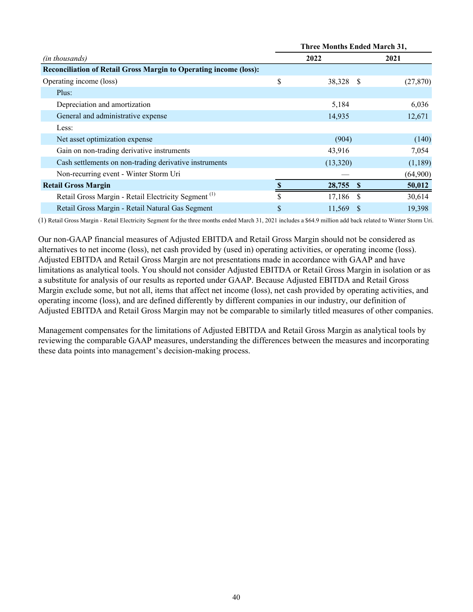|                                                                          |    | <b>Three Months Ended March 31,</b> |      |           |  |
|--------------------------------------------------------------------------|----|-------------------------------------|------|-----------|--|
| (in thousands)                                                           |    | 2022                                |      | 2021      |  |
| <b>Reconciliation of Retail Gross Margin to Operating income (loss):</b> |    |                                     |      |           |  |
| Operating income (loss)                                                  | \$ | 38,328 \$                           |      | (27, 870) |  |
| Plus:                                                                    |    |                                     |      |           |  |
| Depreciation and amortization                                            |    | 5,184                               |      | 6,036     |  |
| General and administrative expense                                       |    | 14,935                              |      | 12,671    |  |
| Less:                                                                    |    |                                     |      |           |  |
| Net asset optimization expense                                           |    | (904)                               |      | (140)     |  |
| Gain on non-trading derivative instruments                               |    | 43,916                              |      | 7,054     |  |
| Cash settlements on non-trading derivative instruments                   |    | (13,320)                            |      | (1,189)   |  |
| Non-recurring event - Winter Storm Uri                                   |    |                                     |      | (64,900)  |  |
| <b>Retail Gross Margin</b>                                               |    | 28,755                              | - \$ | 50,012    |  |
| Retail Gross Margin - Retail Electricity Segment <sup>(1)</sup>          | S  | 17,186 \$                           |      | 30,614    |  |
| Retail Gross Margin - Retail Natural Gas Segment                         | \$ | 11,569                              |      | 19,398    |  |

(1) Retail Gross Margin - Retail Electricity Segment for the three months ended March 31, 2021 includes a \$64.9 million add back related to Winter Storm Uri.

Our non-GAAP financial measures of Adjusted EBITDA and Retail Gross Margin should not be considered as alternatives to net income (loss), net cash provided by (used in) operating activities, or operating income (loss). Adjusted EBITDA and Retail Gross Margin are not presentations made in accordance with GAAP and have limitations as analytical tools. You should not consider Adjusted EBITDA or Retail Gross Margin in isolation or as a substitute for analysis of our results as reported under GAAP. Because Adjusted EBITDA and Retail Gross Margin exclude some, but not all, items that affect net income (loss), net cash provided by operating activities, and operating income (loss), and are defined differently by different companies in our industry, our definition of Adjusted EBITDA and Retail Gross Margin may not be comparable to similarly titled measures of other companies.

Management compensates for the limitations of Adjusted EBITDA and Retail Gross Margin as analytical tools by reviewing the comparable GAAP measures, understanding the differences between the measures and incorporating these data points into management's decision-making process.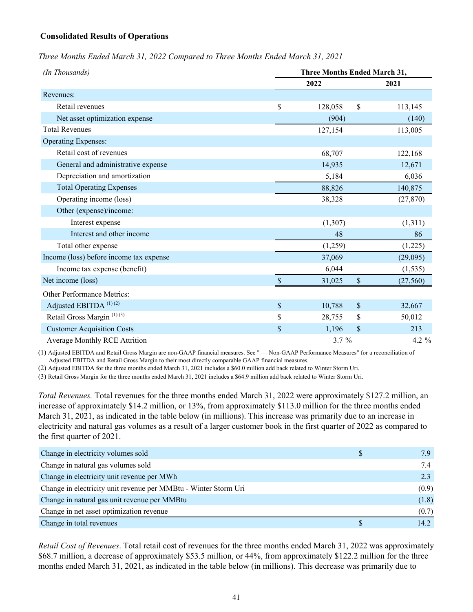#### **Consolidated Results of Operations**

*Three Months Ended March 31, 2022 Compared to Three Months Ended March 31, 2021*

| (In Thousands)                          | <b>Three Months Ended March 31,</b> |          |               |           |
|-----------------------------------------|-------------------------------------|----------|---------------|-----------|
|                                         |                                     | 2022     |               | 2021      |
| Revenues:                               |                                     |          |               |           |
| Retail revenues                         | \$                                  | 128,058  | \$            | 113,145   |
| Net asset optimization expense          |                                     | (904)    |               | (140)     |
| <b>Total Revenues</b>                   |                                     | 127,154  |               | 113,005   |
| <b>Operating Expenses:</b>              |                                     |          |               |           |
| Retail cost of revenues                 |                                     | 68,707   |               | 122,168   |
| General and administrative expense      |                                     | 14,935   |               | 12,671    |
| Depreciation and amortization           |                                     | 5,184    |               | 6,036     |
| <b>Total Operating Expenses</b>         |                                     | 88,826   |               | 140,875   |
| Operating income (loss)                 |                                     | 38,328   |               | (27, 870) |
| Other (expense)/income:                 |                                     |          |               |           |
| Interest expense                        |                                     | (1,307)  |               | (1,311)   |
| Interest and other income               |                                     | 48       |               | 86        |
| Total other expense                     |                                     | (1,259)  |               | (1,225)   |
| Income (loss) before income tax expense |                                     | 37,069   |               | (29,095)  |
| Income tax expense (benefit)            |                                     | 6,044    |               | (1, 535)  |
| Net income (loss)                       |                                     | 31,025   | \$            | (27, 560) |
| Other Performance Metrics:              |                                     |          |               |           |
| Adjusted EBITDA <sup>(1)(2)</sup>       | $\mathsf{\$}$                       | 10,788   | \$            | 32,667    |
| Retail Gross Margin <sup>(1)(3)</sup>   | \$                                  | 28,755   | \$            | 50,012    |
| <b>Customer Acquisition Costs</b>       | \$                                  | 1,196    | $\mathsf{\$}$ | 213       |
| <b>Average Monthly RCE Attrition</b>    |                                     | $3.7 \%$ |               | 4.2 $%$   |

(1) Adjusted EBITDA and Retail Gross Margin are non-GAAP financial measures. See " — Non-GAAP Performance Measures" for a reconciliation of Adjusted EBITDA and Retail Gross Margin to their most directly comparable GAAP financial measures.

(2) Adjusted EBITDA for the three months ended March 31, 2021 includes a \$60.0 million add back related to Winter Storm Uri.

(3) Retail Gross Margin for the three months ended March 31, 2021 includes a \$64.9 million add back related to Winter Storm Uri.

*Total Revenues.* Total revenues for the three months ended March 31, 2022 were approximately \$127.2 million, an increase of approximately \$14.2 million, or 13%, from approximately \$113.0 million for the three months ended March 31, 2021, as indicated in the table below (in millions). This increase was primarily due to an increase in electricity and natural gas volumes as a result of a larger customer book in the first quarter of 2022 as compared to the first quarter of 2021.

| Change in electricity volumes sold                              | 79    |
|-----------------------------------------------------------------|-------|
| Change in natural gas volumes sold                              | 7.4   |
| Change in electricity unit revenue per MWh                      | 2.3   |
| Change in electricity unit revenue per MMBtu - Winter Storm Uri | (0.9) |
| Change in natural gas unit revenue per MMBtu                    | (1.8) |
| Change in net asset optimization revenue                        | (0.7) |
| Change in total revenues                                        | 14.2  |

*Retail Cost of Revenues*. Total retail cost of revenues for the three months ended March 31, 2022 was approximately \$68.7 million, a decrease of approximately \$53.5 million, or 44%, from approximately \$122.2 million for the three months ended March 31, 2021, as indicated in the table below (in millions). This decrease was primarily due to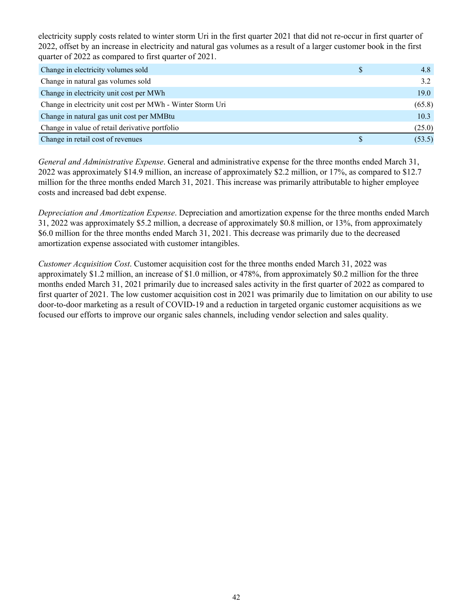electricity supply costs related to winter storm Uri in the first quarter 2021 that did not re-occur in first quarter of 2022, offset by an increase in electricity and natural gas volumes as a result of a larger customer book in the first quarter of 2022 as compared to first quarter of 2021.

| Change in electricity volumes sold                         | S | 4.8    |
|------------------------------------------------------------|---|--------|
| Change in natural gas volumes sold                         |   | 3.2    |
| Change in electricity unit cost per MWh                    |   | 19.0   |
| Change in electricity unit cost per MWh - Winter Storm Uri |   | (65.8) |
| Change in natural gas unit cost per MMBtu                  |   | 10.3   |
| Change in value of retail derivative portfolio             |   | (25.0) |
| Change in retail cost of revenues                          |   | (53.5) |

*General and Administrative Expense*. General and administrative expense for the three months ended March 31, 2022 was approximately \$14.9 million, an increase of approximately \$2.2 million, or 17%, as compared to \$12.7 million for the three months ended March 31, 2021. This increase was primarily attributable to higher employee costs and increased bad debt expense.

*Depreciation and Amortization Expense*. Depreciation and amortization expense for the three months ended March 31, 2022 was approximately \$5.2 million, a decrease of approximately \$0.8 million, or 13%, from approximately \$6.0 million for the three months ended March 31, 2021. This decrease was primarily due to the decreased amortization expense associated with customer intangibles.

*Customer Acquisition Cost*. Customer acquisition cost for the three months ended March 31, 2022 was approximately \$1.2 million, an increase of \$1.0 million, or 478%, from approximately \$0.2 million for the three months ended March 31, 2021 primarily due to increased sales activity in the first quarter of 2022 as compared to first quarter of 2021. The low customer acquisition cost in 2021 was primarily due to limitation on our ability to use door-to-door marketing as a result of COVID-19 and a reduction in targeted organic customer acquisitions as we focused our efforts to improve our organic sales channels, including vendor selection and sales quality.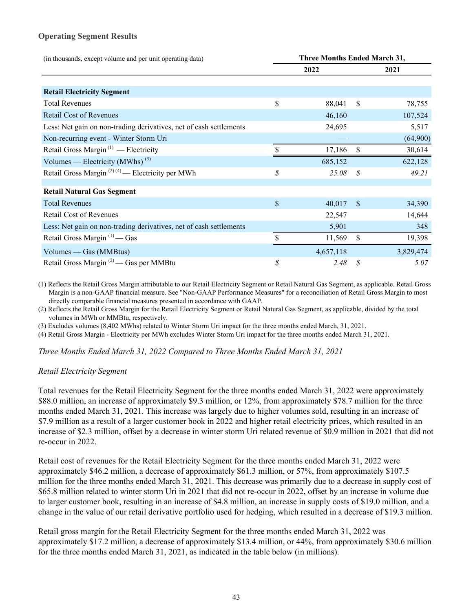### **Operating Segment Results**

| (in thousands, except volume and per unit operating data)          | <b>Three Months Ended March 31,</b> |           |                   |           |
|--------------------------------------------------------------------|-------------------------------------|-----------|-------------------|-----------|
|                                                                    |                                     | 2022      |                   | 2021      |
|                                                                    |                                     |           |                   |           |
| <b>Retail Electricity Segment</b>                                  |                                     |           |                   |           |
| <b>Total Revenues</b>                                              | \$                                  | 88,041    | $\mathbb{S}$      | 78,755    |
| <b>Retail Cost of Revenues</b>                                     |                                     | 46,160    |                   | 107,524   |
| Less: Net gain on non-trading derivatives, net of cash settlements |                                     | 24,695    |                   | 5,517     |
| Non-recurring event - Winter Storm Uri                             |                                     |           |                   | (64,900)  |
| Retail Gross Margin <sup>(1)</sup> — Electricity                   |                                     | 17,186    | \$                | 30,614    |
| Volumes — Electricity (MWhs) <sup>(3)</sup>                        |                                     | 685,152   |                   | 622,128   |
| Retail Gross Margin <sup>(2)(4)</sup> — Electricity per MWh        | \$                                  | 25.08     | \$                | 49.21     |
|                                                                    |                                     |           |                   |           |
| <b>Retail Natural Gas Segment</b>                                  |                                     |           |                   |           |
| <b>Total Revenues</b>                                              | $\mathbb{S}$                        | 40,017    | $\mathcal{S}$     | 34,390    |
| <b>Retail Cost of Revenues</b>                                     |                                     | 22,547    |                   | 14,644    |
| Less: Net gain on non-trading derivatives, net of cash settlements |                                     | 5,901     |                   | 348       |
| Retail Gross Margin <sup>(1)</sup> - Gas                           |                                     | 11,569    | \$                | 19,398    |
| Volumes — Gas (MMBtus)                                             |                                     | 4,657,118 |                   | 3,829,474 |
| Retail Gross Margin <sup>(2)</sup> - Gas per MMBtu                 | \$                                  | 2.48      | $\mathcal{S}_{0}$ | 5.07      |

(1) Reflects the Retail Gross Margin attributable to our Retail Electricity Segment or Retail Natural Gas Segment, as applicable. Retail Gross Margin is a non-GAAP financial measure. See "Non-GAAP Performance Measures" for a reconciliation of Retail Gross Margin to most directly comparable financial measures presented in accordance with GAAP.

(2) Reflects the Retail Gross Margin for the Retail Electricity Segment or Retail Natural Gas Segment, as applicable, divided by the total volumes in MWh or MMBtu, respectively.

(3) Excludes volumes (8,402 MWhs) related to Winter Storm Uri impact for the three months ended March, 31, 2021.

(4) Retail Gross Margin - Electricity per MWh excludes Winter Storm Uri impact for the three months ended March 31, 2021.

*Three Months Ended March 31, 2022 Compared to Three Months Ended March 31, 2021*

#### *Retail Electricity Segment*

Total revenues for the Retail Electricity Segment for the three months ended March 31, 2022 were approximately \$88.0 million, an increase of approximately \$9.3 million, or 12%, from approximately \$78.7 million for the three months ended March 31, 2021. This increase was largely due to higher volumes sold, resulting in an increase of \$7.9 million as a result of a larger customer book in 2022 and higher retail electricity prices, which resulted in an increase of \$2.3 million, offset by a decrease in winter storm Uri related revenue of \$0.9 million in 2021 that did not re-occur in 2022.

Retail cost of revenues for the Retail Electricity Segment for the three months ended March 31, 2022 were approximately \$46.2 million, a decrease of approximately \$61.3 million, or 57%, from approximately \$107.5 million for the three months ended March 31, 2021. This decrease was primarily due to a decrease in supply cost of \$65.8 million related to winter storm Uri in 2021 that did not re-occur in 2022, offset by an increase in volume due to larger customer book, resulting in an increase of \$4.8 million, an increase in supply costs of \$19.0 million, and a change in the value of our retail derivative portfolio used for hedging, which resulted in a decrease of \$19.3 million.

Retail gross margin for the Retail Electricity Segment for the three months ended March 31, 2022 was approximately \$17.2 million, a decrease of approximately \$13.4 million, or 44%, from approximately \$30.6 million for the three months ended March 31, 2021, as indicated in the table below (in millions).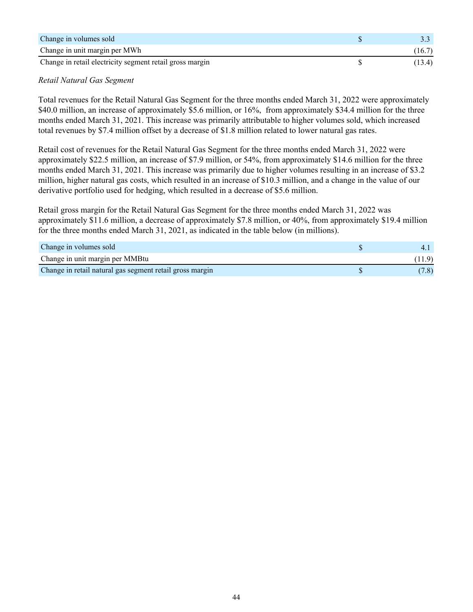| Change in volumes sold                                   |        |
|----------------------------------------------------------|--------|
| Change in unit margin per MWh                            | (16.7) |
| Change in retail electricity segment retail gross margin | (13.4) |

#### *Retail Natural Gas Segment*

Total revenues for the Retail Natural Gas Segment for the three months ended March 31, 2022 were approximately \$40.0 million, an increase of approximately \$5.6 million, or 16%, from approximately \$34.4 million for the three months ended March 31, 2021. This increase was primarily attributable to higher volumes sold, which increased total revenues by \$7.4 million offset by a decrease of \$1.8 million related to lower natural gas rates.

Retail cost of revenues for the Retail Natural Gas Segment for the three months ended March 31, 2022 were approximately \$22.5 million, an increase of \$7.9 million, or 54%, from approximately \$14.6 million for the three months ended March 31, 2021. This increase was primarily due to higher volumes resulting in an increase of \$3.2 million, higher natural gas costs, which resulted in an increase of \$10.3 million, and a change in the value of our derivative portfolio used for hedging, which resulted in a decrease of \$5.6 million.

Retail gross margin for the Retail Natural Gas Segment for the three months ended March 31, 2022 was approximately \$11.6 million, a decrease of approximately \$7.8 million, or 40%, from approximately \$19.4 million for the three months ended March 31, 2021, as indicated in the table below (in millions).

| Change in volumes sold                                   |       |
|----------------------------------------------------------|-------|
| Change in unit margin per MMBtu                          |       |
| Change in retail natural gas segment retail gross margin | (7.8) |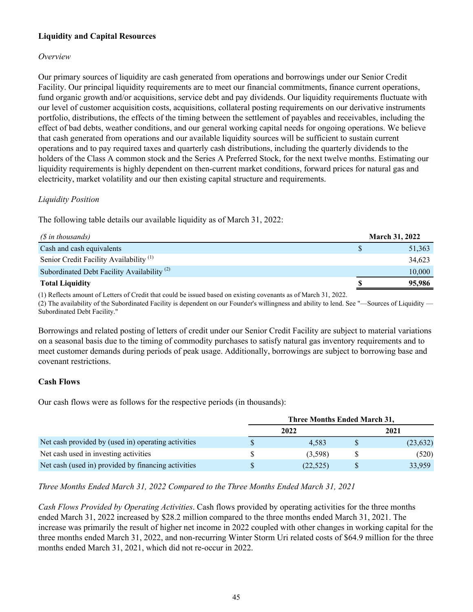## **Liquidity and Capital Resources**

#### *Overview*

Our primary sources of liquidity are cash generated from operations and borrowings under our Senior Credit Facility. Our principal liquidity requirements are to meet our financial commitments, finance current operations, fund organic growth and/or acquisitions, service debt and pay dividends. Our liquidity requirements fluctuate with our level of customer acquisition costs, acquisitions, collateral posting requirements on our derivative instruments portfolio, distributions, the effects of the timing between the settlement of payables and receivables, including the effect of bad debts, weather conditions, and our general working capital needs for ongoing operations. We believe that cash generated from operations and our available liquidity sources will be sufficient to sustain current operations and to pay required taxes and quarterly cash distributions, including the quarterly dividends to the holders of the Class A common stock and the Series A Preferred Stock, for the next twelve months. Estimating our liquidity requirements is highly dependent on then-current market conditions, forward prices for natural gas and electricity, market volatility and our then existing capital structure and requirements.

### *Liquidity Position*

The following table details our available liquidity as of March 31, 2022:

| (\$ in thousands)                                      | <b>March 31, 2022</b> |
|--------------------------------------------------------|-----------------------|
| Cash and cash equivalents                              | 51,363                |
| Senior Credit Facility Availability <sup>(1)</sup>     | 34.623                |
| Subordinated Debt Facility Availability <sup>(2)</sup> | 10.000                |
| <b>Total Liquidity</b>                                 | 95,986                |

(1) Reflects amount of Letters of Credit that could be issued based on existing covenants as of March 31, 2022.

(2) The availability of the Subordinated Facility is dependent on our Founder's willingness and ability to lend. See "—Sources of Liquidity — Subordinated Debt Facility."

Borrowings and related posting of letters of credit under our Senior Credit Facility are subject to material variations on a seasonal basis due to the timing of commodity purchases to satisfy natural gas inventory requirements and to meet customer demands during periods of peak usage. Additionally, borrowings are subject to borrowing base and covenant restrictions.

### **Cash Flows**

Our cash flows were as follows for the respective periods (in thousands):

|                                                     | Three Months Ended March 31, |           |  |           |  |
|-----------------------------------------------------|------------------------------|-----------|--|-----------|--|
|                                                     |                              | 2022      |  | 2021      |  |
| Net cash provided by (used in) operating activities | S                            | 4.583     |  | (23, 632) |  |
| Net cash used in investing activities               | S.                           | (3,598)   |  | (520)     |  |
| Net cash (used in) provided by financing activities | S                            | (22, 525) |  | 33,959    |  |

*Three Months Ended March 31, 2022 Compared to the Three Months Ended March 31, 2021*

*Cash Flows Provided by Operating Activities*. Cash flows provided by operating activities for the three months ended March 31, 2022 increased by \$28.2 million compared to the three months ended March 31, 2021. The increase was primarily the result of higher net income in 2022 coupled with other changes in working capital for the three months ended March 31, 2022, and non-recurring Winter Storm Uri related costs of \$64.9 million for the three months ended March 31, 2021, which did not re-occur in 2022.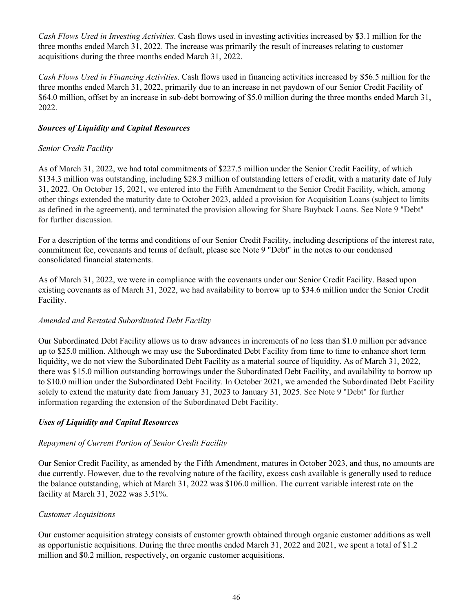*Cash Flows Used in Investing Activities*. Cash flows used in investing activities increased by \$3.1 million for the three months ended March 31, 2022. The increase was primarily the result of increases relating to customer acquisitions during the three months ended March 31, 2022.

*Cash Flows Used in Financing Activities*. Cash flows used in financing activities increased by \$56.5 million for the three months ended March 31, 2022, primarily due to an increase in net paydown of our Senior Credit Facility of \$64.0 million, offset by an increase in sub-debt borrowing of \$5.0 million during the three months ended March 31, 2022.

### *Sources of Liquidity and Capital Resources*

### *Senior Credit Facility*

As of March 31, 2022, we had total commitments of \$227.5 million under the Senior Credit Facility, of which \$134.3 million was outstanding, including \$28.3 million of outstanding letters of credit, with a maturity date of July 31, 2022. On October 15, 2021, we entered into the Fifth Amendment to the Senior Credit Facility, which, among other things extended the maturity date to October 2023, added a provision for Acquisition Loans (subject to limits as defined in the agreement), and terminated the provision allowing for Share Buyback Loans. See Note 9 "Debt" for further discussion.

For a description of the terms and conditions of our Senior Credit Facility, including descriptions of the interest rate, commitment fee, covenants and terms of default, please see Note 9 "Debt" in the notes to our condensed consolidated financial statements.

As of March 31, 2022, we were in compliance with the covenants under our Senior Credit Facility. Based upon existing covenants as of March 31, 2022, we had availability to borrow up to \$34.6 million under the Senior Credit Facility.

### *Amended and Restated Subordinated Debt Facility*

Our Subordinated Debt Facility allows us to draw advances in increments of no less than \$1.0 million per advance up to \$25.0 million. Although we may use the Subordinated Debt Facility from time to time to enhance short term liquidity, we do not view the Subordinated Debt Facility as a material source of liquidity. As of March 31, 2022, there was \$15.0 million outstanding borrowings under the Subordinated Debt Facility, and availability to borrow up to \$10.0 million under the Subordinated Debt Facility. In October 2021, we amended the Subordinated Debt Facility solely to extend the maturity date from January 31, 2023 to January 31, 2025. See Note 9 "Debt" for further information regarding the extension of the Subordinated Debt Facility.

### *Uses of Liquidity and Capital Resources*

### *Repayment of Current Portion of Senior Credit Facility*

Our Senior Credit Facility, as amended by the Fifth Amendment, matures in October 2023, and thus, no amounts are due currently. However, due to the revolving nature of the facility, excess cash available is generally used to reduce the balance outstanding, which at March 31, 2022 was \$106.0 million. The current variable interest rate on the facility at March 31, 2022 was 3.51%.

#### *Customer Acquisitions*

Our customer acquisition strategy consists of customer growth obtained through organic customer additions as well as opportunistic acquisitions. During the three months ended March 31, 2022 and 2021, we spent a total of \$1.2 million and \$0.2 million, respectively, on organic customer acquisitions.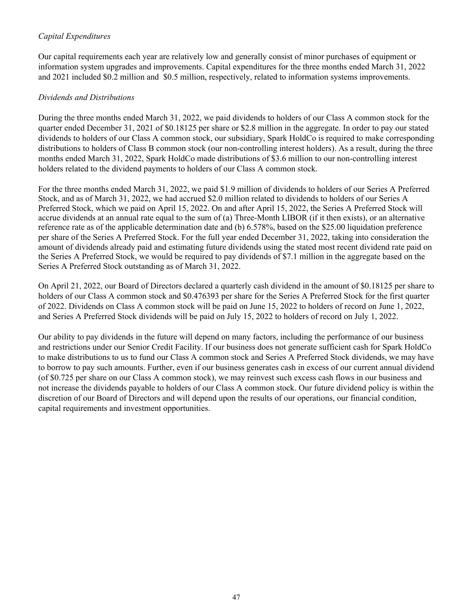### *Capital Expenditures*

Our capital requirements each year are relatively low and generally consist of minor purchases of equipment or information system upgrades and improvements. Capital expenditures for the three months ended March 31, 2022 and 2021 included \$0.2 million and \$0.5 million, respectively, related to information systems improvements.

### *Dividends and Distributions*

During the three months ended March 31, 2022, we paid dividends to holders of our Class A common stock for the quarter ended December 31, 2021 of \$0.18125 per share or \$2.8 million in the aggregate. In order to pay our stated dividends to holders of our Class A common stock, our subsidiary, Spark HoldCo is required to make corresponding distributions to holders of Class B common stock (our non-controlling interest holders). As a result, during the three months ended March 31, 2022, Spark HoldCo made distributions of \$3.6 million to our non-controlling interest holders related to the dividend payments to holders of our Class A common stock.

For the three months ended March 31, 2022, we paid \$1.9 million of dividends to holders of our Series A Preferred Stock, and as of March 31, 2022, we had accrued \$2.0 million related to dividends to holders of our Series A Preferred Stock, which we paid on April 15, 2022. On and after April 15, 2022, the Series A Preferred Stock will accrue dividends at an annual rate equal to the sum of (a) Three-Month LIBOR (if it then exists), or an alternative reference rate as of the applicable determination date and (b) 6.578%, based on the \$25.00 liquidation preference per share of the Series A Preferred Stock. For the full year ended December 31, 2022, taking into consideration the amount of dividends already paid and estimating future dividends using the stated most recent dividend rate paid on the Series A Preferred Stock, we would be required to pay dividends of \$7.1 million in the aggregate based on the Series A Preferred Stock outstanding as of March 31, 2022.

On April 21, 2022, our Board of Directors declared a quarterly cash dividend in the amount of \$0.18125 per share to holders of our Class A common stock and \$0.476393 per share for the Series A Preferred Stock for the first quarter of 2022. Dividends on Class A common stock will be paid on June 15, 2022 to holders of record on June 1, 2022, and Series A Preferred Stock dividends will be paid on July 15, 2022 to holders of record on July 1, 2022.

Our ability to pay dividends in the future will depend on many factors, including the performance of our business and restrictions under our Senior Credit Facility. If our business does not generate sufficient cash for Spark HoldCo to make distributions to us to fund our Class A common stock and Series A Preferred Stock dividends, we may have to borrow to pay such amounts. Further, even if our business generates cash in excess of our current annual dividend (of \$0.725 per share on our Class A common stock), we may reinvest such excess cash flows in our business and not increase the dividends payable to holders of our Class A common stock. Our future dividend policy is within the discretion of our Board of Directors and will depend upon the results of our operations, our financial condition, capital requirements and investment opportunities.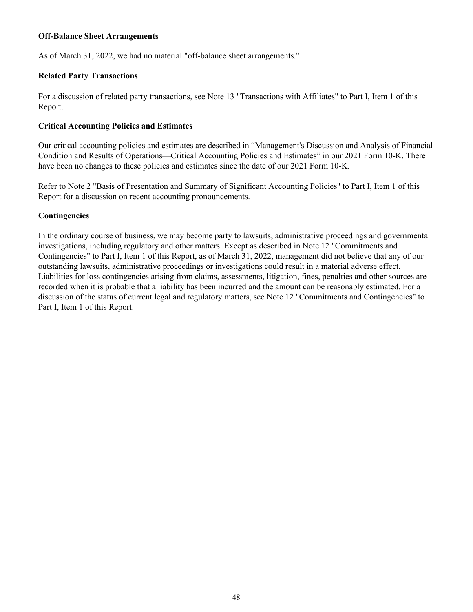#### **Off-Balance Sheet Arrangements**

As of March 31, 2022, we had no material "off-balance sheet arrangements."

### **Related Party Transactions**

For a discussion of related party transactions, see Note 13 "Transactions with Affiliates" to Part I, Item 1 of this Report.

#### **Critical Accounting Policies and Estimates**

Our critical accounting policies and estimates are described in "Management's Discussion and Analysis of Financial Condition and Results of Operations—Critical Accounting Policies and Estimates" in our 2021 Form 10-K. There have been no changes to these policies and estimates since the date of our 2021 Form 10-K.

Refer to Note 2 "Basis of Presentation and Summary of Significant Accounting Policies" to Part I, Item 1 of this Report for a discussion on recent accounting pronouncements.

#### **Contingencies**

In the ordinary course of business, we may become party to lawsuits, administrative proceedings and governmental investigations, including regulatory and other matters. Except as described in Note 12 "Commitments and Contingencies" to Part I, Item 1 of this Report, as of March 31, 2022, management did not believe that any of our outstanding lawsuits, administrative proceedings or investigations could result in a material adverse effect. Liabilities for loss contingencies arising from claims, assessments, litigation, fines, penalties and other sources are recorded when it is probable that a liability has been incurred and the amount can be reasonably estimated. For a discussion of the status of current legal and regulatory matters, see Note 12 "Commitments and Contingencies" to Part I, Item 1 of this Report.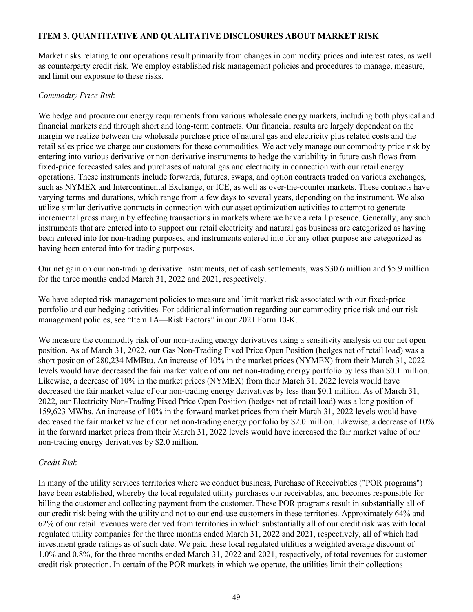### **ITEM 3. QUANTITATIVE AND QUALITATIVE DISCLOSURES ABOUT MARKET RISK**

Market risks relating to our operations result primarily from changes in commodity prices and interest rates, as well as counterparty credit risk. We employ established risk management policies and procedures to manage, measure, and limit our exposure to these risks.

### *Commodity Price Risk*

We hedge and procure our energy requirements from various wholesale energy markets, including both physical and financial markets and through short and long-term contracts. Our financial results are largely dependent on the margin we realize between the wholesale purchase price of natural gas and electricity plus related costs and the retail sales price we charge our customers for these commodities. We actively manage our commodity price risk by entering into various derivative or non-derivative instruments to hedge the variability in future cash flows from fixed-price forecasted sales and purchases of natural gas and electricity in connection with our retail energy operations. These instruments include forwards, futures, swaps, and option contracts traded on various exchanges, such as NYMEX and Intercontinental Exchange, or ICE, as well as over-the-counter markets. These contracts have varying terms and durations, which range from a few days to several years, depending on the instrument. We also utilize similar derivative contracts in connection with our asset optimization activities to attempt to generate incremental gross margin by effecting transactions in markets where we have a retail presence. Generally, any such instruments that are entered into to support our retail electricity and natural gas business are categorized as having been entered into for non-trading purposes, and instruments entered into for any other purpose are categorized as having been entered into for trading purposes.

Our net gain on our non-trading derivative instruments, net of cash settlements, was \$30.6 million and \$5.9 million for the three months ended March 31, 2022 and 2021, respectively.

We have adopted risk management policies to measure and limit market risk associated with our fixed-price portfolio and our hedging activities. For additional information regarding our commodity price risk and our risk management policies, see "Item 1A—Risk Factors" in our 2021 Form 10-K.

We measure the commodity risk of our non-trading energy derivatives using a sensitivity analysis on our net open position. As of March 31, 2022, our Gas Non-Trading Fixed Price Open Position (hedges net of retail load) was a short position of 280,234 MMBtu. An increase of 10% in the market prices (NYMEX) from their March 31, 2022 levels would have decreased the fair market value of our net non-trading energy portfolio by less than \$0.1 million. Likewise, a decrease of 10% in the market prices (NYMEX) from their March 31, 2022 levels would have decreased the fair market value of our non-trading energy derivatives by less than \$0.1 million. As of March 31, 2022, our Electricity Non-Trading Fixed Price Open Position (hedges net of retail load) was a long position of 159,623 MWhs. An increase of 10% in the forward market prices from their March 31, 2022 levels would have decreased the fair market value of our net non-trading energy portfolio by \$2.0 million. Likewise, a decrease of 10% in the forward market prices from their March 31, 2022 levels would have increased the fair market value of our non-trading energy derivatives by \$2.0 million.

#### *Credit Risk*

In many of the utility services territories where we conduct business, Purchase of Receivables ("POR programs") have been established, whereby the local regulated utility purchases our receivables, and becomes responsible for billing the customer and collecting payment from the customer. These POR programs result in substantially all of our credit risk being with the utility and not to our end-use customers in these territories. Approximately 64% and 62% of our retail revenues were derived from territories in which substantially all of our credit risk was with local regulated utility companies for the three months ended March 31, 2022 and 2021, respectively, all of which had investment grade ratings as of such date. We paid these local regulated utilities a weighted average discount of 1.0% and 0.8%, for the three months ended March 31, 2022 and 2021, respectively, of total revenues for customer credit risk protection. In certain of the POR markets in which we operate, the utilities limit their collections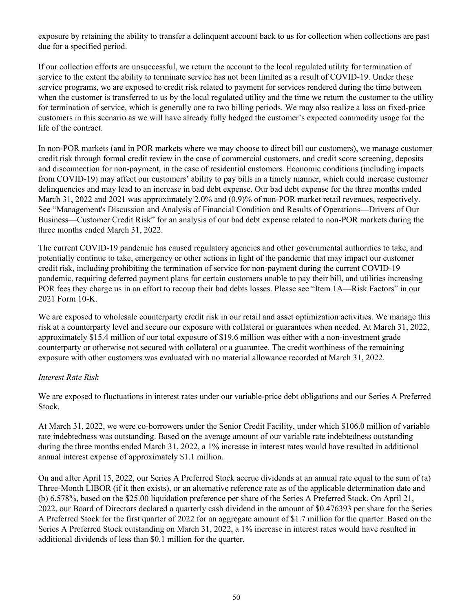exposure by retaining the ability to transfer a delinquent account back to us for collection when collections are past due for a specified period.

If our collection efforts are unsuccessful, we return the account to the local regulated utility for termination of service to the extent the ability to terminate service has not been limited as a result of COVID-19. Under these service programs, we are exposed to credit risk related to payment for services rendered during the time between when the customer is transferred to us by the local regulated utility and the time we return the customer to the utility for termination of service, which is generally one to two billing periods. We may also realize a loss on fixed-price customers in this scenario as we will have already fully hedged the customer's expected commodity usage for the life of the contract.

In non-POR markets (and in POR markets where we may choose to direct bill our customers), we manage customer credit risk through formal credit review in the case of commercial customers, and credit score screening, deposits and disconnection for non-payment, in the case of residential customers. Economic conditions (including impacts from COVID-19) may affect our customers' ability to pay bills in a timely manner, which could increase customer delinquencies and may lead to an increase in bad debt expense. Our bad debt expense for the three months ended March 31, 2022 and 2021 was approximately 2.0% and (0.9)% of non-POR market retail revenues, respectively. See "Management's Discussion and Analysis of Financial Condition and Results of Operations—Drivers of Our Business—Customer Credit Risk" for an analysis of our bad debt expense related to non-POR markets during the three months ended March 31, 2022.

The current COVID-19 pandemic has caused regulatory agencies and other governmental authorities to take, and potentially continue to take, emergency or other actions in light of the pandemic that may impact our customer credit risk, including prohibiting the termination of service for non-payment during the current COVID-19 pandemic, requiring deferred payment plans for certain customers unable to pay their bill, and utilities increasing POR fees they charge us in an effort to recoup their bad debts losses. Please see "Item 1A—Risk Factors" in our 2021 Form 10-K.

We are exposed to wholesale counterparty credit risk in our retail and asset optimization activities. We manage this risk at a counterparty level and secure our exposure with collateral or guarantees when needed. At March 31, 2022, approximately \$15.4 million of our total exposure of \$19.6 million was either with a non-investment grade counterparty or otherwise not secured with collateral or a guarantee. The credit worthiness of the remaining exposure with other customers was evaluated with no material allowance recorded at March 31, 2022.

#### *Interest Rate Risk*

We are exposed to fluctuations in interest rates under our variable-price debt obligations and our Series A Preferred Stock.

At March 31, 2022, we were co-borrowers under the Senior Credit Facility, under which \$106.0 million of variable rate indebtedness was outstanding. Based on the average amount of our variable rate indebtedness outstanding during the three months ended March 31, 2022, a 1% increase in interest rates would have resulted in additional annual interest expense of approximately \$1.1 million.

On and after April 15, 2022, our Series A Preferred Stock accrue dividends at an annual rate equal to the sum of (a) Three-Month LIBOR (if it then exists), or an alternative reference rate as of the applicable determination date and (b) 6.578%, based on the \$25.00 liquidation preference per share of the Series A Preferred Stock. On April 21, 2022, our Board of Directors declared a quarterly cash dividend in the amount of \$0.476393 per share for the Series A Preferred Stock for the first quarter of 2022 for an aggregate amount of \$1.7 million for the quarter. Based on the Series A Preferred Stock outstanding on March 31, 2022, a 1% increase in interest rates would have resulted in additional dividends of less than \$0.1 million for the quarter.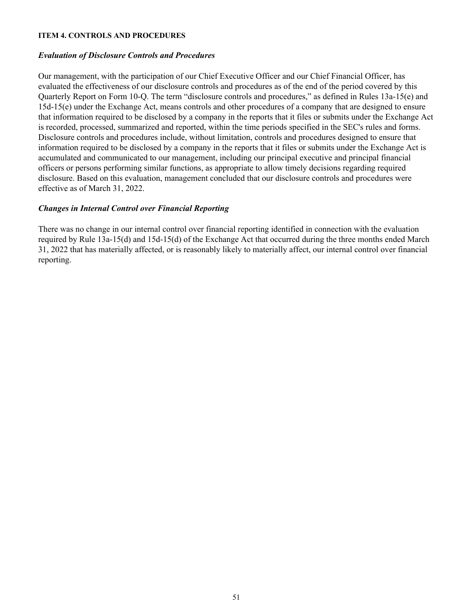#### **ITEM 4. CONTROLS AND PROCEDURES**

#### *Evaluation of Disclosure Controls and Procedures*

Our management, with the participation of our Chief Executive Officer and our Chief Financial Officer, has evaluated the effectiveness of our disclosure controls and procedures as of the end of the period covered by this Quarterly Report on Form 10-Q. The term "disclosure controls and procedures," as defined in Rules 13a-15(e) and 15d-15(e) under the Exchange Act, means controls and other procedures of a company that are designed to ensure that information required to be disclosed by a company in the reports that it files or submits under the Exchange Act is recorded, processed, summarized and reported, within the time periods specified in the SEC's rules and forms. Disclosure controls and procedures include, without limitation, controls and procedures designed to ensure that information required to be disclosed by a company in the reports that it files or submits under the Exchange Act is accumulated and communicated to our management, including our principal executive and principal financial officers or persons performing similar functions, as appropriate to allow timely decisions regarding required disclosure. Based on this evaluation, management concluded that our disclosure controls and procedures were effective as of March 31, 2022.

#### *Changes in Internal Control over Financial Reporting*

There was no change in our internal control over financial reporting identified in connection with the evaluation required by Rule 13a-15(d) and 15d-15(d) of the Exchange Act that occurred during the three months ended March 31, 2022 that has materially affected, or is reasonably likely to materially affect, our internal control over financial reporting.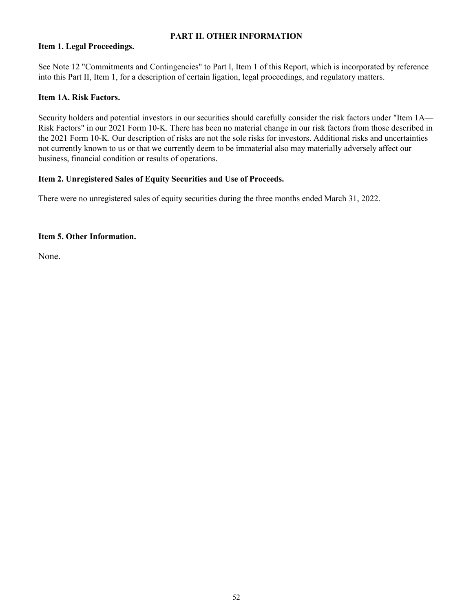### **PART II. OTHER INFORMATION**

#### **Item 1. Legal Proceedings.**

See Note 12 "Commitments and Contingencies" to Part I, Item 1 of this Report, which is incorporated by reference into this Part II, Item 1, for a description of certain ligation, legal proceedings, and regulatory matters.

#### **Item 1A. Risk Factors.**

Security holders and potential investors in our securities should carefully consider the risk factors under "Item 1A— Risk Factors" in our 2021 Form 10-K. There has been no material change in our risk factors from those described in the 2021 Form 10-K. Our description of risks are not the sole risks for investors. Additional risks and uncertainties not currently known to us or that we currently deem to be immaterial also may materially adversely affect our business, financial condition or results of operations.

#### **Item 2. Unregistered Sales of Equity Securities and Use of Proceeds.**

There were no unregistered sales of equity securities during the three months ended March 31, 2022.

#### **Item 5. Other Information.**

None.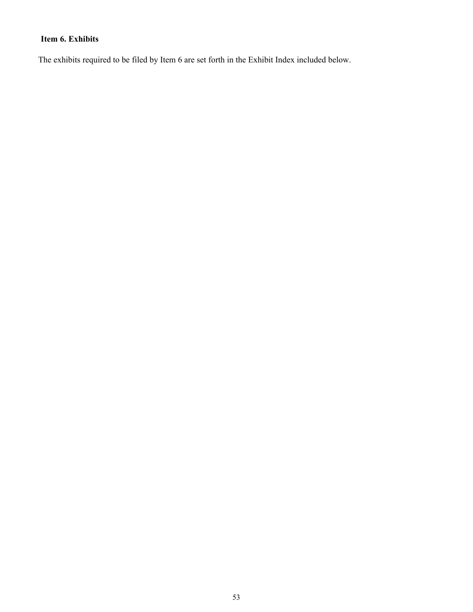# **Item 6. Exhibits**

The exhibits required to be filed by Item 6 are set forth in the Exhibit Index included below.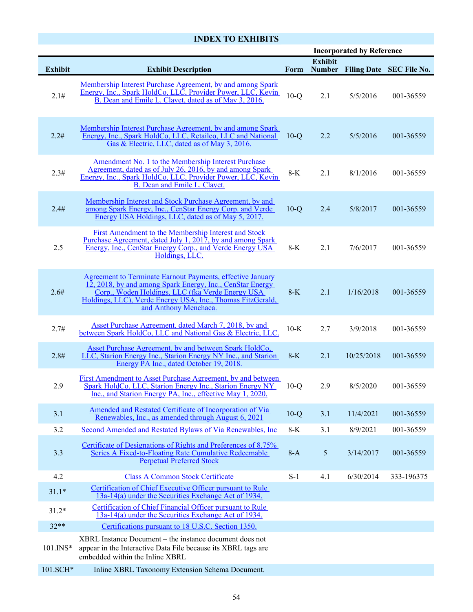# **INDEX TO EXHIBITS**

|                |                                                                                                                                                                                                                                                                           | <b>Incorporated by Reference</b> |                                 |            |                          |
|----------------|---------------------------------------------------------------------------------------------------------------------------------------------------------------------------------------------------------------------------------------------------------------------------|----------------------------------|---------------------------------|------------|--------------------------|
| <b>Exhibit</b> | <b>Exhibit Description</b>                                                                                                                                                                                                                                                | Form                             | <b>Exhibit</b><br><b>Number</b> |            | Filing Date SEC File No. |
| 2.1#           | Membership Interest Purchase Agreement, by and among Spark<br>Energy, Inc., Spark HoldCo, LLC, Provider Power, LLC, Kevin<br>B. Dean and Emile L. Clavet, dated as of May 3, 2016.                                                                                        | $10-Q$                           | 2.1                             | 5/5/2016   | 001-36559                |
| 2.2#           | Membership Interest Purchase Agreement, by and among Spark<br>Energy, Inc., Spark HoldCo, LLC, Retailco, LLC and National<br>Gas & Electric, LLC, dated as of May 3, 2016.                                                                                                | $10-Q$                           | 2.2                             | 5/5/2016   | 001-36559                |
| 2.3#           | Amendment No. 1 to the Membership Interest Purchase<br><u>Agreement, dated as of July 26, 2016, by and among Spark</u><br>Energy, Inc., Spark HoldCo, LLC, Provider Power, LLC, Kevin<br>B. Dean and Emile L. Clavet.                                                     | $8-K$                            | 2.1                             | 8/1/2016   | 001-36559                |
| 2.4#           | Membership Interest and Stock Purchase Agreement, by and<br>among Spark Energy, Inc., CenStar Energy Corp. and Verde<br>Energy USA Holdings, LLC, dated as of May 5, 2017.                                                                                                | $10-Q$                           | 2.4                             | 5/8/2017   | 001-36559                |
| 2.5            | First Amendment to the Membership Interest and Stock<br>Purchase Agreement, dated July 1, 2017, by and among Spark<br>Energy, Inc., CenStar Energy Corp., and Verde Energy USA<br>Holdings, LLC.                                                                          | $8-K$                            | 2.1                             | 7/6/2017   | 001-36559                |
| 2.6#           | <b>Agreement to Terminate Earnout Payments, effective January</b><br>12, 2018, by and among Spark Energy, Inc., CenStar Energy<br>Corp., Woden Holdings, LLC (fka Verde Energy USA<br>Holdings, LLC), Verde Energy USA, Inc., Thomas FitzGerald,<br>and Anthony Menchaca. | $8-K$                            | 2.1                             | 1/16/2018  | 001-36559                |
| 2.7#           | Asset Purchase Agreement, dated March 7, 2018, by and<br>between Spark HoldCo, LLC and National Gas & Electric, LLC.                                                                                                                                                      | $10-K$                           | 2.7                             | 3/9/2018   | 001-36559                |
| 2.8#           | <b>Asset Purchase Agreement, by and between Spark HoldCo,</b><br>LLC, Starion Energy Inc., Starion Energy NY Inc., and Starion<br>Energy PA Inc., dated October 19, 2018.                                                                                                 | $8-K$                            | 2.1                             | 10/25/2018 | 001-36559                |
| 2.9            | First Amendment to Asset Purchase Agreement, by and between<br>Spark HoldCo, LLC, Starion Energy Inc., Starion Energy NY<br><u>Inc., and Starion Energy PA, Inc., effective May 1, 2020.</u>                                                                              | $10-Q$                           | 2.9                             | 8/5/2020   | 001-36559                |
| 3.1            | Amended and Restated Certificate of Incorporation of Via<br>Renewables, Inc., as amended through August 6, 2021                                                                                                                                                           | $10-Q$                           | 3.1                             | 11/4/2021  | 001-36559                |
| 3.2            | Second Amended and Restated Bylaws of Via Renewables, Inc.                                                                                                                                                                                                                | $8-K$                            | 3.1                             | 8/9/2021   | 001-36559                |
| 3.3            | Certificate of Designations of Rights and Preferences of 8.75%<br>Series A Fixed-to-Floating Rate Cumulative Redeemable<br><b>Perpetual Preferred Stock</b>                                                                                                               | $8-A$                            | $\mathfrak{S}$                  | 3/14/2017  | 001-36559                |
| 4.2            | <b>Class A Common Stock Certificate</b>                                                                                                                                                                                                                                   | $S-1$                            | 4.1                             | 6/30/2014  | 333-196375               |
| $31.1*$        | Certification of Chief Executive Officer pursuant to Rule<br>13a-14(a) under the Securities Exchange Act of 1934.                                                                                                                                                         |                                  |                                 |            |                          |
| $31.2*$        | Certification of Chief Financial Officer pursuant to Rule<br>13a-14(a) under the Securities Exchange Act of 1934.                                                                                                                                                         |                                  |                                 |            |                          |
| $32**$         | Certifications pursuant to 18 U.S.C. Section 1350.                                                                                                                                                                                                                        |                                  |                                 |            |                          |
| $101$ . INS*   | XBRL Instance Document – the instance document does not<br>appear in the Interactive Data File because its XBRL tags are<br>embedded within the Inline XBRL                                                                                                               |                                  |                                 |            |                          |
| 101.SCH*       | Inline XBRL Taxonomy Extension Schema Document.                                                                                                                                                                                                                           |                                  |                                 |            |                          |